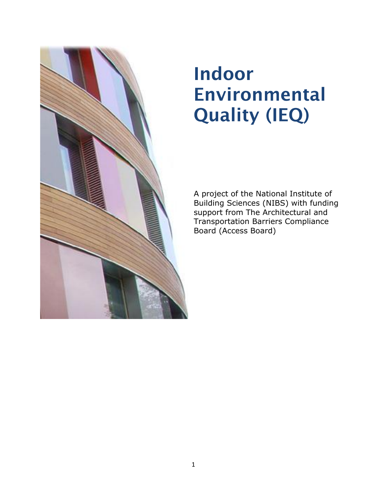

# Indoor **Environmental Quality (IEQ)**

A project of the National Institute of Building Sciences (NIBS) with funding support from The Architectural and Transportation Barriers Compliance Board (Access Board)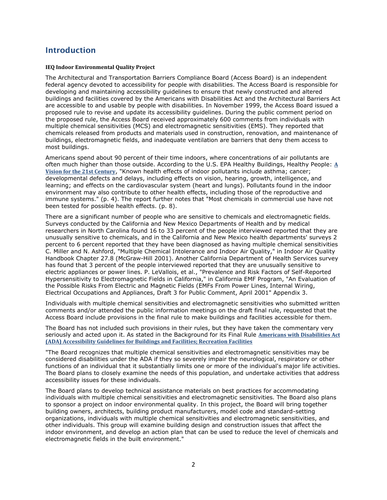# **Introduction**

#### **IEQ Indoor Environmental Quality Project**

The Architectural and Transportation Barriers Compliance Board (Access Board) is an independent federal agency devoted to accessibility for people with disabilities. The Access Board is responsible for developing and maintaining accessibility guidelines to ensure that newly constructed and altered buildings and facilities covered by the Americans with Disabilities Act and the Architectural Barriers Act are accessible to and usable by people with disabilities. In November 1999, the Access Board issued a proposed rule to revise and update its accessibility guidelines. During the public comment period on the proposed rule, the Access Board received approximately 600 comments from individuals with multiple chemical sensitivities (MCS) and electromagnetic sensitivities (EMS). They reported that chemicals released from products and materials used in construction, renovation, and maintenance of buildings, electromagnetic fields, and inadequate ventilation are barriers that deny them access to most buildings.

Americans spend about 90 percent of their time indoors, where concentrations of air pollutants are often much higher than those outside. According to the U.S. EPA Healthy Buildings, Healthy People: **[A](https://web.archive.org/web/20201018221948/http:/www.epa.gov/iaq/hbhp/hbhptoc.html) Vision for the 21st [Century](https://web.archive.org/web/20201018221948/http:/www.epa.gov/iaq/hbhp/hbhptoc.html)**, "Known health effects of indoor pollutants include asthma; cancer; developmental defects and delays, including effects on vision, hearing, growth, intelligence, and learning; and effects on the cardiovascular system (heart and lungs). Pollutants found in the indoor environment may also contribute to other health effects, including those of the reproductive and immune systems." (p. 4). The report further notes that "Most chemicals in commercial use have not been tested for possible health effects. (p. 8).

There are a significant number of people who are sensitive to chemicals and electromagnetic fields. Surveys conducted by the California and New Mexico Departments of Health and by medical researchers in North Carolina found 16 to 33 percent of the people interviewed reported that they are unusually sensitive to chemicals, and in the California and New Mexico health departments' surveys 2 percent to 6 percent reported that they have been diagnosed as having multiple chemical sensitivities C. Miller and N. Ashford, "Multiple Chemical Intolerance and Indoor Air Quality," in Indoor Air Quality Handbook Chapter 27.8 (McGraw-Hill 2001). Another California Department of Health Services survey has found that 3 percent of the people interviewed reported that they are unusually sensitive to electric appliances or power lines. P. LeVallois, et al., "Prevalence and Risk Factors of Self-Reported Hypersensitivity to Electromagnetic Fields in California," in California EMF Program, "An Evaluation of the Possible Risks From Electric and Magnetic Fields (EMFs From Power Lines, Internal Wiring, Electrical Occupations and Appliances, Draft 3 for Public Comment, April 2001" Appendix 3.

Individuals with multiple chemical sensitivities and electromagnetic sensitivities who submitted written comments and/or attended the public information meetings on the draft final rule, requested that the Access Board include provisions in the final rule to make buildings and facilities accessible for them.

The Board has not included such provisions in their rules, but they have taken the commentary very seriously and acted upon it. As stated in the Background for its Final Rule **Americans with [Disabilities](https://web.archive.org/web/20201018221948/https:/www.access-board.gov/guidelines-and-standards/buildings-and-sites/about-the-ada-standards/background/ada-aba-accessibility-guidelines-2004) Act (ADA) [Accessibility](https://web.archive.org/web/20201018221948/https:/www.access-board.gov/guidelines-and-standards/buildings-and-sites/about-the-ada-standards/background/ada-aba-accessibility-guidelines-2004) Guidelines for Buildings and Facilities; Recreation Facilities**

"The Board recognizes that multiple chemical sensitivities and electromagnetic sensitivities may be considered disabilities under the ADA if they so severely impair the neurological, respiratory or other functions of an individual that it substantially limits one or more of the individual's major life activities. The Board plans to closely examine the needs of this population, and undertake activities that address accessibility issues for these individuals.

The Board plans to develop technical assistance materials on best practices for accommodating individuals with multiple chemical sensitivities and electromagnetic sensitivities. The Board also plans to sponsor a project on indoor environmental quality. In this project, the Board will bring together building owners, architects, building product manufacturers, model code and standard-setting organizations, individuals with multiple chemical sensitivities and electromagnetic sensitivities, and other individuals. This group will examine building design and construction issues that affect the indoor environment, and develop an action plan that can be used to reduce the level of chemicals and electromagnetic fields in the built environment."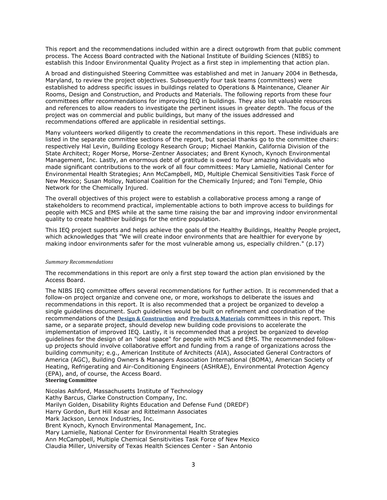This report and the recommendations included within are a direct outgrowth from that public comment process. The Access Board contracted with the National Institute of Building Sciences (NIBS) to establish this Indoor Environmental Quality Project as a first step in implementing that action plan.

A broad and distinguished Steering Committee was established and met in January 2004 in Bethesda, Maryland, to review the project objectives. Subsequently four task teams (committees) were established to address specific issues in buildings related to Operations & Maintenance, Cleaner Air Rooms, Design and Construction, and Products and Materials. The following reports from these four committees offer recommendations for improving IEQ in buildings. They also list valuable resources and references to allow readers to investigate the pertinent issues in greater depth. The focus of the project was on commercial and public buildings, but many of the issues addressed and recommendations offered are applicable in residential settings.

Many volunteers worked diligently to create the recommendations in this report. These individuals are listed in the separate committee sections of the report, but special thanks go to the committee chairs: respectively Hal Levin, Building Ecology Research Group; Michael Mankin, California Division of the State Architect; Roger Morse, Morse-Zentner Associates; and Brent Kynoch, Kynoch Environmental Management, Inc. Lastly, an enormous debt of gratitude is owed to four amazing individuals who made significant contributions to the work of all four committees: Mary Lamielle, National Center for Environmental Health Strategies; Ann McCampbell, MD, Multiple Chemical Sensitivities Task Force of New Mexico; Susan Molloy, National Coalition for the Chemically Injured; and Toni Temple, Ohio Network for the Chemically Injured.

The overall objectives of this project were to establish a collaborative process among a range of stakeholders to recommend practical, implementable actions to both improve access to buildings for people with MCS and EMS while at the same time raising the bar and improving indoor environmental quality to create healthier buildings for the entire population.

This IEQ project supports and helps achieve the goals of the Healthy Buildings, Healthy People project, which acknowledges that "We will create indoor environments that are healthier for everyone by making indoor environments safer for the most vulnerable among us, especially children." (p.17)

#### *Summary Recommendations*

The recommendations in this report are only a first step toward the action plan envisioned by the Access Board.

The NIBS IEQ committee offers several recommendations for further action. It is recommended that a follow-on project organize and convene one, or more, workshops to deliberate the issues and recommendations in this report. It is also recommended that a project be organized to develop a single guidelines document. Such guidelines would be built on refinement and coordination of the recommendations of the **Design & [Construction](https://web.archive.org/web/20201018221948/https:/www.access-board.gov/research/completed-research/indoor-environmental-quality/design-construction)** and **Products & [Materials](https://web.archive.org/web/20201018221948/https:/www.access-board.gov/research/completed-research/indoor-environmental-quality/building-products-materials)** committees in this report. This same, or a separate project, should develop new building code provisions to accelerate the implementation of improved IEQ. Lastly, it is recommended that a project be organized to develop guidelines for the design of an "ideal space" for people with MCS and EMS. The recommended followup projects should involve collaborative effort and funding from a range of organizations across the building community; e.g., American Institute of Architects (AIA), Associated General Contractors of America (AGC), Building Owners & Managers Association International (BOMA), American Society of Heating, Refrigerating and Air-Conditioning Engineers (ASHRAE), Environmental Protection Agency (EPA), and, of course, the Access Board. **Steering Committee**

# Nicolas Ashford, Massachusetts Institute of Technology Kathy Barcus, Clarke Construction Company, Inc. Marilyn Golden, Disability Rights Education and Defense Fund (DREDF) Harry Gordon, Burt Hill Kosar and Rittelmann Associates Mark Jackson, Lennox Industries, Inc. Brent Kynoch, Kynoch Environmental Management, Inc. Mary Lamielle, National Center for Environmental Health Strategies Ann McCampbell, Multiple Chemical Sensitivities Task Force of New Mexico Claudia Miller, University of Texas Health Sciences Center - San Antonio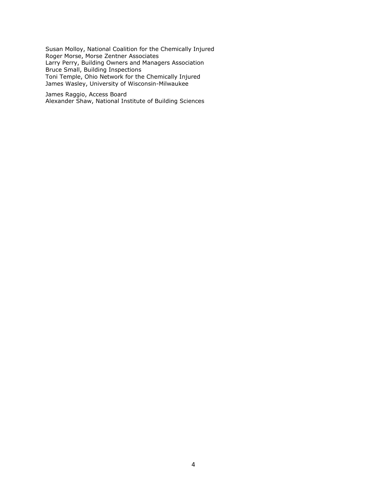Susan Molloy, National Coalition for the Chemically Injured Roger Morse, Morse Zentner Associates Larry Perry, Building Owners and Managers Association Bruce Small, Building Inspections Toni Temple, Ohio Network for the Chemically Injured James Wasley, University of Wisconsin-Milwaukee

James Raggio, Access Board Alexander Shaw, National Institute of Building Sciences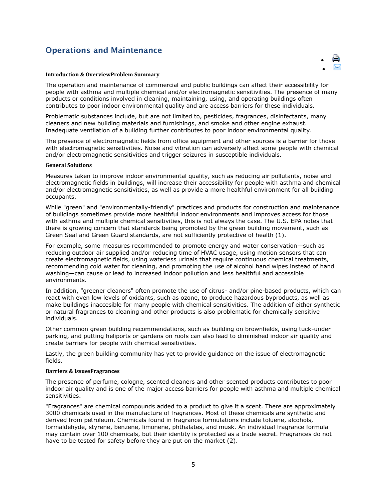# **Operations and Maintenance**



#### **Introduction & OverviewProblem Summary**

The operation and maintenance of commercial and public buildings can affect their accessibility for people with asthma and multiple chemical and/or electromagnetic sensitivities. The presence of many products or conditions involved in cleaning, maintaining, using, and operating buildings often contributes to poor indoor environmental quality and are access barriers for these individuals.

Problematic substances include, but are not limited to, pesticides, fragrances, disinfectants, many cleaners and new building materials and furnishings, and smoke and other engine exhaust. Inadequate ventilation of a building further contributes to poor indoor environmental quality.

The presence of electromagnetic fields from office equipment and other sources is a barrier for those with electromagnetic sensitivities. Noise and vibration can adversely affect some people with chemical and/or electromagnetic sensitivities and trigger seizures in susceptible individuals.

#### **General Solutions**

Measures taken to improve indoor environmental quality, such as reducing air pollutants, noise and electromagnetic fields in buildings, will increase their accessibility for people with asthma and chemical and/or electromagnetic sensitivities, as well as provide a more healthful environment for all building occupants.

While "green" and "environmentally-friendly" practices and products for construction and maintenance of buildings sometimes provide more healthful indoor environments and improves access for those with asthma and multiple chemical sensitivities, this is not always the case. The U.S. EPA notes that there is growing concern that standards being promoted by the green building movement, such as Green Seal and Green Guard standards, are not sufficiently protective of health (1).

For example, some measures recommended to promote energy and water conservation—such as reducing outdoor air supplied and/or reducing time of HVAC usage, using motion sensors that can create electromagnetic fields, using waterless urinals that require continuous chemical treatments, recommending cold water for cleaning, and promoting the use of alcohol hand wipes instead of hand washing—can cause or lead to increased indoor pollution and less healthful and accessible environments.

In addition, "greener cleaners" often promote the use of citrus- and/or pine-based products, which can react with even low levels of oxidants, such as ozone, to produce hazardous byproducts, as well as make buildings inaccesible for many people with chemical sensitivities. The addition of either synthetic or natural fragrances to cleaning and other products is also problematic for chemically sensitive individuals.

Other common green building recommendations, such as building on brownfields, using tuck-under parking, and putting heliports or gardens on roofs can also lead to diminished indoor air quality and create barriers for people with chemical sensitivities.

Lastly, the green building community has yet to provide guidance on the issue of electromagnetic fields.

#### **Barriers & IssuesFragrances**

The presence of perfume, cologne, scented cleaners and other scented products contributes to poor indoor air quality and is one of the major access barriers for people with asthma and multiple chemical sensitivities.

"Fragrances" are chemical compounds added to a product to give it a scent. There are approximately 3000 chemicals used in the manufacture of fragrances. Most of these chemicals are synthetic and derived from petroleum. Chemicals found in fragrance formulations include toluene, alcohols, formaldehyde, styrene, benzene, limonene, phthalates, and musk. An individual fragrance formula may contain over 100 chemicals, but their identity is protected as a trade secret. Fragrances do not have to be tested for safety before they are put on the market (2).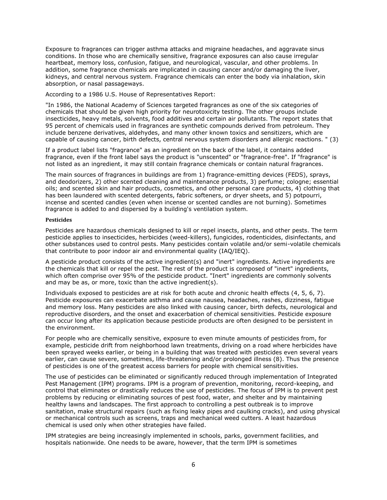Exposure to fragrances can trigger asthma attacks and migraine headaches, and aggravate sinus conditions. In those who are chemically sensitive, fragrance exposures can also cause irregular heartbeat, memory loss, confusion, fatigue, and neurological, vascular, and other problems. In addition, some fragrance chemicals are implicated in causing cancer and/or damaging the liver, kidneys, and central nervous system. Fragrance chemicals can enter the body via inhalation, skin absorption, or nasal passageways.

According to a 1986 U.S. House of Representatives Report:

"In 1986, the National Academy of Sciences targeted fragrances as one of the six categories of chemicals that should be given high priority for neurotoxicity testing. The other groups include insecticides, heavy metals, solvents, food additives and certain air pollutants. The report states that 95 percent of chemicals used in fragrances are synthetic compounds derived from petroleum. They include benzene derivatives, aldehydes, and many other known toxics and sensitizers, which are capable of causing cancer, birth defects, central nervous system disorders and allergic reactions. " (3)

If a product label lists "fragrance" as an ingredient on the back of the label, it contains added fragrance, even if the front label says the product is "unscented" or "fragrance-free". If "fragrance" is not listed as an ingredient, it may still contain fragrance chemicals or contain natural fragrances.

The main sources of fragrances in buildings are from 1) fragrance-emitting devices (FEDS), sprays, and deodorizers, 2) other scented cleaning and maintenance products, 3) perfume; cologne; essential oils; and scented skin and hair products, cosmetics, and other personal care products, 4) clothing that has been laundered with scented detergents, fabric softeners, or dryer sheets, and 5) potpourri, incense and scented candles (even when incense or scented candles are not burning). Sometimes fragrance is added to and dispersed by a building's ventilation system.

#### **Pesticides**

Pesticides are hazardous chemicals designed to kill or repel insects, plants, and other pests. The term pesticide applies to insecticides, herbicides (weed-killers), fungicides, rodenticides, disinfectants, and other substances used to control pests. Many pesticides contain volatile and/or semi-volatile chemicals that contribute to poor indoor air and environmental quality (IAQ/IEQ).

A pesticide product consists of the active ingredient(s) and "inert" ingredients. Active ingredients are the chemicals that kill or repel the pest. The rest of the product is composed of "inert" ingredients, which often comprise over 95% of the pesticide product. "Inert" ingredients are commonly solvents and may be as, or more, toxic than the active ingredient(s).

Individuals exposed to pesticides are at risk for both acute and chronic health effects (4, 5, 6, 7). Pesticide exposures can exacerbate asthma and cause nausea, headaches, rashes, dizziness, fatigue and memory loss. Many pesticides are also linked with causing cancer, birth defects, neurological and reproductive disorders, and the onset and exacerbation of chemical sensitivities. Pesticide exposure can occur long after its application because pesticide products are often designed to be persistent in the environment.

For people who are chemically sensitive, exposure to even minute amounts of pesticides from, for example, pesticide drift from neighborhood lawn treatments, driving on a road where herbicides have been sprayed weeks earlier, or being in a building that was treated with pesticides even several years earlier, can cause severe, sometimes, life-threatening and/or prolonged illness (8). Thus the presence of pesticides is one of the greatest access barriers for people with chemical sensitivities.

The use of pesticides can be eliminated or significantly reduced through implementation of Integrated Pest Management (IPM) programs. IPM is a program of prevention, monitoring, record-keeping, and control that eliminates or drastically reduces the use of pesticides. The focus of IPM is to prevent pest problems by reducing or eliminating sources of pest food, water, and shelter and by maintaining healthy lawns and landscapes. The first approach to controlling a pest outbreak is to improve sanitation, make structural repairs (such as fixing leaky pipes and caulking cracks), and using physical or mechanical controls such as screens, traps and mechanical weed cutters. A least hazardous chemical is used only when other strategies have failed.

IPM strategies are being increasingly implemented in schools, parks, government facilities, and hospitals nationwide. One needs to be aware, however, that the term IPM is sometimes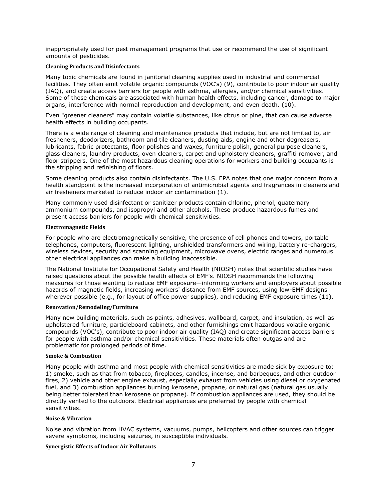inappropriately used for pest management programs that use or recommend the use of significant amounts of pesticides.

#### **Cleaning Products and Disinfectants**

Many toxic chemicals are found in janitorial cleaning supplies used in industrial and commercial facilities. They often emit volatile organic compounds (VOC's) (9), contribute to poor indoor air quality (IAQ), and create access barriers for people with asthma, allergies, and/or chemical sensitivities. Some of these chemicals are associated with human health effects, including cancer, damage to major organs, interference with normal reproduction and development, and even death. (10).

Even "greener cleaners" may contain volatile substances, like citrus or pine, that can cause adverse health effects in building occupants.

There is a wide range of cleaning and maintenance products that include, but are not limited to, air fresheners, deodorizers, bathroom and tile cleaners, dusting aids, engine and other degreasers, lubricants, fabric protectants, floor polishes and waxes, furniture polish, general purpose cleaners, glass cleaners, laundry products, oven cleaners, carpet and upholstery cleaners, graffiti remover, and floor strippers. One of the most hazardous cleaning operations for workers and building occupants is the stripping and refinishing of floors.

Some cleaning products also contain disinfectants. The U.S. EPA notes that one major concern from a health standpoint is the increased incorporation of antimicrobial agents and fragrances in cleaners and air fresheners marketed to reduce indoor air contamination (1).

Many commonly used disinfectant or sanitizer products contain chlorine, phenol, quaternary ammonium compounds, and isopropyl and other alcohols. These produce hazardous fumes and present access barriers for people with chemical sensitivities.

#### **Electromagnetic Fields**

For people who are electromagnetically sensitive, the presence of cell phones and towers, portable telephones, computers, fluorescent lighting, unshielded transformers and wiring, battery re-chargers, wireless devices, security and scanning equipment, microwave ovens, electric ranges and numerous other electrical appliances can make a building inaccessible.

The National Institute for Occupational Safety and Health (NIOSH) notes that scientific studies have raised questions about the possible health effects of EMF's. NIOSH recommends the following measures for those wanting to reduce EMF exposure—informing workers and employers about possible hazards of magnetic fields, increasing workers' distance from EMF sources, using low-EMF designs wherever possible (e.g., for layout of office power supplies), and reducing EMF exposure times (11).

#### **Renovation/Remodeling/Furniture**

Many new building materials, such as paints, adhesives, wallboard, carpet, and insulation, as well as upholstered furniture, particleboard cabinets, and other furnishings emit hazardous volatile organic compounds (VOC's), contribute to poor indoor air quality (IAQ) and create significant access barriers for people with asthma and/or chemical sensitivities. These materials often outgas and are problematic for prolonged periods of time.

#### **Smoke & Combustion**

Many people with asthma and most people with chemical sensitivities are made sick by exposure to: 1) smoke, such as that from tobacco, fireplaces, candles, incense, and barbeques, and other outdoor fires, 2) vehicle and other engine exhaust, especially exhaust from vehicles using diesel or oxygenated fuel, and 3) combustion appliances burning kerosene, propane, or natural gas (natural gas usually being better tolerated than kerosene or propane). If combustion appliances are used, they should be directly vented to the outdoors. Electrical appliances are preferred by people with chemical sensitivities.

#### **Noise & Vibration**

Noise and vibration from HVAC systems, vacuums, pumps, helicopters and other sources can trigger severe symptoms, including seizures, in susceptible individuals.

# **Synergistic Effects of Indoor Air Pollutants**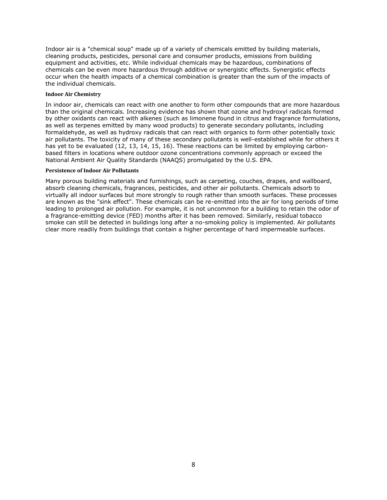Indoor air is a "chemical soup" made up of a variety of chemicals emitted by building materials, cleaning products, pesticides, personal care and consumer products, emissions from building equipment and activities, etc. While individual chemicals may be hazardous, combinations of chemicals can be even more hazardous through additive or synergistic effects. Synergistic effects occur when the health impacts of a chemical combination is greater than the sum of the impacts of the individual chemicals.

# **Indoor Air Chemistry**

In indoor air, chemicals can react with one another to form other compounds that are more hazardous than the original chemicals. Increasing evidence has shown that ozone and hydroxyl radicals formed by other oxidants can react with alkenes (such as limonene found in citrus and fragrance formulations, as well as terpenes emitted by many wood products) to generate secondary pollutants, including formaldehyde, as well as hydroxy radicals that can react with organics to form other potentially toxic air pollutants. The toxicity of many of these secondary pollutants is well-established while for others it has yet to be evaluated (12, 13, 14, 15, 16). These reactions can be limited by employing carbonbased filters in locations where outdoor ozone concentrations commonly approach or exceed the National Ambient Air Quality Standards (NAAQS) promulgated by the U.S. EPA.

#### **Persistence of Indoor Air Pollutants**

Many porous building materials and furnishings, such as carpeting, couches, drapes, and wallboard, absorb cleaning chemicals, fragrances, pesticides, and other air pollutants. Chemicals adsorb to virtually all indoor surfaces but more strongly to rough rather than smooth surfaces. These processes are known as the "sink effect". These chemicals can be re-emitted into the air for long periods of time leading to prolonged air pollution. For example, it is not uncommon for a building to retain the odor of a fragrance-emitting device (FED) months after it has been removed. Similarly, residual tobacco smoke can still be detected in buildings long after a no-smoking policy is implemented. Air pollutants clear more readily from buildings that contain a higher percentage of hard impermeable surfaces.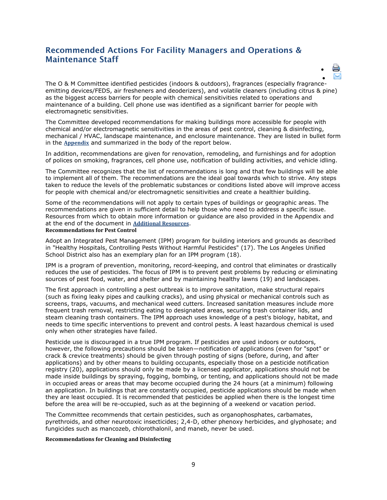# **Recommended Actions For Facility Managers and Operations & Maintenance Staff**



The O & M Committee identified pesticides (indoors & outdoors), fragrances (especially fragranceemitting devices/FEDS, air fresheners and deoderizers), and volatile cleaners (including citrus & pine) as the biggest access barriers for people with chemical sensitivities related to operations and maintenance of a building. Cell phone use was identified as a significant barrier for people with electromagnetic sensitivities.

The Committee developed recommendations for making buildings more accessible for people with chemical and/or electromagnetic sensitivities in the areas of pest control, cleaning & disinfecting, mechanical / HVAC, landscape maintenance, and enclosure maintenance. They are listed in bullet form in the **[Appendix](https://web.archive.org/web/20201018092142/https:/www.access-board.gov/research/completed-research/indoor-environmental-quality/appendices%E2%80%94detailed-recommendations)** and summarized in the body of the report below.

In addition, recommendations are given for renovation, remodeling, and furnishings and for adoption of polices on smoking, fragrances, cell phone use, notification of building activities, and vehicle idling.

The Committee recognizes that the list of recommendations is long and that few buildings will be able to implement all of them. The recommendations are the ideal goal towards which to strive. Any steps taken to reduce the levels of the problematic substances or conditions listed above will improve access for people with chemical and/or electromagnetic sensitivities and create a healthier building.

Some of the recommendations will not apply to certain types of buildings or geographic areas. The recommendations are given in sufficient detail to help those who need to address a specific issue. Resources from which to obtain more information or guidance are also provided in the Appendix and at the end of the document in **[Additional](https://web.archive.org/web/20201018092142/https:/www.access-board.gov/research/completed-research/indoor-environmental-quality/additional-resources) Resources**.

# **Recommendations for Pest Control**

Adopt an Integrated Pest Management (IPM) program for building interiors and grounds as described in "Healthy Hospitals, Controlling Pests Without Harmful Pesticides" (17). The Los Angeles Unified School District also has an exemplary plan for an IPM program (18).

IPM is a program of prevention, monitoring, record-keeping, and control that eliminates or drastically reduces the use of pesticides. The focus of IPM is to prevent pest problems by reducing or eliminating sources of pest food, water, and shelter and by maintaining healthy lawns (19) and landscapes.

The first approach in controlling a pest outbreak is to improve sanitation, make structural repairs (such as fixing leaky pipes and caulking cracks), and using physical or mechanical controls such as screens, traps, vacuums, and mechanical weed cutters. Increased sanitation measures include more frequent trash removal, restricting eating to designated areas, securing trash container lids, and steam cleaning trash containers. The IPM approach uses knowledge of a pest's biology, habitat, and needs to time specific interventions to prevent and control pests. A least hazardous chemical is used only when other strategies have failed.

Pesticide use is discouraged in a true IPM program. If pesticides are used indoors or outdoors, however, the following precautions should be taken—notification of applications (even for "spot" or crack & crevice treatments) should be given through posting of signs (before, during, and after applications) and by other means to building occupants, especially those on a pesticide notification registry (20), applications should only be made by a licensed applicator, applications should not be made inside buildings by spraying, fogging, bombing, or tenting, and applications should not be made in occupied areas or areas that may become occupied during the 24 hours (at a minimum) following an application. In buildings that are constantly occupied, pesticide applications should be made when they are least occupied. It is recommended that pesticides be applied when there is the longest time before the area will be re-occupied, such as at the beginning of a weekend or vacation period.

The Committee recommends that certain pesticides, such as organophosphates, carbamates, pyrethroids, and other neurotoxic insecticides; 2,4-D, other phenoxy herbicides, and glyphosate; and fungicides such as mancozeb, chlorothalonil, and maneb, never be used.

# **Recommendations for Cleaning and Disinfecting**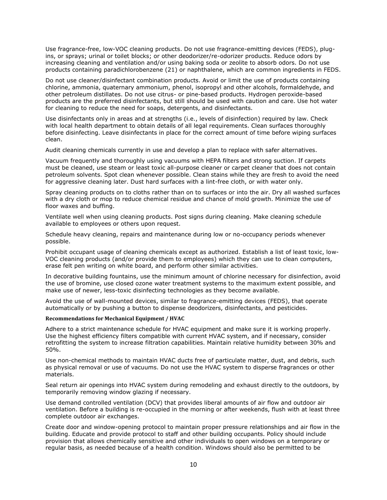Use fragrance-free, low-VOC cleaning products. Do not use fragrance-emitting devices (FEDS), plugins, or sprays; urinal or toilet blocks; or other deodorizer/re-odorizer products. Reduce odors by increasing cleaning and ventilation and/or using baking soda or zeolite to absorb odors. Do not use products containing paradichlorobenzene (21) or naphthalene, which are common ingredients in FEDS.

Do not use cleaner/disinfectant combination products. Avoid or limit the use of products containing chlorine, ammonia, quaternary ammonium, phenol, isopropyl and other alcohols, formaldehyde, and other petroleum distillates. Do not use citrus- or pine-based products. Hydrogen peroxide-based products are the preferred disinfectants, but still should be used with caution and care. Use hot water for cleaning to reduce the need for soaps, detergents, and disinfectants.

Use disinfectants only in areas and at strengths (i.e., levels of disinfection) required by law. Check with local health department to obtain details of all legal requirements. Clean surfaces thoroughly before disinfecting. Leave disinfectants in place for the correct amount of time before wiping surfaces clean.

Audit cleaning chemicals currently in use and develop a plan to replace with safer alternatives.

Vacuum frequently and thoroughly using vacuums with HEPA filters and strong suction. If carpets must be cleaned, use steam or least toxic all-purpose cleaner or carpet cleaner that does not contain petroleum solvents. Spot clean whenever possible. Clean stains while they are fresh to avoid the need for aggressive cleaning later. Dust hard surfaces with a lint-free cloth, or with water only.

Spray cleaning products on to cloths rather than on to surfaces or into the air. Dry all washed surfaces with a dry cloth or mop to reduce chemical residue and chance of mold growth. Minimize the use of floor waxes and buffing.

Ventilate well when using cleaning products. Post signs during cleaning. Make cleaning schedule available to employees or others upon request.

Schedule heavy cleaning, repairs and maintenance during low or no-occupancy periods whenever possible.

Prohibit occupant usage of cleaning chemicals except as authorized. Establish a list of least toxic, low-VOC cleaning products (and/or provide them to employees) which they can use to clean computers, erase felt pen writing on white board, and perform other similar activities.

In decorative building fountains, use the minimum amount of chlorine necessary for disinfection, avoid the use of bromine, use closed ozone water treatment systems to the maximum extent possible, and make use of newer, less-toxic disinfecting technologies as they become available.

Avoid the use of wall-mounted devices, similar to fragrance-emitting devices (FEDS), that operate automatically or by pushing a button to dispense deodorizers, disinfectants, and pesticides.

# **Recommendations for Mechanical Equipment / HVAC**

Adhere to a strict maintenance schedule for HVAC equipment and make sure it is working properly. Use the highest efficiency filters compatible with current HVAC system, and if necessary, consider retrofitting the system to increase filtration capabilities. Maintain relative humidity between 30% and 50%.

Use non-chemical methods to maintain HVAC ducts free of particulate matter, dust, and debris, such as physical removal or use of vacuums. Do not use the HVAC system to disperse fragrances or other materials.

Seal return air openings into HVAC system during remodeling and exhaust directly to the outdoors, by temporarily removing window glazing if necessary.

Use demand controlled ventilation (DCV) that provides liberal amounts of air flow and outdoor air ventilation. Before a building is re-occupied in the morning or after weekends, flush with at least three complete outdoor air exchanges.

Create door and window-opening protocol to maintain proper pressure relationships and air flow in the building. Educate and provide protocol to staff and other building occupants. Policy should include provision that allows chemically sensitive and other individuals to open windows on a temporary or regular basis, as needed because of a health condition. Windows should also be permitted to be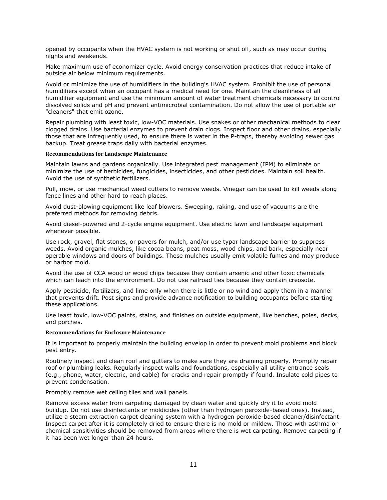opened by occupants when the HVAC system is not working or shut off, such as may occur during nights and weekends.

Make maximum use of economizer cycle. Avoid energy conservation practices that reduce intake of outside air below minimum requirements.

Avoid or minimize the use of humidifiers in the building's HVAC system. Prohibit the use of personal humidifiers except when an occupant has a medical need for one. Maintain the cleanliness of all humidifier equipment and use the minimum amount of water treatment chemicals necessary to control dissolved solids and pH and prevent antimicrobial contamination. Do not allow the use of portable air "cleaners" that emit ozone.

Repair plumbing with least toxic, low-VOC materials. Use snakes or other mechanical methods to clear clogged drains. Use bacterial enzymes to prevent drain clogs. Inspect floor and other drains, especially those that are infrequently used, to ensure there is water in the P-traps, thereby avoiding sewer gas backup. Treat grease traps daily with bacterial enzymes.

#### **Recommendations for Landscape Maintenance**

Maintain lawns and gardens organically. Use integrated pest management (IPM) to eliminate or minimize the use of herbicides, fungicides, insecticides, and other pesticides. Maintain soil health. Avoid the use of synthetic fertilizers.

Pull, mow, or use mechanical weed cutters to remove weeds. Vinegar can be used to kill weeds along fence lines and other hard to reach places.

Avoid dust-blowing equipment like leaf blowers. Sweeping, raking, and use of vacuums are the preferred methods for removing debris.

Avoid diesel-powered and 2-cycle engine equipment. Use electric lawn and landscape equipment whenever possible.

Use rock, gravel, flat stones, or pavers for mulch, and/or use typar landscape barrier to suppress weeds. Avoid organic mulches, like cocoa beans, peat moss, wood chips, and bark, especially near operable windows and doors of buildings. These mulches usually emit volatile fumes and may produce or harbor mold.

Avoid the use of CCA wood or wood chips because they contain arsenic and other toxic chemicals which can leach into the environment. Do not use railroad ties because they contain creosote.

Apply pesticide, fertilizers, and lime only when there is little or no wind and apply them in a manner that prevents drift. Post signs and provide advance notification to building occupants before starting these applications.

Use least toxic, low-VOC paints, stains, and finishes on outside equipment, like benches, poles, decks, and porches.

#### **Recommendations for Enclosure Maintenance**

It is important to properly maintain the building envelop in order to prevent mold problems and block pest entry.

Routinely inspect and clean roof and gutters to make sure they are draining properly. Promptly repair roof or plumbing leaks. Regularly inspect walls and foundations, especially all utility entrance seals (e.g., phone, water, electric, and cable) for cracks and repair promptly if found. Insulate cold pipes to prevent condensation.

Promptly remove wet ceiling tiles and wall panels.

Remove excess water from carpeting damaged by clean water and quickly dry it to avoid mold buildup. Do not use disinfectants or moldicides (other than hydrogen peroxide-based ones). Instead, utilize a steam extraction carpet cleaning system with a hydrogen peroxide-based cleaner/disinfectant. Inspect carpet after it is completely dried to ensure there is no mold or mildew. Those with asthma or chemical sensitivities should be removed from areas where there is wet carpeting. Remove carpeting if it has been wet longer than 24 hours.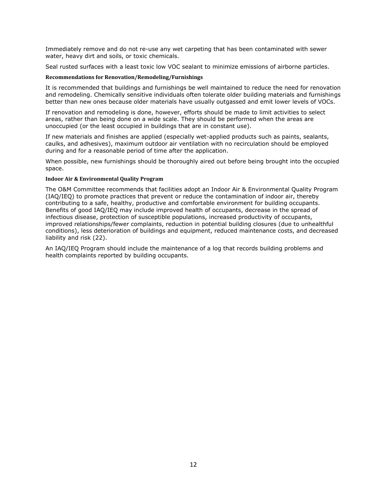Immediately remove and do not re-use any wet carpeting that has been contaminated with sewer water, heavy dirt and soils, or toxic chemicals.

Seal rusted surfaces with a least toxic low VOC sealant to minimize emissions of airborne particles.

#### **Recommendations for Renovation/Remodeling/Furnishings**

It is recommended that buildings and furnishings be well maintained to reduce the need for renovation and remodeling. Chemically sensitive individuals often tolerate older building materials and furnishings better than new ones because older materials have usually outgassed and emit lower levels of VOCs.

If renovation and remodeling is done, however, efforts should be made to limit activities to select areas, rather than being done on a wide scale. They should be performed when the areas are unoccupied (or the least occupied in buildings that are in constant use).

If new materials and finishes are applied (especially wet-applied products such as paints, sealants, caulks, and adhesives), maximum outdoor air ventilation with no recirculation should be employed during and for a reasonable period of time after the application.

When possible, new furnishings should be thoroughly aired out before being brought into the occupied space.

#### **Indoor Air & Environmental Quality Program**

The O&M Committee recommends that facilities adopt an Indoor Air & Environmental Quality Program (IAQ/IEQ) to promote practices that prevent or reduce the contamination of indoor air, thereby contributing to a safe, healthy, productive and comfortable environment for building occupants. Benefits of good IAQ/IEQ may include improved health of occupants, decrease in the spread of infectious disease, protection of susceptible populations, increased productivity of occupants, improved relationships/fewer complaints, reduction in potential building closures (due to unhealthful conditions), less deterioration of buildings and equipment, reduced maintenance costs, and decreased liability and risk (22).

An IAQ/IEQ Program should include the maintenance of a log that records building problems and health complaints reported by building occupants.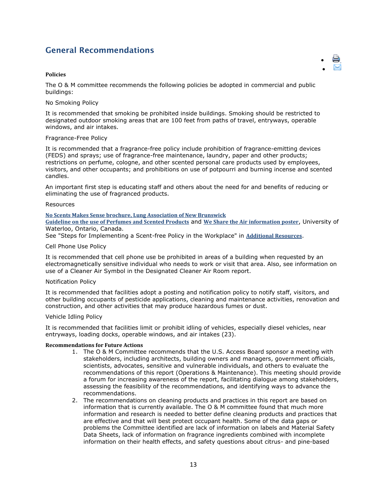# **General Recommendations**

#### **Policies**

The O & M committee recommends the following policies be adopted in commercial and public buildings:

• •

#### No Smoking Policy

It is recommended that smoking be prohibited inside buildings. Smoking should be restricted to designated outdoor smoking areas that are 100 feet from paths of travel, entryways, operable windows, and air intakes.

#### Fragrance-Free Policy

It is recommended that a fragrance-free policy include prohibition of fragrance-emitting devices (FEDS) and sprays; use of fragrance-free maintenance, laundry, paper and other products; restrictions on perfume, cologne, and other scented personal care products used by employees, visitors, and other occupants; and prohibitions on use of potpourri and burning incense and scented candles.

An important first step is educating staff and others about the need for and benefits of reducing or eliminating the use of fragranced products.

# Resources

**No Scents Makes Sense brochure, Lung [Association](https://web.archive.org/web/20201019053349/http:/www.nb.lung.ca/pdf/NoScentsMakeSense.pdf) of New Brunswick [Guideline](https://web.archive.org/web/20201019053349/http:/www.ehs.utoronto.ca/Assets/ehs+Digital+Assets/ehs3/documents/Scents+Brochure+March+2006.pdf) on the use of Perfumes and Scented Products** and **We Share the Air [information](https://web.archive.org/web/20201019053349/http:/www.ehs.utoronto.ca/Assets/ehs+Digital+Assets/ehs3/Scent+Policy/Scent+Poster.pdf) poster**, University of Waterloo, Ontario, Canada.

See "Steps for Implementing a Scent-free Policy in the Workplace" in **[Additional](https://web.archive.org/web/20201019053349/https:/www.access-board.gov/research/completed-research/indoor-environmental-quality/additional-resources) Resources**.

# Cell Phone Use Policy

It is recommended that cell phone use be prohibited in areas of a building when requested by an electromagnetically sensitive individual who needs to work or visit that area. Also, see information on use of a Cleaner Air Symbol in the Designated Cleaner Air Room report.

# Notification Policy

It is recommended that facilities adopt a posting and notification policy to notify staff, visitors, and other building occupants of pesticide applications, cleaning and maintenance activities, renovation and construction, and other activities that may produce hazardous fumes or dust.

# Vehicle Idling Policy

It is recommended that facilities limit or prohibit idling of vehicles, especially diesel vehicles, near entryways, loading docks, operable windows, and air intakes (23).

#### **Recommendations for Future Actions**

- 1. The O & M Committee recommends that the U.S. Access Board sponsor a meeting with stakeholders, including architects, building owners and managers, government officials, scientists, advocates, sensitive and vulnerable individuals, and others to evaluate the recommendations of this report (Operations & Maintenance). This meeting should provide a forum for increasing awareness of the report, facilitating dialogue among stakeholders, assessing the feasibility of the recommendations, and identifying ways to advance the recommendations.
- 2. The recommendations on cleaning products and practices in this report are based on information that is currently available. The O & M committee found that much more information and research is needed to better define cleaning products and practices that are effective and that will best protect occupant health. Some of the data gaps or problems the Committee identified are lack of information on labels and Material Safety Data Sheets, lack of information on fragrance ingredients combined with incomplete information on their health effects, and safety questions about citrus- and pine-based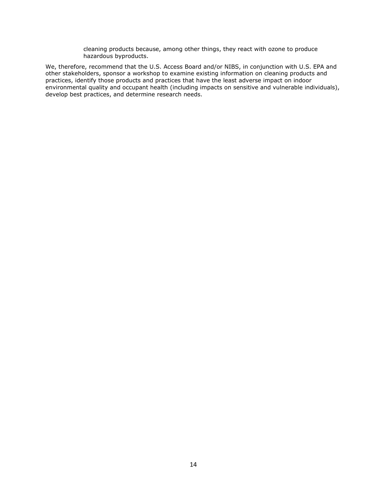cleaning products because, among other things, they react with ozone to produce hazardous byproducts.

We, therefore, recommend that the U.S. Access Board and/or NIBS, in conjunction with U.S. EPA and other stakeholders, sponsor a workshop to examine existing information on cleaning products and practices, identify those products and practices that have the least adverse impact on indoor environmental quality and occupant health (including impacts on sensitive and vulnerable individuals), develop best practices, and determine research needs.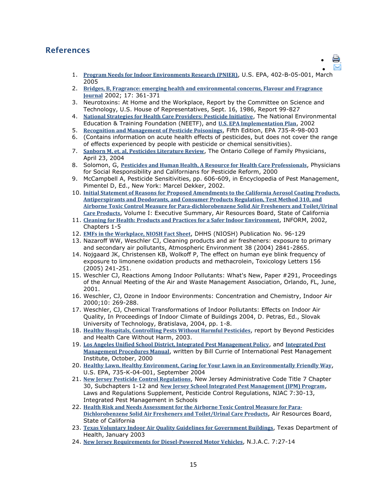# **References**

• 1. **Program Needs for Indoor [Environments](https://web.archive.org/web/20201018104523/http:/www.epa.gov/iaq/pdfs/pnier.pdf) Research (PNIER)**, U.S. EPA, 402-B-05-001, March 2005

•

- 2. **Bridges, B, Fragrance: emerging health and [environmental](https://web.archive.org/web/20201018104523/http:/www3.interscience.wiley.com/cgi-bin/fulltext/93514043/PDFSTART) concerns, Flavour and Fragrance [Journal](https://web.archive.org/web/20201018104523/http:/www3.interscience.wiley.com/cgi-bin/fulltext/93514043/PDFSTART)** 2002; 17: 361-371
- 3. Neurotoxins: At Home and the Workplace, Report by the Committee on Science and Technology, U.S. House of Representatives, Sept. 16, 1986, Report 99-827
- 4. **National Strategies for Health Care [Providers:](https://web.archive.org/web/20201018104523/http:/www.neefusa.org/health/pesticides/) Pesticide Initiative**, The National Environmental Education & Training Foundation (NEETF), and **U.S. EPA [Implementation](https://web.archive.org/web/20201018104523/http:/www.epa.gov/pesticides/safety/healthcare/healthcare.htm) Plan**, 2002
- 5. **Recognition and [Management](https://web.archive.org/web/20201018104523/http:/www.epa.gov/pesticides/safety/healthcare/handbook/handbook.htm) of Pesticide Poisonings**, Fifth Edition, EPA 735-R-98-003
- 6. (Contains information on acute health effects of pesticides, but does not cover the range of effects experienced by people with pesticide or chemical sensitivities).
- 7. **Sanborn M, et. al, Pesticides [Literature](https://web.archive.org/web/20201018104523/http:/www.ocfp.on.ca/docs/pesticides-paper/pesticides-paper.pdf) Review**, The Ontario College of Family Physicians, April 23, 2004
- 8. Solomon, G, **Pesticides and Human Health, A Resource for Health Care [Professionals](https://web.archive.org/web/20201018104523/http:/www.psr-la.org/files/pesticides_and_human_health.pdf)**, Physicians for Social Responsibility and Californians for Pesticide Reform, 2000
- 9. McCampbell A, Pesticide Sensitivities, pp. 606-609, in Encyclopedia of Pest Management, Pimentel D, Ed., New York: Marcel Dekker, 2002.
- 10. **Initial Statement of Reasons for Proposed [Amendments](https://web.archive.org/web/20201018104523/http:/www.arb.ca.gov/regact/conprod/execsum.pdf) to the California Aerosol Coating Products, [Antiperspirants](https://web.archive.org/web/20201018104523/http:/www.arb.ca.gov/regact/conprod/execsum.pdf) and Deodorants, and Consumer Products Regulation, Test Method 310, and Airborne Toxic Control Measure for [Para-dichlorobenzene](https://web.archive.org/web/20201018104523/http:/www.arb.ca.gov/regact/conprod/execsum.pdf) Solid Air Fresheners and Toilet/Urinal Care [Products](https://web.archive.org/web/20201018104523/http:/www.arb.ca.gov/regact/conprod/execsum.pdf)**, Volume I: Executive Summary, Air Resources Board, State of California
- 11. **Cleaning for Health: Products and Practices for a Safer Indoor [Environment](https://web.archive.org/web/20201018104523/http:/www.informinc.org/cleanforhealth.php)**, INFORM, 2002, Chapters 1-5
- 12. **EMFs in the [Workplace,](https://web.archive.org/web/20201018104523/http:/www.cdc.gov/niosh/docs/96-129/) NIOSH Fact Sheet**, DHHS (NIOSH) Publication No. 96-129
- 13. Nazaroff WW, Weschler CJ, Cleaning products and air fresheners: exposure to primary and secondary air pollutants, Atmospheric Environment 38 (2004) 2841-2865.
- 14. Nojgaard JK, Christensen KB, Wolkoff P, The effect on human eye blink frequency of exposure to limonene oxidation products and methacrolein, Toxicology Letters 156 (2005) 241-251.
- 15. Weschler CJ, Reactions Among Indoor Pollutants: What's New, Paper #291, Proceedings of the Annual Meeting of the Air and Waste Management Association, Orlando, FL, June, 2001.
- 16. Weschler, CJ, Ozone in Indoor Environments: Concentration and Chemistry, Indoor Air 2000;10: 269-288.
- 17. Weschler, CJ, Chemical Transformations of Indoor Pollutants: Effects on Indoor Air Quality, In Proceedings of Indoor Climate of Buildings 2004, D. Petras, Ed., Slovak University of Technology, Bratislava, 2004, pp. 1-8.
- 18. **Healthy Hospitals, [Controlling](https://web.archive.org/web/20201018104523/http:/www.noharm.org/lib/downloads/cleaners/Control_Pests_wo_Pesticides.pdf) Pests Without Harmful Pesticides**, report by Beyond Pesticides and Health Care Without Harm, 2003.
- 19. **Los Angeles Unified School District, Integrated Pest [Management](https://web.archive.org/web/20201018104523/http:/www.laschools.org/employee/mo/ipm/docs/ipmpolicyretype.pdf) Policy**, and **[Integrated](https://web.archive.org/web/20201018104523/http:/www.laschools.org/employee/mo/ipm/docs/ipm-procedures-manual.pdf) Pest [Management](https://web.archive.org/web/20201018104523/http:/www.laschools.org/employee/mo/ipm/docs/ipm-procedures-manual.pdf) Procedures Manual**, written by Bill Currie of International Pest Management Institute, October, 2000
- 20. **Healthy Lawn, Healthy Environment, Caring for Your Lawn in an [Environmentally](https://web.archive.org/web/20201018104523/http:/www.epa.gov/oppfead1/Publications/lawncare.pdf) Friendly Way**, U.S. EPA, 735-K-04-001, September 2004
- 21. **New Jersey Pesticide Control [Regulations](https://web.archive.org/web/20201018104523/http:/www.nj.gov/dep/enforcement/pcp/pcp-regs.htm)**, New Jersey Administrative Code Title 7 Chapter 30, Subchapters 1-12 and **New Jersey School Integrated Pest [Management](https://web.archive.org/web/20201018104523/http:/www.nj.gov/dep/enforcement/pcp/ipm-laws2.htm) (IPM) Program**, Laws and Regulations Supplement, Pesticide Control Regulations, NJAC 7:30-13, Integrated Pest Management in Schools
- 22. **Health Risk and Needs [Assessment](https://web.archive.org/web/20201018104523/http:/www.arb.ca.gov/regact/conprod/ch7.pdf) for the Airborne Toxic Control Measure for Para-[Dichlorobenzene](https://web.archive.org/web/20201018104523/http:/www.arb.ca.gov/regact/conprod/ch7.pdf) Solid Air Fresheners and Toilet/Urinal Care Products**, Air Resources Board, State of California
- 23. **Texas Voluntary Indoor Air Quality Guidelines for [Government](https://web.archive.org/web/20201018104523/http:/www.dshs.state.tx.us/iaq/SchoolsGuide.shtm) Buildings**, Texas Department of Health, January 2003
- 24. **New Jersey Requirements for [Diesel-Powered](https://web.archive.org/web/20201018104523/http:/www.state.nj.us/dep/aqm/sub14v2001-10-01.htm) Motor Vehicles**, N.J.A.C. 7:27-14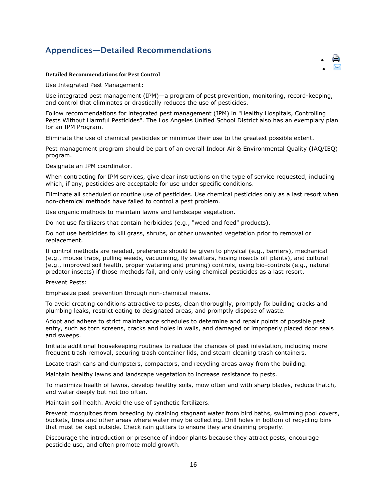# **Appendices-Detailed Recommendations**



# **Detailed Recommendations for Pest Control**

Use Integrated Pest Management:

Use integrated pest management (IPM)—a program of pest prevention, monitoring, record-keeping, and control that eliminates or drastically reduces the use of pesticides.

Follow recommendations for integrated pest management (IPM) in "Healthy Hospitals, Controlling Pests Without Harmful Pesticides". The Los Angeles Unified School District also has an exemplary plan for an IPM Program.

Eliminate the use of chemical pesticides or minimize their use to the greatest possible extent.

Pest management program should be part of an overall Indoor Air & Environmental Quality (IAQ/IEQ) program.

Designate an IPM coordinator.

When contracting for IPM services, give clear instructions on the type of service requested, including which, if any, pesticides are acceptable for use under specific conditions.

Eliminate all scheduled or routine use of pesticides. Use chemical pesticides only as a last resort when non-chemical methods have failed to control a pest problem.

Use organic methods to maintain lawns and landscape vegetation.

Do not use fertilizers that contain herbicides (e.g., "weed and feed" products).

Do not use herbicides to kill grass, shrubs, or other unwanted vegetation prior to removal or replacement.

If control methods are needed, preference should be given to physical (e.g., barriers), mechanical (e.g., mouse traps, pulling weeds, vacuuming, fly swatters, hosing insects off plants), and cultural (e.g., improved soil health, proper watering and pruning) controls, using bio-controls (e.g., natural predator insects) if those methods fail, and only using chemical pesticides as a last resort.

# Prevent Pests:

Emphasize pest prevention through non-chemical means.

To avoid creating conditions attractive to pests, clean thoroughly, promptly fix building cracks and plumbing leaks, restrict eating to designated areas, and promptly dispose of waste.

Adopt and adhere to strict maintenance schedules to determine and repair points of possible pest entry, such as torn screens, cracks and holes in walls, and damaged or improperly placed door seals and sweeps.

Initiate additional housekeeping routines to reduce the chances of pest infestation, including more frequent trash removal, securing trash container lids, and steam cleaning trash containers.

Locate trash cans and dumpsters, compactors, and recycling areas away from the building.

Maintain healthy lawns and landscape vegetation to increase resistance to pests.

To maximize health of lawns, develop healthy soils, mow often and with sharp blades, reduce thatch, and water deeply but not too often.

Maintain soil health. Avoid the use of synthetic fertilizers.

Prevent mosquitoes from breeding by draining stagnant water from bird baths, swimming pool covers, buckets, tires and other areas where water may be collecting. Drill holes in bottom of recycling bins that must be kept outside. Check rain gutters to ensure they are draining properly.

Discourage the introduction or presence of indoor plants because they attract pests, encourage pesticide use, and often promote mold growth.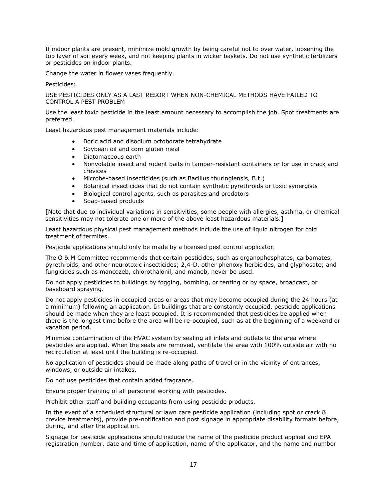If indoor plants are present, minimize mold growth by being careful not to over water, loosening the top layer of soil every week, and not keeping plants in wicker baskets. Do not use synthetic fertilizers or pesticides on indoor plants.

Change the water in flower vases frequently.

Pesticides:

USE PESTICIDES ONLY AS A LAST RESORT WHEN NON-CHEMICAL METHODS HAVE FAILED TO CONTROL A PEST PROBLEM

Use the least toxic pesticide in the least amount necessary to accomplish the job. Spot treatments are preferred.

Least hazardous pest management materials include:

- Boric acid and disodium octoborate tetrahydrate
- Soybean oil and corn gluten meal
- Diatomaceous earth
- Nonvolatile insect and rodent baits in tamper-resistant containers or for use in crack and crevices
- Microbe-based insecticides (such as Bacillus thuringiensis, B.t.)
- Botanical insecticides that do not contain synthetic pyrethroids or toxic synergists
- Biological control agents, such as parasites and predators
- Soap-based products

[Note that due to individual variations in sensitivities, some people with allergies, asthma, or chemical sensitivities may not tolerate one or more of the above least hazardous materials.]

Least hazardous physical pest management methods include the use of liquid nitrogen for cold treatment of termites.

Pesticide applications should only be made by a licensed pest control applicator.

The O & M Committee recommends that certain pesticides, such as organophosphates, carbamates, pyrethroids, and other neurotoxic insecticides; 2,4-D, other phenoxy herbicides, and glyphosate; and fungicides such as mancozeb, chlorothalonil, and maneb, never be used.

Do not apply pesticides to buildings by fogging, bombing, or tenting or by space, broadcast, or baseboard spraying.

Do not apply pesticides in occupied areas or areas that may become occupied during the 24 hours (at a minimum) following an application. In buildings that are constantly occupied, pesticide applications should be made when they are least occupied. It is recommended that pesticides be applied when there is the longest time before the area will be re-occupied, such as at the beginning of a weekend or vacation period.

Minimize contamination of the HVAC system by sealing all inlets and outlets to the area where pesticides are applied. When the seals are removed, ventilate the area with 100% outside air with no recirculation at least until the building is re-occupied.

No application of pesticides should be made along paths of travel or in the vicinity of entrances, windows, or outside air intakes.

Do not use pesticides that contain added fragrance.

Ensure proper training of all personnel working with pesticides.

Prohibit other staff and building occupants from using pesticide products.

In the event of a scheduled structural or lawn care pesticide application (including spot or crack & crevice treatments), provide pre-notification and post signage in appropriate disability formats before, during, and after the application.

Signage for pesticide applications should include the name of the pesticide product applied and EPA registration number, date and time of application, name of the applicator, and the name and number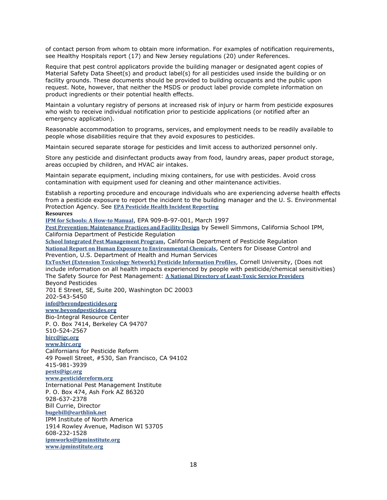of contact person from whom to obtain more information. For examples of notification requirements, see Healthy Hospitals report (17) and New Jersey regulations (20) under References.

Require that pest control applicators provide the building manager or designated agent copies of Material Safety Data Sheet(s) and product label(s) for all pesticides used inside the building or on facility grounds. These documents should be provided to building occupants and the public upon request. Note, however, that neither the MSDS or product label provide complete information on product ingredients or their potential health effects.

Maintain a voluntary registry of persons at increased risk of injury or harm from pesticide exposures who wish to receive individual notification prior to pesticide applications (or notified after an emergency application).

Reasonable accommodation to programs, services, and employment needs to be readily available to people whose disabilities require that they avoid exposures to pesticides.

Maintain secured separate storage for pesticides and limit access to authorized personnel only.

Store any pesticide and disinfectant products away from food, laundry areas, paper product storage, areas occupied by children, and HVAC air intakes.

Maintain separate equipment, including mixing containers, for use with pesticides. Avoid cross contamination with equipment used for cleaning and other maintenance activities.

Establish a reporting procedure and encourage individuals who are experiencing adverse health effects from a pesticide exposure to report the incident to the building manager and the U. S. Environmental Protection Agency. See **EPA Pesticide Health Incident [Reporting](https://web.archive.org/web/20201018194906/http:/www.epa.gov/pesticides/health/reporting.htm) Resources**

**IPM for [Schools:](https://web.archive.org/web/20201018194906/http:/www.epa.gov/pesticides/ipm/schoolipm/) A How-to Manual**, EPA 909-B-97-001, March 1997

**Pest Prevention: [Maintenance](https://web.archive.org/web/20201018194906/http:/apps.cdpr.ca.gov/schoolipm/managing_pests/71_pest_prevention.cfm) Practices and Facility Design** by Sewell Simmons, California School IPM, California Department of Pesticide Regulation

**School Integrated Pest [Management](https://web.archive.org/web/20201018194906/http:/apps.cdpr.ca.gov/schoolipm/main.cfm) Program**, California Department of Pesticide Regulation **National Report on Human Exposure to [Environmental](https://web.archive.org/web/20201018194906/http:/www.cdc.gov/exposurereport/) Chemicals**, Centers for Disease Control and Prevention, U.S. Department of Health and Human Services

**ExToxNet (Extension Toxicology Network) Pesticide [Information](https://web.archive.org/web/20201018194906/http:/pmep.cce.cornell.edu/profiles/extoxnet/) Profiles**, Cornell University, (Does not include information on all health impacts experienced by people with pesticide/chemical sensitivities) The Safety Source for Pest Management: **A National Directory of [Least-Toxic](https://web.archive.org/web/20201018194906/http:/www.beyondpesticides.org/safetysource) Service Providers** Beyond Pesticides

701 E Street, SE, Suite 200, Washington DC 20003 202-543-5450

**[info@beyondpesticides.org](mailto:info@beyondpesticides.org)**

**[www.beyondpesticides.org](https://web.archive.org/web/20201018194906/http:/www.beyondpesticides.org/)**

Bio-Integral Resource Center

P. O. Box 7414, Berkeley CA 94707 510-524-2567

**[birc@igc.org](mailto:birc@igc.org)**

**[www.birc.org](https://web.archive.org/web/20201018194906/http:/www.birc.org/)**

Californians for Pesticide Reform 49 Powell Street, #530, San Francisco, CA 94102 415-981-3939

**[pests@igc.org](mailto:pests@igc.org)**

**[www.pesticidereform.org](https://web.archive.org/web/20201018194906/http:/www.pesticidereform.org/)**

**[ipmworks@ipminstitute.org](mailto:ipmworks@ipminstitute.org) [www.ipminstitute.org](https://web.archive.org/web/20201018194906/http:/www.ipminstitute.org/)**

International Pest Management Institute P. O. Box 474, Ash Fork AZ 86320 928-637-2378 Bill Currie, Director **[bugebill@earthlink.net](mailto:bugebill@earthlink.net)** IPM Institute of North America 1914 Rowley Avenue, Madison WI 53705 608-232-1528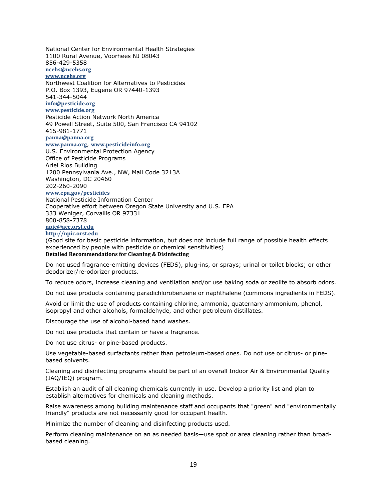National Center for Environmental Health Strategies 1100 Rural Avenue, Voorhees NJ 08043 856-429-5358 **[ncehs@ncehs.org](mailto:ncehs@ncehs.org) [www.ncehs.org](https://web.archive.org/web/20201018194906/http:/www.ncehs.org/)** Northwest Coalition for Alternatives to Pesticides

P.O. Box 1393, Eugene OR 97440-1393 541-344-5044

**[info@pesticide.org](mailto:info@pesticide.org) [www.pesticide.org](https://web.archive.org/web/20201018194906/http:/www.pesticide.org/)**

Pesticide Action Network North America 49 Powell Street, Suite 500, San Francisco CA 94102 415-981-1771

**[panna@panna.org](mailto:panna@panna.org)**

# **[www.panna.org](https://web.archive.org/web/20201018194906/http:/www.panna.org/)**, **[www.pesticideinfo.org](https://web.archive.org/web/20201018194906/http:/www.pesticideinfo.org/)**

U.S. Environmental Protection Agency Office of Pesticide Programs Ariel Rios Building 1200 Pennsylvania Ave., NW, Mail Code 3213A Washington, DC 20460 202-260-2090

**[www.epa.gov/pesticides](https://web.archive.org/web/20201018194906/http:/www.epa.gov/pesticides)**

National Pesticide Information Center Cooperative effort between Oregon State University and U.S. EPA 333 Weniger, Corvallis OR 97331 800-858-7378 **[npic@ace.orst.edu](mailto:npic@ace.orst.edu)**

# **[http://npic.orst.edu](https://web.archive.org/web/20201018194906/http:/npic.orst.edu/)**

(Good site for basic pesticide information, but does not include full range of possible health effects experienced by people with pesticide or chemical sensitivities) **Detailed Recommendations for Cleaning & Disinfecting**

Do not used fragrance-emitting devices (FEDS), plug-ins, or sprays; urinal or toilet blocks; or other deodorizer/re-odorizer products.

To reduce odors, increase cleaning and ventilation and/or use baking soda or zeolite to absorb odors.

Do not use products containing paradichlorobenzene or naphthalene (commons ingredients in FEDS).

Avoid or limit the use of products containing chlorine, ammonia, quaternary ammonium, phenol, isopropyl and other alcohols, formaldehyde, and other petroleum distillates.

Discourage the use of alcohol-based hand washes.

Do not use products that contain or have a fragrance.

Do not use citrus- or pine-based products.

Use vegetable-based surfactants rather than petroleum-based ones. Do not use or citrus- or pinebased solvents.

Cleaning and disinfecting programs should be part of an overall Indoor Air & Environmental Quality (IAQ/IEQ) program.

Establish an audit of all cleaning chemicals currently in use. Develop a priority list and plan to establish alternatives for chemicals and cleaning methods.

Raise awareness among building maintenance staff and occupants that "green" and "environmentally friendly" products are not necessarily good for occupant health.

Minimize the number of cleaning and disinfecting products used.

Perform cleaning maintenance on an as needed basis—use spot or area cleaning rather than broadbased cleaning.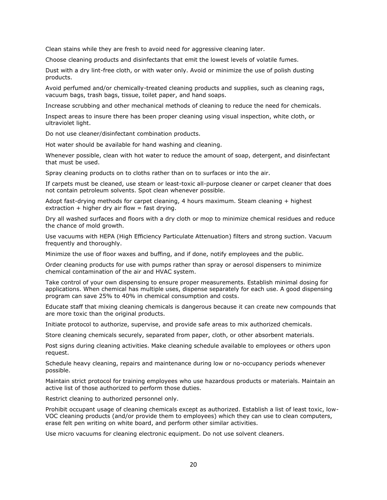Clean stains while they are fresh to avoid need for aggressive cleaning later.

Choose cleaning products and disinfectants that emit the lowest levels of volatile fumes.

Dust with a dry lint-free cloth, or with water only. Avoid or minimize the use of polish dusting products.

Avoid perfumed and/or chemically-treated cleaning products and supplies, such as cleaning rags, vacuum bags, trash bags, tissue, toilet paper, and hand soaps.

Increase scrubbing and other mechanical methods of cleaning to reduce the need for chemicals.

Inspect areas to insure there has been proper cleaning using visual inspection, white cloth, or ultraviolet light.

Do not use cleaner/disinfectant combination products.

Hot water should be available for hand washing and cleaning.

Whenever possible, clean with hot water to reduce the amount of soap, detergent, and disinfectant that must be used.

Spray cleaning products on to cloths rather than on to surfaces or into the air.

If carpets must be cleaned, use steam or least-toxic all-purpose cleaner or carpet cleaner that does not contain petroleum solvents. Spot clean whenever possible.

Adopt fast-drying methods for carpet cleaning, 4 hours maximum. Steam cleaning + highest extraction  $+$  higher dry air flow  $=$  fast drying.

Dry all washed surfaces and floors with a dry cloth or mop to minimize chemical residues and reduce the chance of mold growth.

Use vacuums with HEPA (High Efficiency Particulate Attenuation) filters and strong suction. Vacuum frequently and thoroughly.

Minimize the use of floor waxes and buffing, and if done, notify employees and the public.

Order cleaning products for use with pumps rather than spray or aerosol dispensers to minimize chemical contamination of the air and HVAC system.

Take control of your own dispensing to ensure proper measurements. Establish minimal dosing for applications. When chemical has multiple uses, dispense separately for each use. A good dispensing program can save 25% to 40% in chemical consumption and costs.

Educate staff that mixing cleaning chemicals is dangerous because it can create new compounds that are more toxic than the original products.

Initiate protocol to authorize, supervise, and provide safe areas to mix authorized chemicals.

Store cleaning chemicals securely, separated from paper, cloth, or other absorbent materials.

Post signs during cleaning activities. Make cleaning schedule available to employees or others upon request.

Schedule heavy cleaning, repairs and maintenance during low or no-occupancy periods whenever possible.

Maintain strict protocol for training employees who use hazardous products or materials. Maintain an active list of those authorized to perform those duties.

Restrict cleaning to authorized personnel only.

Prohibit occupant usage of cleaning chemicals except as authorized. Establish a list of least toxic, low-VOC cleaning products (and/or provide them to employees) which they can use to clean computers, erase felt pen writing on white board, and perform other similar activities.

Use micro vacuums for cleaning electronic equipment. Do not use solvent cleaners.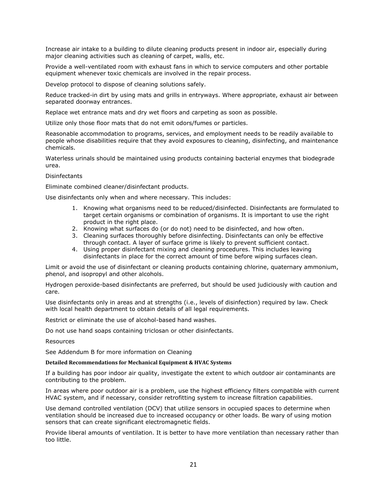Increase air intake to a building to dilute cleaning products present in indoor air, especially during major cleaning activities such as cleaning of carpet, walls, etc.

Provide a well-ventilated room with exhaust fans in which to service computers and other portable equipment whenever toxic chemicals are involved in the repair process.

Develop protocol to dispose of cleaning solutions safely.

Reduce tracked-in dirt by using mats and grills in entryways. Where appropriate, exhaust air between separated doorway entrances.

Replace wet entrance mats and dry wet floors and carpeting as soon as possible.

Utilize only those floor mats that do not emit odors/fumes or particles.

Reasonable accommodation to programs, services, and employment needs to be readily available to people whose disabilities require that they avoid exposures to cleaning, disinfecting, and maintenance chemicals.

Waterless urinals should be maintained using products containing bacterial enzymes that biodegrade urea.

#### **Disinfectants**

Eliminate combined cleaner/disinfectant products.

Use disinfectants only when and where necessary. This includes:

- 1. Knowing what organisms need to be reduced/disinfected. Disinfectants are formulated to target certain organisms or combination of organisms. It is important to use the right product in the right place.
- 2. Knowing what surfaces do (or do not) need to be disinfected, and how often.
- 3. Cleaning surfaces thoroughly before disinfecting. Disinfectants can only be effective through contact. A layer of surface grime is likely to prevent sufficient contact.
- 4. Using proper disinfectant mixing and cleaning procedures. This includes leaving disinfectants in place for the correct amount of time before wiping surfaces clean.

Limit or avoid the use of disinfectant or cleaning products containing chlorine, quaternary ammonium, phenol, and isopropyl and other alcohols.

Hydrogen peroxide-based disinfectants are preferred, but should be used judiciously with caution and care.

Use disinfectants only in areas and at strengths (i.e., levels of disinfection) required by law. Check with local health department to obtain details of all legal requirements.

Restrict or eliminate the use of alcohol-based hand washes.

Do not use hand soaps containing triclosan or other disinfectants.

#### Resources

See Addendum B for more information on Cleaning

#### **Detailed Recommendations for Mechanical Equipment & HVAC Systems**

If a building has poor indoor air quality, investigate the extent to which outdoor air contaminants are contributing to the problem.

In areas where poor outdoor air is a problem, use the highest efficiency filters compatible with current HVAC system, and if necessary, consider retrofitting system to increase filtration capabilities.

Use demand controlled ventilation (DCV) that utilize sensors in occupied spaces to determine when ventilation should be increased due to increased occupancy or other loads. Be wary of using motion sensors that can create significant electromagnetic fields.

Provide liberal amounts of ventilation. It is better to have more ventilation than necessary rather than too little.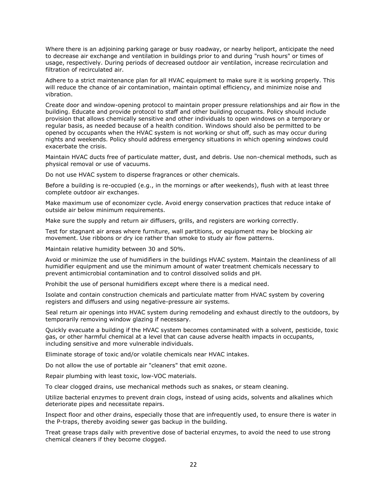Where there is an adjoining parking garage or busy roadway, or nearby heliport, anticipate the need to decrease air exchange and ventilation in buildings prior to and during "rush hours" or times of usage, respectively. During periods of decreased outdoor air ventilation, increase recirculation and filtration of recirculated air.

Adhere to a strict maintenance plan for all HVAC equipment to make sure it is working properly. This will reduce the chance of air contamination, maintain optimal efficiency, and minimize noise and vibration.

Create door and window-opening protocol to maintain proper pressure relationships and air flow in the building. Educate and provide protocol to staff and other building occupants. Policy should include provision that allows chemically sensitive and other individuals to open windows on a temporary or regular basis, as needed because of a health condition. Windows should also be permitted to be opened by occupants when the HVAC system is not working or shut off, such as may occur during nights and weekends. Policy should address emergency situations in which opening windows could exacerbate the crisis.

Maintain HVAC ducts free of particulate matter, dust, and debris. Use non-chemical methods, such as physical removal or use of vacuums.

Do not use HVAC system to disperse fragrances or other chemicals.

Before a building is re-occupied (e.g., in the mornings or after weekends), flush with at least three complete outdoor air exchanges.

Make maximum use of economizer cycle. Avoid energy conservation practices that reduce intake of outside air below minimum requirements.

Make sure the supply and return air diffusers, grills, and registers are working correctly.

Test for stagnant air areas where furniture, wall partitions, or equipment may be blocking air movement. Use ribbons or dry ice rather than smoke to study air flow patterns.

Maintain relative humidity between 30 and 50%.

Avoid or minimize the use of humidifiers in the buildings HVAC system. Maintain the cleanliness of all humidifier equipment and use the minimum amount of water treatment chemicals necessary to prevent antimicrobial contamination and to control dissolved solids and pH.

Prohibit the use of personal humidifiers except where there is a medical need.

Isolate and contain construction chemicals and particulate matter from HVAC system by covering registers and diffusers and using negative-pressure air systems.

Seal return air openings into HVAC system during remodeling and exhaust directly to the outdoors, by temporarily removing window glazing if necessary.

Quickly evacuate a building if the HVAC system becomes contaminated with a solvent, pesticide, toxic gas, or other harmful chemical at a level that can cause adverse health impacts in occupants, including sensitive and more vulnerable individuals.

Eliminate storage of toxic and/or volatile chemicals near HVAC intakes.

Do not allow the use of portable air "cleaners" that emit ozone.

Repair plumbing with least toxic, low-VOC materials.

To clear clogged drains, use mechanical methods such as snakes, or steam cleaning.

Utilize bacterial enzymes to prevent drain clogs, instead of using acids, solvents and alkalines which deteriorate pipes and necessitate repairs.

Inspect floor and other drains, especially those that are infrequently used, to ensure there is water in the P-traps, thereby avoiding sewer gas backup in the building.

Treat grease traps daily with preventive dose of bacterial enzymes, to avoid the need to use strong chemical cleaners if they become clogged.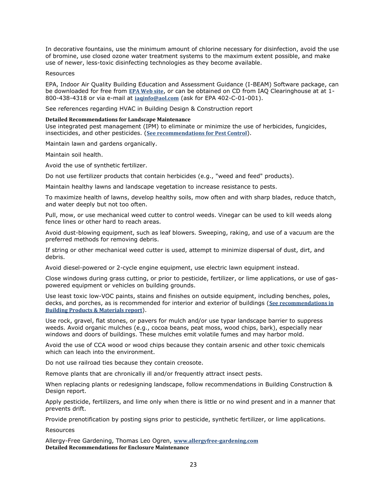In decorative fountains, use the minimum amount of chlorine necessary for disinfection, avoid the use of bromine, use closed ozone water treatment systems to the maximum extent possible, and make use of newer, less-toxic disinfecting technologies as they become available.

#### Resources

EPA, Indoor Air Quality Building Education and Assessment Guidance (I-BEAM) Software package, can be downloaded for free from **EPA [Web](https://web.archive.org/web/20201018194906/http:/www.epa.gov/iaq/largebldgs/i-beam/) site**, or can be obtained on CD from IAQ Clearinghouse at at 1- 800-438-4318 or via e-mail at **[iaqinfo@aol.com](mailto:iaqinfo@aol.com)** (ask for EPA 402-C-01-001).

See references regarding HVAC in Building Design & Construction report

#### **Detailed Recommendations for Landscape Maintenance**

Use integrated pest management (IPM) to eliminate or minimize the use of herbicides, fungicides, insecticides, and other pesticides. (**See [recommendations](https://web.archive.org/web/20201018194906/https:/www.access-board.gov/research/completed-research/indoor-environmental-quality/recommended-actions) for Pest Control**).

Maintain lawn and gardens organically.

Maintain soil health.

Avoid the use of synthetic fertilizer.

Do not use fertilizer products that contain herbicides (e.g., "weed and feed" products).

Maintain healthy lawns and landscape vegetation to increase resistance to pests.

To maximize health of lawns, develop healthy soils, mow often and with sharp blades, reduce thatch, and water deeply but not too often.

Pull, mow, or use mechanical weed cutter to control weeds. Vinegar can be used to kill weeds along fence lines or other hard to reach areas.

Avoid dust-blowing equipment, such as leaf blowers. Sweeping, raking, and use of a vacuum are the preferred methods for removing debris.

If string or other mechanical weed cutter is used, attempt to minimize dispersal of dust, dirt, and debris.

Avoid diesel-powered or 2-cycle engine equipment, use electric lawn equipment instead.

Close windows during grass cutting, or prior to pesticide, fertilizer, or lime applications, or use of gaspowered equipment or vehicles on building grounds.

Use least toxic low-VOC paints, stains and finishes on outside equipment, including benches, poles, decks, and porches, as is recommended for interior and exterior of buildings (**See [recommendations](https://web.archive.org/web/20201018194906/https:/www.access-board.gov/research/completed-research/indoor-environmental-quality/building-products-materials#conclusion) in Building Products & [Materials](https://web.archive.org/web/20201018194906/https:/www.access-board.gov/research/completed-research/indoor-environmental-quality/building-products-materials#conclusion) report**).

Use rock, gravel, flat stones, or pavers for mulch and/or use typar landscape barrier to suppress weeds. Avoid organic mulches (e.g., cocoa beans, peat moss, wood chips, bark), especially near windows and doors of buildings. These mulches emit volatile fumes and may harbor mold.

Avoid the use of CCA wood or wood chips because they contain arsenic and other toxic chemicals which can leach into the environment.

Do not use railroad ties because they contain creosote.

Remove plants that are chronically ill and/or frequently attract insect pests.

When replacing plants or redesigning landscape, follow recommendations in Building Construction & Design report.

Apply pesticide, fertilizers, and lime only when there is little or no wind present and in a manner that prevents drift.

Provide prenotification by posting signs prior to pesticide, synthetic fertilizer, or lime applications.

Resources

Allergy-Free Gardening, Thomas Leo Ogren, **[www.allergyfree-gardening.com](https://web.archive.org/web/20201018194906/http:/www.allergyfree-gardening.com/) Detailed Recommendations for Enclosure Maintenance**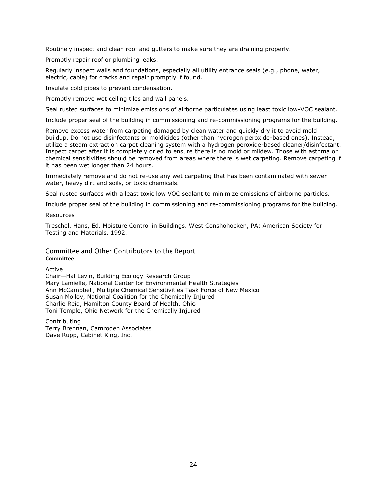Routinely inspect and clean roof and gutters to make sure they are draining properly.

Promptly repair roof or plumbing leaks.

Regularly inspect walls and foundations, especially all utility entrance seals (e.g., phone, water, electric, cable) for cracks and repair promptly if found.

Insulate cold pipes to prevent condensation.

Promptly remove wet ceiling tiles and wall panels.

Seal rusted surfaces to minimize emissions of airborne particulates using least toxic low-VOC sealant.

Include proper seal of the building in commissioning and re-commissioning programs for the building.

Remove excess water from carpeting damaged by clean water and quickly dry it to avoid mold buildup. Do not use disinfectants or moldicides (other than hydrogen peroxide-based ones). Instead, utilize a steam extraction carpet cleaning system with a hydrogen peroxide-based cleaner/disinfectant. Inspect carpet after it is completely dried to ensure there is no mold or mildew. Those with asthma or chemical sensitivities should be removed from areas where there is wet carpeting. Remove carpeting if it has been wet longer than 24 hours.

Immediately remove and do not re-use any wet carpeting that has been contaminated with sewer water, heavy dirt and soils, or toxic chemicals.

Seal rusted surfaces with a least toxic low VOC sealant to minimize emissions of airborne particles.

Include proper seal of the building in commissioning and re-commissioning programs for the building.

# Resources

Treschel, Hans, Ed. Moisture Control in Buildings. West Conshohocken, PA: American Society for Testing and Materials. 1992.

Committee and Other Contributors to the Report **Committee**

Active

Chair—Hal Levin, Building Ecology Research Group Mary Lamielle, National Center for Environmental Health Strategies Ann McCampbell, Multiple Chemical Sensitivities Task Force of New Mexico Susan Molloy, National Coalition for the Chemically Injured Charlie Reid, Hamilton County Board of Health, Ohio Toni Temple, Ohio Network for the Chemically Injured

Contributing Terry Brennan, Camroden Associates Dave Rupp, Cabinet King, Inc.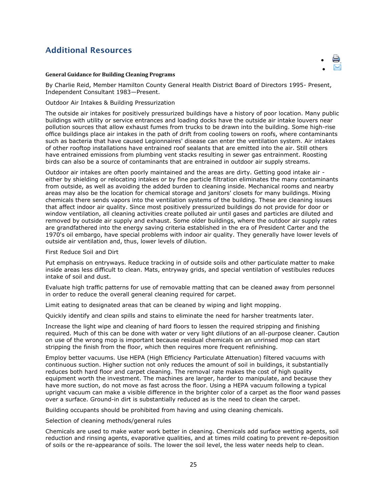# **Additional Resources**



By Charlie Reid, Member Hamilton County General Health District Board of Directors 1995- Present, Independent Consultant 1983—Present.

• •

Outdoor Air Intakes & Building Pressurization

The outside air intakes for positively pressurized buildings have a history of poor location. Many public buildings with utility or service entrances and loading docks have the outside air intake louvers near pollution sources that allow exhaust fumes from trucks to be drawn into the building. Some high-rise office buildings place air intakes in the path of drift from cooling towers on roofs, where contaminants such as bacteria that have caused Legionnaires' disease can enter the ventilation system. Air intakes of other rooftop installations have entrained roof sealants that are emitted into the air. Still others have entrained emissions from plumbing vent stacks resulting in sewer gas entrainment. Roosting birds can also be a source of contaminants that are entrained in outdoor air supply streams.

Outdoor air intakes are often poorly maintained and the areas are dirty. Getting good intake air either by shielding or relocating intakes or by fine particle filtration eliminates the many contaminants from outside, as well as avoiding the added burden to cleaning inside. Mechanical rooms and nearby areas may also be the location for chemical storage and janitors' closets for many buildings. Mixing chemicals there sends vapors into the ventilation systems of the building. These are cleaning issues that affect indoor air quality. Since most positively pressurized buildings do not provide for door or window ventilation, all cleaning activities create polluted air until gases and particles are diluted and removed by outside air supply and exhaust. Some older buildings, where the outdoor air supply rates are grandfathered into the energy saving criteria established in the era of President Carter and the 1970's oil embargo, have special problems with indoor air quality. They generally have lower levels of outside air ventilation and, thus, lower levels of dilution.

First Reduce Soil and Dirt

Put emphasis on entryways. Reduce tracking in of outside soils and other particulate matter to make inside areas less difficult to clean. Mats, entryway grids, and special ventilation of vestibules reduces intake of soil and dust.

Evaluate high traffic patterns for use of removable matting that can be cleaned away from personnel in order to reduce the overall general cleaning required for carpet.

Limit eating to designated areas that can be cleaned by wiping and light mopping.

Quickly identify and clean spills and stains to eliminate the need for harsher treatments later.

Increase the light wipe and cleaning of hard floors to lessen the required stripping and finishing required. Much of this can be done with water or very light dilutions of an all-purpose cleaner. Caution on use of the wrong mop is important because residual chemicals on an unrinsed mop can start stripping the finish from the floor, which then requires more frequent refinishing.

Employ better vacuums. Use HEPA (High Efficiency Particulate Attenuation) filtered vacuums with continuous suction. Higher suction not only reduces the amount of soil in buildings, it substantially reduces both hard floor and carpet cleaning. The removal rate makes the cost of high quality equipment worth the investment. The machines are larger, harder to manipulate, and because they have more suction, do not move as fast across the floor. Using a HEPA vacuum following a typical upright vacuum can make a visible difference in the brighter color of a carpet as the floor wand passes over a surface. Ground-in dirt is substantially reduced as is the need to clean the carpet.

Building occupants should be prohibited from having and using cleaning chemicals.

Selection of cleaning methods/general rules

Chemicals are used to make water work better in cleaning. Chemicals add surface wetting agents, soil reduction and rinsing agents, evaporative qualities, and at times mild coating to prevent re-deposition of soils or the re-appearance of soils. The lower the soil level, the less water needs help to clean.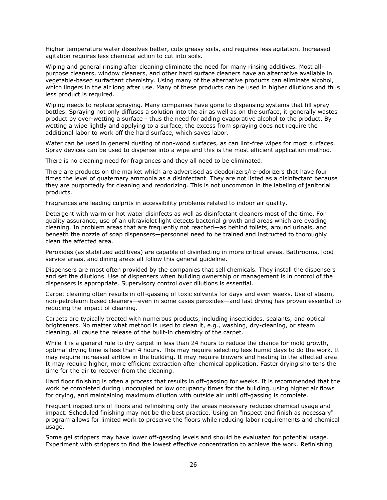Higher temperature water dissolves better, cuts greasy soils, and requires less agitation. Increased agitation requires less chemical action to cut into soils.

Wiping and general rinsing after cleaning eliminate the need for many rinsing additives. Most allpurpose cleaners, window cleaners, and other hard surface cleaners have an alternative available in vegetable-based surfactant chemistry. Using many of the alternative products can eliminate alcohol, which lingers in the air long after use. Many of these products can be used in higher dilutions and thus less product is required.

Wiping needs to replace spraying. Many companies have gone to dispensing systems that fill spray bottles. Spraying not only diffuses a solution into the air as well as on the surface, it generally wastes product by over-wetting a surface - thus the need for adding evaporative alcohol to the product. By wetting a wipe lightly and applying to a surface, the excess from spraying does not require the additional labor to work off the hard surface, which saves labor.

Water can be used in general dusting of non-wood surfaces, as can lint-free wipes for most surfaces. Spray devices can be used to dispense into a wipe and this is the most efficient application method.

There is no cleaning need for fragrances and they all need to be eliminated.

There are products on the market which are advertised as deodorizers/re-odorizers that have four times the level of quaternary ammonia as a disinfectant. They are not listed as a disinfectant because they are purportedly for cleaning and reodorizing. This is not uncommon in the labeling of janitorial products.

Fragrances are leading culprits in accessibility problems related to indoor air quality.

Detergent with warm or hot water disinfects as well as disinfectant cleaners most of the time. For quality assurance, use of an ultraviolet light detects bacterial growth and areas which are evading cleaning. In problem areas that are frequently not reached—as behind toilets, around urinals, and beneath the nozzle of soap dispensers—personnel need to be trained and instructed to thoroughly clean the affected area.

Peroxides (as stabilized additives) are capable of disinfecting in more critical areas. Bathrooms, food service areas, and dining areas all follow this general guideline.

Dispensers are most often provided by the companies that sell chemicals. They install the dispensers and set the dilutions. Use of dispensers when building ownership or management is in control of the dispensers is appropriate. Supervisory control over dilutions is essential.

Carpet cleaning often results in off-gassing of toxic solvents for days and even weeks. Use of steam, non-petroleum based cleaners—even in some cases peroxides—and fast drying has proven essential to reducing the impact of cleaning.

Carpets are typically treated with numerous products, including insecticides, sealants, and optical brighteners. No matter what method is used to clean it, e.g., washing, dry-cleaning, or steam cleaning, all cause the release of the built-in chemistry of the carpet.

While it is a general rule to dry carpet in less than 24 hours to reduce the chance for mold growth, optimal drying time is less than 4 hours. This may require selecting less humid days to do the work. It may require increased airflow in the building. It may require blowers and heating to the affected area. It may require higher, more efficient extraction after chemical application. Faster drying shortens the time for the air to recover from the cleaning.

Hard floor finishing is often a process that results in off-gassing for weeks. It is recommended that the work be completed during unoccupied or low occupancy times for the building, using higher air flows for drying, and maintaining maximum dilution with outside air until off-gassing is complete.

Frequent inspections of floors and refinishing only the areas necessary reduces chemical usage and impact. Scheduled finishing may not be the best practice. Using an "inspect and finish as necessary" program allows for limited work to preserve the floors while reducing labor requirements and chemical usage.

Some gel strippers may have lower off-gassing levels and should be evaluated for potential usage. Experiment with strippers to find the lowest effective concentration to achieve the work. Refinishing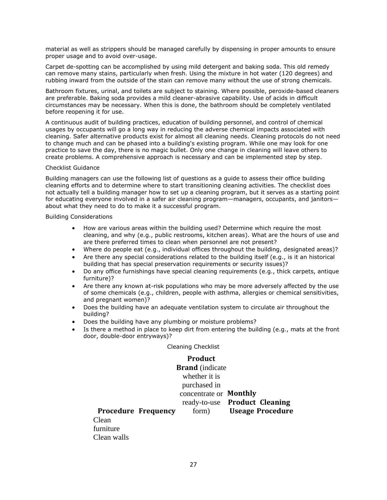material as well as strippers should be managed carefully by dispensing in proper amounts to ensure proper usage and to avoid over-usage.

Carpet de-spotting can be accomplished by using mild detergent and baking soda. This old remedy can remove many stains, particularly when fresh. Using the mixture in hot water (120 degrees) and rubbing inward from the outside of the stain can remove many without the use of strong chemicals.

Bathroom fixtures, urinal, and toilets are subject to staining. Where possible, peroxide-based cleaners are preferable. Baking soda provides a mild cleaner-abrasive capability. Use of acids in difficult circumstances may be necessary. When this is done, the bathroom should be completely ventilated before reopening it for use.

A continuous audit of building practices, education of building personnel, and control of chemical usages by occupants will go a long way in reducing the adverse chemical impacts associated with cleaning. Safer alternative products exist for almost all cleaning needs. Cleaning protocols do not need to change much and can be phased into a building's existing program. While one may look for one practice to save the day, there is no magic bullet. Only one change in cleaning will leave others to create problems. A comprehensive approach is necessary and can be implemented step by step.

# Checklist Guidance

Building managers can use the following list of questions as a guide to assess their office building cleaning efforts and to determine where to start transitioning cleaning activities. The checklist does not actually tell a building manager how to set up a cleaning program, but it serves as a starting point for educating everyone involved in a safer air cleaning program—managers, occupants, and janitors about what they need to do to make it a successful program.

Building Considerations

- How are various areas within the building used? Determine which require the most cleaning, and why (e.g., public restrooms, kitchen areas). What are the hours of use and are there preferred times to clean when personnel are not present?
- Where do people eat (e.g., individual offices throughout the building, designated areas)?
- Are there any special considerations related to the building itself (e.g., is it an historical building that has special preservation requirements or security issues)?
- Do any office furnishings have special cleaning requirements (e.g., thick carpets, antique furniture)?
- Are there any known at-risk populations who may be more adversely affected by the use of some chemicals (e.g., children, people with asthma, allergies or chemical sensitivities, and pregnant women)?
- Does the building have an adequate ventilation system to circulate air throughout the building?
- Does the building have any plumbing or moisture problems?
- Is there a method in place to keep dirt from entering the building (e.g., mats at the front door, double-door entryways)?

Cleaning Checklist

# **Product**

**Brand** (indicate whether it is purchased in concentrate or **Monthly**  ready-to-use **Product Cleaning** 

# **Procedure Frequency**

form)

# **Useage Procedure**

Clean furniture Clean walls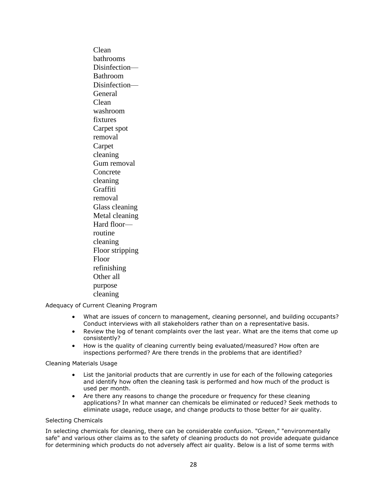Clean bathrooms Disinfection— Bathroom Disinfection— General Clean washroom fixtures Carpet spot removal Carpet cleaning Gum removal Concrete cleaning Graffiti removal Glass cleaning Metal cleaning Hard floor routine cleaning Floor stripping Floor refinishing Other all purpose cleaning

Adequacy of Current Cleaning Program

- What are issues of concern to management, cleaning personnel, and building occupants? Conduct interviews with all stakeholders rather than on a representative basis.
- Review the log of tenant complaints over the last year. What are the items that come up consistently?
- How is the quality of cleaning currently being evaluated/measured? How often are inspections performed? Are there trends in the problems that are identified?

Cleaning Materials Usage

- List the janitorial products that are currently in use for each of the following categories and identify how often the cleaning task is performed and how much of the product is used per month.
- Are there any reasons to change the procedure or frequency for these cleaning applications? In what manner can chemicals be eliminated or reduced? Seek methods to eliminate usage, reduce usage, and change products to those better for air quality.

# Selecting Chemicals

In selecting chemicals for cleaning, there can be considerable confusion. "Green," "environmentally safe" and various other claims as to the safety of cleaning products do not provide adequate guidance for determining which products do not adversely affect air quality. Below is a list of some terms with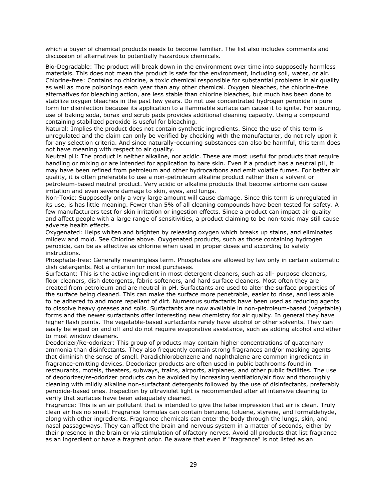which a buyer of chemical products needs to become familiar. The list also includes comments and discussion of alternatives to potentially hazardous chemicals.

Bio-Degradable: The product will break down in the environment over time into supposedly harmless materials. This does not mean the product is safe for the environment, including soil, water, or air. Chlorine-free: Contains no chlorine, a toxic chemical responsible for substantial problems in air quality as well as more poisonings each year than any other chemical. Oxygen bleaches, the chlorine-free alternatives for bleaching action, are less stable than chlorine bleaches, but much has been done to stabilize oxygen bleaches in the past few years. Do not use concentrated hydrogen peroxide in pure form for disinfection because its application to a flammable surface can cause it to ignite. For scouring, use of baking soda, borax and scrub pads provides additional cleaning capacity. Using a compound containing stabilized peroxide is useful for bleaching.

Natural: Implies the product does not contain synthetic ingredients. Since the use of this term is unregulated and the claim can only be verified by checking with the manufacturer, do not rely upon it for any selection criteria. And since naturally-occurring substances can also be harmful, this term does not have meaning with respect to air quality.

Neutral pH: The product is neither alkaline, nor acidic. These are most useful for products that require handling or mixing or are intended for application to bare skin. Even if a product has a neutral pH, it may have been refined from petroleum and other hydrocarbons and emit volatile fumes. For better air quality, it is often preferable to use a non-petroleum alkaline product rather than a solvent or petroleum-based neutral product. Very acidic or alkaline products that become airborne can cause irritation and even severe damage to skin, eyes, and lungs.

Non-Toxic: Supposedly only a very large amount will cause damage. Since this term is unregulated in its use, is has little meaning. Fewer than 5% of all cleaning compounds have been tested for safety. A few manufacturers test for skin irritation or ingestion effects. Since a product can impact air quality and affect people with a large range of sensitivities, a product claiming to be non-toxic may still cause adverse health effects.

Oxygenated: Helps whiten and brighten by releasing oxygen which breaks up stains, and eliminates mildew and mold. See Chlorine above. Oxygenated products, such as those containing hydrogen peroxide, can be as effective as chlorine when used in proper doses and according to safety instructions.

Phosphate-free: Generally meaningless term. Phosphates are allowed by law only in certain automatic dish detergents. Not a criterion for most purchases.

Surfactant: This is the active ingredient in most detergent cleaners, such as all- purpose cleaners, floor cleaners, dish detergents, fabric softeners, and hard surface cleaners. Most often they are created from petroleum and are neutral in pH. Surfactants are used to alter the surface properties of the surface being cleaned. This can make the surface more penetrable, easier to rinse, and less able to be adhered to and more repellant of dirt. Numerous surfactants have been used as reducing agents to dissolve heavy greases and soils. Surfactants are now available in non-petroleum-based (vegetable) forms and the newer surfactants offer interesting new chemistry for air quality. In general they have higher flash points. The vegetable-based surfactants rarely have alcohol or other solvents. They can easily be wiped on and off and do not require evaporative assistance, such as adding alcohol and ether to most window cleaners.

Deodorizer/Re-odorizer: This group of products may contain higher concentrations of quaternary ammonia than disinfectants. They also frequently contain strong fragrances and/or masking agents that diminish the sense of smell. Paradichlorobenzene and naphthalene are common ingredients in fragrance-emitting devices. Deodorizer products are often used in public bathrooms found in restaurants, motels, theaters, subways, trains, airports, airplanes, and other public facilities. The use of deodorizer/re-odorizer products can be avoided by increasing ventilation/air flow and thoroughly cleaning with mildly alkaline non-surfactant detergents followed by the use of disinfectants, preferably peroxide-based ones. Inspection by ultraviolet light is recommended after all intensive cleaning to verify that surfaces have been adequately cleaned.

Fragrance: This is an air pollutant that is intended to give the false impression that air is clean. Truly clean air has no smell. Fragrance formulas can contain benzene, toluene, styrene, and formaldehyde, along with other ingredients. Fragrance chemicals can enter the body through the lungs, skin, and nasal passageways. They can affect the brain and nervous system in a matter of seconds, either by their presence in the brain or via stimulation of olfactory nerves. Avoid all products that list fragrance as an ingredient or have a fragrant odor. Be aware that even if "fragrance" is not listed as an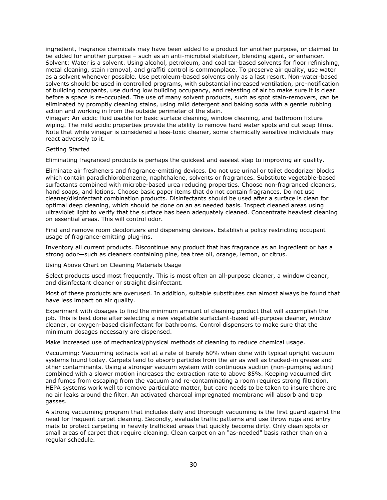ingredient, fragrance chemicals may have been added to a product for another purpose, or claimed to be added for another purpose – such as an anti-microbial stabilizer, blending agent, or enhancer. Solvent: Water is a solvent. Using alcohol, petroleum, and coal tar-based solvents for floor refinishing, metal cleaning, stain removal, and graffiti control is commonplace. To preserve air quality, use water as a solvent whenever possible. Use petroleum-based solvents only as a last resort. Non-water-based solvents should be used in controlled programs, with substantial increased ventilation, pre-notification of building occupants, use during low building occupancy, and retesting of air to make sure it is clear before a space is re-occupied. The use of many solvent products, such as spot stain-removers, can be eliminated by promptly cleaning stains, using mild detergent and baking soda with a gentle rubbing action and working in from the outside perimeter of the stain.

Vinegar: An acidic fluid usable for basic surface cleaning, window cleaning, and bathroom fixture wiping. The mild acidic properties provide the ability to remove hard water spots and cut soap films. Note that while vinegar is considered a less-toxic cleaner, some chemically sensitive individuals may react adversely to it.

# Getting Started

Eliminating fragranced products is perhaps the quickest and easiest step to improving air quality.

Eliminate air fresheners and fragrance-emitting devices. Do not use urinal or toilet deodorizer blocks which contain paradichlorobenzene, naphthalene, solvents or fragrances. Substitute vegetable-based surfactants combined with microbe-based urea reducing properties. Choose non-fragranced cleaners, hand soaps, and lotions. Choose basic paper items that do not contain fragrances. Do not use cleaner/disinfectant combination products. Disinfectants should be used after a surface is clean for optimal deep cleaning, which should be done on an as needed basis. Inspect cleaned areas using ultraviolet light to verify that the surface has been adequately cleaned. Concentrate heaviest cleaning on essential areas. This will control odor.

Find and remove room deodorizers and dispensing devices. Establish a policy restricting occupant usage of fragrance-emitting plug-ins.

Inventory all current products. Discontinue any product that has fragrance as an ingredient or has a strong odor—such as cleaners containing pine, tea tree oil, orange, lemon, or citrus.

Using Above Chart on Cleaning Materials Usage

Select products used most frequently. This is most often an all-purpose cleaner, a window cleaner, and disinfectant cleaner or straight disinfectant.

Most of these products are overused. In addition, suitable substitutes can almost always be found that have less impact on air quality.

Experiment with dosages to find the minimum amount of cleaning product that will accomplish the job. This is best done after selecting a new vegetable surfactant-based all-purpose cleaner, window cleaner, or oxygen-based disinfectant for bathrooms. Control dispensers to make sure that the minimum dosages necessary are dispensed.

Make increased use of mechanical/physical methods of cleaning to reduce chemical usage.

Vacuuming: Vacuuming extracts soil at a rate of barely 60% when done with typical upright vacuum systems found today. Carpets tend to absorb particles from the air as well as tracked-in grease and other contaminants. Using a stronger vacuum system with continuous suction (non-pumping action) combined with a slower motion increases the extraction rate to above 85%. Keeping vacuumed dirt and fumes from escaping from the vacuum and re-contaminating a room requires strong filtration. HEPA systems work well to remove particulate matter, but care needs to be taken to insure there are no air leaks around the filter. An activated charcoal impregnated membrane will absorb and trap gasses.

A strong vacuuming program that includes daily and thorough vacuuming is the first guard against the need for frequent carpet cleaning. Secondly, evaluate traffic patterns and use throw rugs and entry mats to protect carpeting in heavily trafficked areas that quickly become dirty. Only clean spots or small areas of carpet that require cleaning. Clean carpet on an "as-needed" basis rather than on a regular schedule.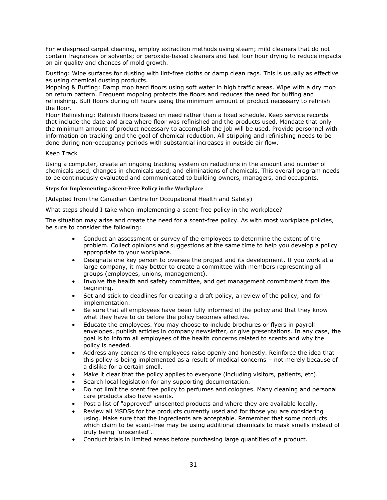For widespread carpet cleaning, employ extraction methods using steam; mild cleaners that do not contain fragrances or solvents; or peroxide-based cleaners and fast four hour drying to reduce impacts on air quality and chances of mold growth.

Dusting: Wipe surfaces for dusting with lint-free cloths or damp clean rags. This is usually as effective as using chemical dusting products.

Mopping & Buffing: Damp mop hard floors using soft water in high traffic areas. Wipe with a dry mop on return pattern. Frequent mopping protects the floors and reduces the need for buffing and refinishing. Buff floors during off hours using the minimum amount of product necessary to refinish the floor.

Floor Refinishing: Refinish floors based on need rather than a fixed schedule. Keep service records that include the date and area where floor was refinished and the products used. Mandate that only the minimum amount of product necessary to accomplish the job will be used. Provide personnel with information on tracking and the goal of chemical reduction. All stripping and refinishing needs to be done during non-occupancy periods with substantial increases in outside air flow.

# Keep Track

Using a computer, create an ongoing tracking system on reductions in the amount and number of chemicals used, changes in chemicals used, and eliminations of chemicals. This overall program needs to be continuously evaluated and communicated to building owners, managers, and occupants.

# **Steps for Implementing a Scent-Free Policy in the Workplace**

(Adapted from the Canadian Centre for Occupational Health and Safety)

What steps should I take when implementing a scent-free policy in the workplace?

The situation may arise and create the need for a scent-free policy. As with most workplace policies, be sure to consider the following:

- Conduct an assessment or survey of the employees to determine the extent of the problem. Collect opinions and suggestions at the same time to help you develop a policy appropriate to your workplace.
- Designate one key person to oversee the project and its development. If you work at a large company, it may better to create a committee with members representing all groups (employees, unions, management).
- Involve the health and safety committee, and get management commitment from the beginning.
- Set and stick to deadlines for creating a draft policy, a review of the policy, and for implementation.
- Be sure that all employees have been fully informed of the policy and that they know what they have to do before the policy becomes effective.
- Educate the employees. You may choose to include brochures or flyers in payroll envelopes, publish articles in company newsletter, or give presentations. In any case, the goal is to inform all employees of the health concerns related to scents and why the policy is needed.
- Address any concerns the employees raise openly and honestly. Reinforce the idea that this policy is being implemented as a result of medical concerns – not merely because of a dislike for a certain smell.
- Make it clear that the policy applies to everyone (including visitors, patients, etc).
- Search local legislation for any supporting documentation.
- Do not limit the scent free policy to perfumes and colognes. Many cleaning and personal care products also have scents.
- Post a list of "approved" unscented products and where they are available locally.
- Review all MSDSs for the products currently used and for those you are considering using. Make sure that the ingredients are acceptable. Remember that some products which claim to be scent-free may be using additional chemicals to mask smells instead of truly being "unscented".
- Conduct trials in limited areas before purchasing large quantities of a product.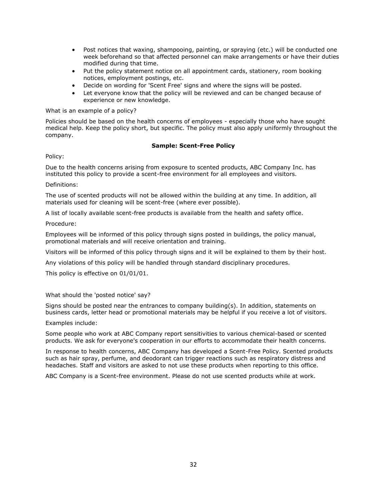- Post notices that waxing, shampooing, painting, or spraying (etc.) will be conducted one week beforehand so that affected personnel can make arrangements or have their duties modified during that time.
- Put the policy statement notice on all appointment cards, stationery, room booking notices, employment postings, etc.
- Decide on wording for 'Scent Free' signs and where the signs will be posted.
- Let everyone know that the policy will be reviewed and can be changed because of experience or new knowledge.

What is an example of a policy?

Policies should be based on the health concerns of employees - especially those who have sought medical help. Keep the policy short, but specific. The policy must also apply uniformly throughout the company.

# **Sample: Scent-Free Policy**

# Policy:

Due to the health concerns arising from exposure to scented products, ABC Company Inc. has instituted this policy to provide a scent-free environment for all employees and visitors.

Definitions:

The use of scented products will not be allowed within the building at any time. In addition, all materials used for cleaning will be scent-free (where ever possible).

A list of locally available scent-free products is available from the health and safety office.

Procedure:

Employees will be informed of this policy through signs posted in buildings, the policy manual, promotional materials and will receive orientation and training.

Visitors will be informed of this policy through signs and it will be explained to them by their host.

Any violations of this policy will be handled through standard disciplinary procedures.

This policy is effective on 01/01/01.

What should the 'posted notice' say?

Signs should be posted near the entrances to company building(s). In addition, statements on business cards, letter head or promotional materials may be helpful if you receive a lot of visitors.

Examples include:

Some people who work at ABC Company report sensitivities to various chemical-based or scented products. We ask for everyone's cooperation in our efforts to accommodate their health concerns.

In response to health concerns, ABC Company has developed a Scent-Free Policy. Scented products such as hair spray, perfume, and deodorant can trigger reactions such as respiratory distress and headaches. Staff and visitors are asked to not use these products when reporting to this office.

ABC Company is a Scent-free environment. Please do not use scented products while at work.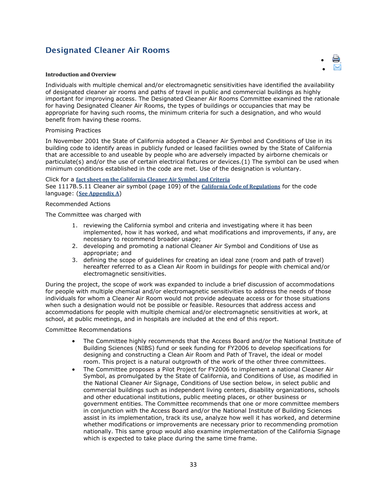# **Designated Cleaner Air Rooms**



#### **Introduction and Overview**

Individuals with multiple chemical and/or electromagnetic sensitivities have identified the availability of designated cleaner air rooms and paths of travel in public and commercial buildings as highly important for improving access. The Designated Cleaner Air Rooms Committee examined the rationale for having Designated Cleaner Air Rooms, the types of buildings or occupancies that may be appropriate for having such rooms, the minimum criteria for such a designation, and who would benefit from having these rooms.

# Promising Practices

In November 2001 the State of California adopted a Cleaner Air Symbol and Conditions of Use in its building code to identify areas in publicly funded or leased facilities owned by the State of California that are accessible to and useable by people who are adversely impacted by airborne chemicals or particulate(s) and/or the use of certain electrical fixtures or devices.(1) The symbol can be used when minimum conditions established in the code are met. Use of the designation is voluntary.

#### Click for a **fact sheet on the [California](https://web.archive.org/web/20201018112913/http:/www.documents.dgs.ca.gov/dsa/pubs/cleanerair_factsheet.pdf) Cleaner Air Symbol and Criteria** See 1117B.5.11 Cleaner air symbol (page 109) of the **California Code of [Regulations](https://web.archive.org/web/20201018112913/http:/publicecodes.cyberregs.com/st/ca/st/b200v10/st_ca_st_b200v10_11b_sec018_par034.htm)** for the code language: (**See [Appendix](https://web.archive.org/web/20201018112913/https:/www.access-board.gov/research/completed-research/indoor-environmental-quality/appendices) A**)

#### Recommended Actions

The Committee was charged with

- 1. reviewing the California symbol and criteria and investigating where it has been implemented, how it has worked, and what modifications and improvements, if any, are necessary to recommend broader usage;
- 2. developing and promoting a national Cleaner Air Symbol and Conditions of Use as appropriate; and
- 3. defining the scope of guidelines for creating an ideal zone (room and path of travel) hereafter referred to as a Clean Air Room in buildings for people with chemical and/or electromagnetic sensitivities.

During the project, the scope of work was expanded to include a brief discussion of accommodations for people with multiple chemical and/or electromagnetic sensitivities to address the needs of those individuals for whom a Cleaner Air Room would not provide adequate access or for those situations when such a designation would not be possible or feasible. Resources that address access and accommodations for people with multiple chemical and/or electromagnetic sensitivities at work, at school, at public meetings, and in hospitals are included at the end of this report.

# Committee Recommendations

- The Committee highly recommends that the Access Board and/or the National Institute of Building Sciences (NIBS) fund or seek funding for FY2006 to develop specifications for designing and constructing a Clean Air Room and Path of Travel, the ideal or model room. This project is a natural outgrowth of the work of the other three committees.
- The Committee proposes a Pilot Project for FY2006 to implement a national Cleaner Air Symbol, as promulgated by the State of California, and Conditions of Use, as modified in the National Cleaner Air Signage, Conditions of Use section below, in select public and commercial buildings such as independent living centers, disability organizations, schools and other educational institutions, public meeting places, or other business or government entities. The Committee recommends that one or more committee members in conjunction with the Access Board and/or the National Institute of Building Sciences assist in its implementation, track its use, analyze how well it has worked, and determine whether modifications or improvements are necessary prior to recommending promotion nationally. This same group would also examine implementation of the California Signage which is expected to take place during the same time frame.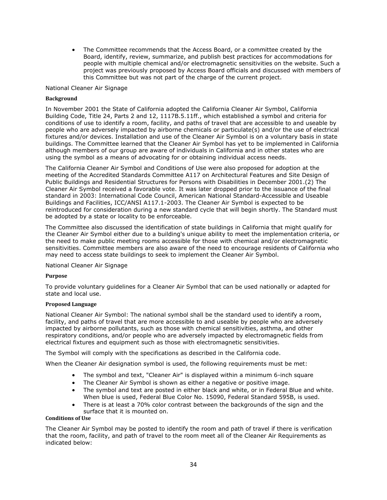• The Committee recommends that the Access Board, or a committee created by the Board, identify, review, summarize, and publish best practices for accommodations for people with multiple chemical and/or electromagnetic sensitivities on the website. Such a project was previously proposed by Access Board officials and discussed with members of this Committee but was not part of the charge of the current project.

# National Cleaner Air Signage

# **Background**

In November 2001 the State of California adopted the California Cleaner Air Symbol, California Building Code, Title 24, Parts 2 and 12, 1117B.5.11ff., which established a symbol and criteria for conditions of use to identify a room, facility, and paths of travel that are accessible to and useable by people who are adversely impacted by airborne chemicals or particulate(s) and/or the use of electrical fixtures and/or devices. Installation and use of the Cleaner Air Symbol is on a voluntary basis in state buildings. The Committee learned that the Cleaner Air Symbol has yet to be implemented in California although members of our group are aware of individuals in California and in other states who are using the symbol as a means of advocating for or obtaining individual access needs.

The California Cleaner Air Symbol and Conditions of Use were also proposed for adoption at the meeting of the Accredited Standards Committee A117 on Architectural Features and Site Design of Public Buildings and Residential Structures for Persons with Disabilities in December 2001.(2) The Cleaner Air Symbol received a favorable vote. It was later dropped prior to the issuance of the final standard in 2003: International Code Council, American National Standard-Accessible and Useable Buildings and Facilities, ICC/ANSI A117.1-2003. The Cleaner Air Symbol is expected to be reintroduced for consideration during a new standard cycle that will begin shortly. The Standard must be adopted by a state or locality to be enforceable.

The Committee also discussed the identification of state buildings in California that might qualify for the Cleaner Air Symbol either due to a building's unique ability to meet the implementation criteria, or the need to make public meeting rooms accessible for those with chemical and/or electromagnetic sensitivities. Committee members are also aware of the need to encourage residents of California who may need to access state buildings to seek to implement the Cleaner Air Symbol.

National Cleaner Air Signage

# **Purpose**

To provide voluntary guidelines for a Cleaner Air Symbol that can be used nationally or adapted for state and local use.

# **Proposed Language**

National Cleaner Air Symbol: The national symbol shall be the standard used to identify a room, facility, and paths of travel that are more accessible to and useable by people who are adversely impacted by airborne pollutants, such as those with chemical sensitivities, asthma, and other respiratory conditions, and/or people who are adversely impacted by electromagnetic fields from electrical fixtures and equipment such as those with electromagnetic sensitivities.

The Symbol will comply with the specifications as described in the California code.

When the Cleaner Air designation symbol is used, the following requirements must be met:

- The symbol and text, "Cleaner Air" is displayed within a minimum 6-inch square
- The Cleaner Air Symbol is shown as either a negative or positive image.
- The symbol and text are posted in either black and white, or in Federal Blue and white. When blue is used, Federal Blue Color No. 15090, Federal Standard 595B, is used.
- There is at least a 70% color contrast between the backgrounds of the sign and the surface that it is mounted on.

# **Conditions of Use**

The Cleaner Air Symbol may be posted to identify the room and path of travel if there is verification that the room, facility, and path of travel to the room meet all of the Cleaner Air Requirements as indicated below: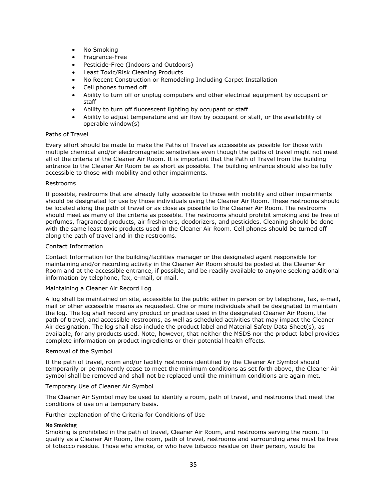- No Smoking
- Fragrance-Free
- Pesticide-Free (Indoors and Outdoors)
- Least Toxic/Risk Cleaning Products
- No Recent Construction or Remodeling Including Carpet Installation
- Cell phones turned off
- Ability to turn off or unplug computers and other electrical equipment by occupant or staff
- Ability to turn off fluorescent lighting by occupant or staff
- Ability to adjust temperature and air flow by occupant or staff, or the availability of operable window(s)

# Paths of Travel

Every effort should be made to make the Paths of Travel as accessible as possible for those with multiple chemical and/or electromagnetic sensitivities even though the paths of travel might not meet all of the criteria of the Cleaner Air Room. It is important that the Path of Travel from the building entrance to the Cleaner Air Room be as short as possible. The building entrance should also be fully accessible to those with mobility and other impairments.

# Restrooms

If possible, restrooms that are already fully accessible to those with mobility and other impairments should be designated for use by those individuals using the Cleaner Air Room. These restrooms should be located along the path of travel or as close as possible to the Cleaner Air Room. The restrooms should meet as many of the criteria as possible. The restrooms should prohibit smoking and be free of perfumes, fragranced products, air fresheners, deodorizers, and pesticides. Cleaning should be done with the same least toxic products used in the Cleaner Air Room. Cell phones should be turned off along the path of travel and in the restrooms.

# Contact Information

Contact Information for the building/facilities manager or the designated agent responsible for maintaining and/or recording activity in the Cleaner Air Room should be posted at the Cleaner Air Room and at the accessible entrance, if possible, and be readily available to anyone seeking additional information by telephone, fax, e-mail, or mail.

# Maintaining a Cleaner Air Record Log

A log shall be maintained on site, accessible to the public either in person or by telephone, fax, e-mail, mail or other accessible means as requested. One or more individuals shall be designated to maintain the log. The log shall record any product or practice used in the designated Cleaner Air Room, the path of travel, and accessible restrooms, as well as scheduled activities that may impact the Cleaner Air designation. The log shall also include the product label and Material Safety Data Sheet(s), as available, for any products used. Note, however, that neither the MSDS nor the product label provides complete information on product ingredients or their potential health effects.

# Removal of the Symbol

If the path of travel, room and/or facility restrooms identified by the Cleaner Air Symbol should temporarily or permanently cease to meet the minimum conditions as set forth above, the Cleaner Air symbol shall be removed and shall not be replaced until the minimum conditions are again met.

# Temporary Use of Cleaner Air Symbol

The Cleaner Air Symbol may be used to identify a room, path of travel, and restrooms that meet the conditions of use on a temporary basis.

Further explanation of the Criteria for Conditions of Use

# **No Smoking**

Smoking is prohibited in the path of travel, Cleaner Air Room, and restrooms serving the room. To qualify as a Cleaner Air Room, the room, path of travel, restrooms and surrounding area must be free of tobacco residue. Those who smoke, or who have tobacco residue on their person, would be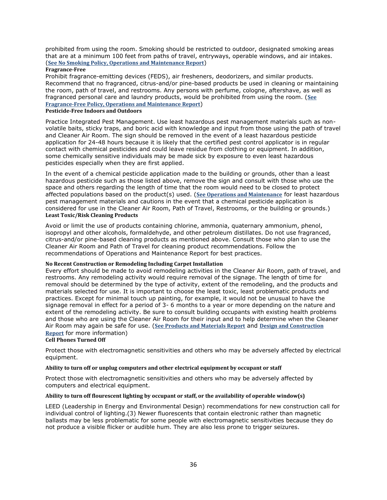prohibited from using the room. Smoking should be restricted to outdoor, designated smoking areas that are at a minimum 100 feet from paths of travel, entryways, operable windows, and air intakes. (**See No Smoking Policy, Operations and [Maintenance](https://web.archive.org/web/20201018112913/https:/www.access-board.gov/research/completed-research/indoor-environmental-quality/operations-and-maintenance) Report**)

# **Fragrance-Free**

Prohibit fragrance-emitting devices (FEDS), air fresheners, deodorizers, and similar products. Recommend that no fragranced, citrus-and/or pine-based products be used in cleaning or maintaining the room, path of travel, and restrooms. Any persons with perfume, cologne, aftershave, as well as fragranced personal care and laundry products, would be prohibited from using the room. (**[See](https://web.archive.org/web/20201018112913/https:/www.access-board.gov/research/completed-research/indoor-environmental-quality/operations-and-maintenance) [Fragrance-Free](https://web.archive.org/web/20201018112913/https:/www.access-board.gov/research/completed-research/indoor-environmental-quality/operations-and-maintenance) Policy, Operations and Maintenance Report**)

# **Pesticide-Free Indoors and Outdoors**

Practice Integrated Pest Management. Use least hazardous pest management materials such as nonvolatile baits, sticky traps, and boric acid with knowledge and input from those using the path of travel and Cleaner Air Room. The sign should be removed in the event of a least hazardous pesticide application for 24-48 hours because it is likely that the certified pest control applicator is in regular contact with chemical pesticides and could leave residue from clothing or equipment. In addition, some chemically sensitive individuals may be made sick by exposure to even least hazardous pesticides especially when they are first applied.

In the event of a chemical pesticide application made to the building or grounds, other than a least hazardous pesticide such as those listed above, remove the sign and consult with those who use the space and others regarding the length of time that the room would need to be closed to protect affected populations based on the product(s) used. (**See Operations and [Maintenance](https://web.archive.org/web/20201018112913/https:/www.access-board.gov/research/completed-research/indoor-environmental-quality/operations-and-maintenance)** for least hazardous pest management materials and cautions in the event that a chemical pesticide application is considered for use in the Cleaner Air Room, Path of Travel, Restrooms, or the building or grounds.) **Least Toxic/Risk Cleaning Products**

Avoid or limit the use of products containing chlorine, ammonia, quaternary ammonium, phenol, isopropyl and other alcohols, formaldehyde, and other petroleum distillates. Do not use fragranced, citrus-and/or pine-based cleaning products as mentioned above. Consult those who plan to use the Cleaner Air Room and Path of Travel for cleaning product recommendations. Follow the recommendations of Operations and Maintenance Report for best practices.

# **No Recent Construction or Remodeling Including Carpet Installation**

Every effort should be made to avoid remodeling activities in the Cleaner Air Room, path of travel, and restrooms. Any remodeling activity would require removal of the signage. The length of time for removal should be determined by the type of activity, extent of the remodeling, and the products and materials selected for use. It is important to choose the least toxic, least problematic products and practices. Except for minimal touch up painting, for example, it would not be unusual to have the signage removal in effect for a period of 3- 6 months to a year or more depending on the nature and extent of the remodeling activity. Be sure to consult building occupants with existing health problems and those who are using the Cleaner Air Room for their input and to help determine when the Cleaner Air Room may again be safe for use. (**See Products and [Materials](https://web.archive.org/web/20201018112913/https:/www.access-board.gov/research/completed-research/indoor-environmental-quality/building-products-materials) Report** and **Design and [Construction](https://web.archive.org/web/20201018112913/https:/www.access-board.gov/research/completed-research/indoor-environmental-quality/design-construction) [Report](https://web.archive.org/web/20201018112913/https:/www.access-board.gov/research/completed-research/indoor-environmental-quality/design-construction)** for more information)

# **Cell Phones Turned Off**

Protect those with electromagnetic sensitivities and others who may be adversely affected by electrical equipment.

# **Ability to turn off or unplug computers and other electrical equipment by occupant or staff**

Protect those with electromagnetic sensitivities and others who may be adversely affected by computers and electrical equipment.

# **Ability to turn off flourescent lighting by occupant or staff, or the availability of operable window(s)**

LEED (Leadership in Energy and Environmental Design) recommendations for new construction call for individual control of lighting.(3) Newer fluorescents that contain electronic rather than magnetic ballasts may be less problematic for some people with electromagnetic sensitivities because they do not produce a visible flicker or audible hum. They are also less prone to trigger seizures.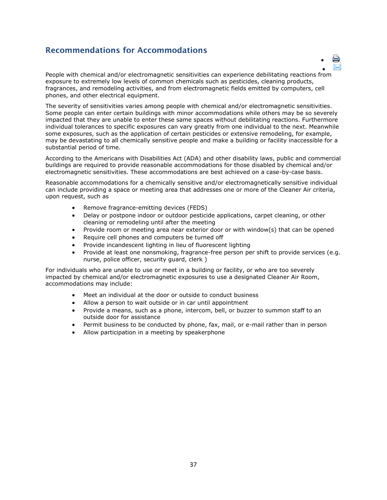# **Recommendations for Accommodations**

• People with chemical and/or electromagnetic sensitivities can experience debilitating reactions from exposure to extremely low levels of common chemicals such as pesticides, cleaning products, fragrances, and remodeling activities, and from electromagnetic fields emitted by computers, cell phones, and other electrical equipment.

•

The severity of sensitivities varies among people with chemical and/or electromagnetic sensitivities. Some people can enter certain buildings with minor accommodations while others may be so severely impacted that they are unable to enter these same spaces without debilitating reactions. Furthermore individual tolerances to specific exposures can vary greatly from one individual to the next. Meanwhile some exposures, such as the application of certain pesticides or extensive remodeling, for example, may be devastating to all chemically sensitive people and make a building or facility inaccessible for a substantial period of time.

According to the Americans with Disabilities Act (ADA) and other disability laws, public and commercial buildings are required to provide reasonable accommodations for those disabled by chemical and/or electromagnetic sensitivities. These accommodations are best achieved on a case-by-case basis.

Reasonable accommodations for a chemically sensitive and/or electromagnetically sensitive individual can include providing a space or meeting area that addresses one or more of the Cleaner Air criteria, upon request, such as

- Remove fragrance-emitting devices (FEDS)
- Delay or postpone indoor or outdoor pesticide applications, carpet cleaning, or other cleaning or remodeling until after the meeting
- Provide room or meeting area near exterior door or with window(s) that can be opened
- Require cell phones and computers be turned off
- Provide incandescent lighting in lieu of fluorescent lighting
- Provide at least one nonsmoking, fragrance-free person per shift to provide services (e.g. nurse, police officer, security guard, clerk )

For individuals who are unable to use or meet in a building or facility, or who are too severely impacted by chemical and/or electromagnetic exposures to use a designated Cleaner Air Room, accommodations may include:

- Meet an individual at the door or outside to conduct business
- Allow a person to wait outside or in car until appointment
- Provide a means, such as a phone, intercom, bell, or buzzer to summon staff to an outside door for assistance
- Permit business to be conducted by phone, fax, mail, or e-mail rather than in person
- Allow participation in a meeting by speakerphone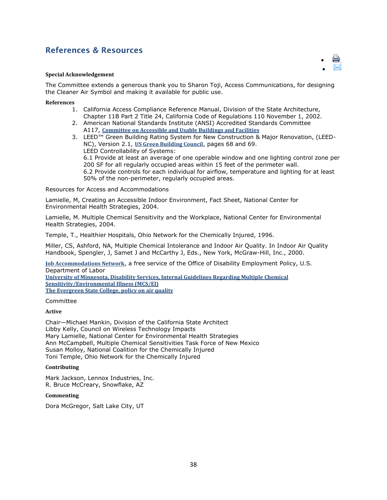# **References & Resources**

# **Special Acknowledgement**



The Committee extends a generous thank you to Sharon Toji, Access Communications, for designing the Cleaner Air Symbol and making it available for public use.

# **References**

- 1. California Access Compliance Reference Manual, Division of the State Architecture, Chapter 11B Part 2 Title 24, California Code of Regulations 110 November 1, 2002.
- 2. American National Standards Institute (ANSI) Accredited Standards Committee A117, **[Committee](https://web.archive.org/web/20201018092206/http:/www.iccsafe.org/cs/standards/A117/) on Accessible and Usable Buildings and Facilities**
- 3. LEED™ Green Building Rating System for New Construction & Major Renovation, (LEED-NC), Version 2.1, **US Green [Building](https://web.archive.org/web/20201018092206/http:/www.usgbc.org/) Council**, pages 68 and 69. LEED Controllability of Systems: 6.1 Provide at least an average of one operable window and one lighting control zone per 200 SF for all regularly occupied areas within 15 feet of the perimeter wall. 6.2 Provide controls for each individual for airflow, temperature and lighting for at least 50% of the non-perimeter, regularly occupied areas.

Resources for Access and Accommodations

Lamielle, M, Creating an Accessible Indoor Environment, Fact Sheet, National Center for Environmental Health Strategies, 2004.

Lamielle, M. Multiple Chemical Sensitivity and the Workplace, National Center for Environmental Health Strategies, 2004.

Temple, T., Healthier Hospitals, Ohio Network for the Chemically Injured, 1996.

Miller, CS, Ashford, NA, Multiple Chemical Intolerance and Indoor Air Quality. In Indoor Air Quality Handbook, Spengler, J, Samet J and McCarthy J, Eds., New York, McGraw-Hill, Inc., 2000.

**Job [Accommodations](https://web.archive.org/web/20201018092206/http:/www.jan.wvu.edu/) Network**, a free service of the Office of Disability Employment Policy, U.S. Department of Labor

**University of [Minnesota,](https://web.archive.org/web/20201018092206/http:/diversity.umn.edu/disability/) Disability Services, Internal Guidelines Regarding Multiple Chemical [Sensitivity/Environmental](https://web.archive.org/web/20201018092206/http:/diversity.umn.edu/disability/) Illness (MCS/EI)**

**The [Evergreen](https://web.archive.org/web/20201018092206/http:/www.evergreen.edu/policies/g-air.htm) State College, policy on air quality**

# Committee

#### **Active**

Chair—Michael Mankin, Division of the California State Architect Libby Kelly, Council on Wireless Technology Impacts Mary Lamielle, National Center for Environmental Health Strategies Ann McCampbell, Multiple Chemical Sensitivities Task Force of New Mexico Susan Molloy, National Coalition for the Chemically Injured Toni Temple, Ohio Network for the Chemically Injured

#### **Contributing**

Mark Jackson, Lennox Industries, Inc. R. Bruce McCreary, Snowflake, AZ

# **Commenting**

Dora McGregor, Salt Lake City, UT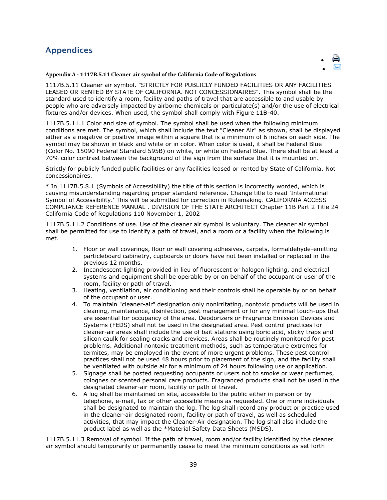# **Appendices**



# **Appendix A - 1117B.5.11 Cleaner air symbol of the California Code of Regulations**

1117B.5.11 Cleaner air symbol. "STRICTLY FOR PUBLICLY FUNDED FACILITIES OR ANY FACILITIES LEASED OR RENTED BY STATE OF CALIFORNIA. NOT CONCESSIONAIRES". This symbol shall be the standard used to identify a room, facility and paths of travel that are accessible to and usable by people who are adversely impacted by airborne chemicals or particulate(s) and/or the use of electrical fixtures and/or devices. When used, the symbol shall comply with Figure 11B-40.

1117B.5.11.1 Color and size of symbol. The symbol shall be used when the following minimum conditions are met. The symbol, which shall include the text "Cleaner Air" as shown, shall be displayed either as a negative or positive image within a square that is a minimum of 6 inches on each side. The symbol may be shown in black and white or in color. When color is used, it shall be Federal Blue (Color No. 15090 Federal Standard 595B) on white, or white on Federal Blue. There shall be at least a 70% color contrast between the background of the sign from the surface that it is mounted on.

Strictly for publicly funded public facilities or any facilities leased or rented by State of California. Not concessionaires.

\* In 1117B.5.8.1 (Symbols of Accessibility) the title of this section is incorrectly worded, which is causing misunderstanding regarding proper standard reference. Change title to read 'International Symbol of Accessibility.' This will be submitted for correction in Rulemaking. CALIFORNIA ACCESS COMPLIANCE REFERENCE MANUAL . DIVISION OF THE STATE ARCHITECT Chapter 11B Part 2 Title 24 California Code of Regulations 110 November 1, 2002

1117B.5.11.2 Conditions of use. Use of the cleaner air symbol is voluntary. The cleaner air symbol shall be permitted for use to identify a path of travel, and a room or a facility when the following is met.

- 1. Floor or wall coverings, floor or wall covering adhesives, carpets, formaldehyde-emitting particleboard cabinetry, cupboards or doors have not been installed or replaced in the previous 12 months.
- 2. Incandescent lighting provided in lieu of fluorescent or halogen lighting, and electrical systems and equipment shall be operable by or on behalf of the occupant or user of the room, facility or path of travel.
- 3. Heating, ventilation, air conditioning and their controls shall be operable by or on behalf of the occupant or user.
- 4. To maintain "cleaner-air" designation only nonirritating, nontoxic products will be used in cleaning, maintenance, disinfection, pest management or for any minimal touch-ups that are essential for occupancy of the area. Deodorizers or Fragrance Emission Devices and Systems (FEDS) shall not be used in the designated area. Pest control practices for cleaner-air areas shall include the use of bait stations using boric acid, sticky traps and silicon caulk for sealing cracks and crevices. Areas shall be routinely monitored for pest problems. Additional nontoxic treatment methods, such as temperature extremes for termites, may be employed in the event of more urgent problems. These pest control practices shall not be used 48 hours prior to placement of the sign, and the facility shall be ventilated with outside air for a minimum of 24 hours following use or application.
- 5. Signage shall be posted requesting occupants or users not to smoke or wear perfumes, colognes or scented personal care products. Fragranced products shall not be used in the designated cleaner-air room, facility or path of travel.
- 6. A log shall be maintained on site, accessible to the public either in person or by telephone, e-mail, fax or other accessible means as requested. One or more individuals shall be designated to maintain the log. The log shall record any product or practice used in the cleaner-air designated room, facility or path of travel, as well as scheduled activities, that may impact the Cleaner-Air designation. The log shall also include the product label as well as the \*Material Safety Data Sheets (MSDS).

1117B.5.11.3 Removal of symbol. If the path of travel, room and/or facility identified by the cleaner air symbol should temporarily or permanently cease to meet the minimum conditions as set forth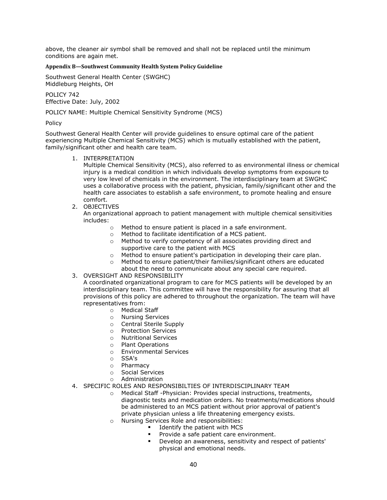above, the cleaner air symbol shall be removed and shall not be replaced until the minimum conditions are again met.

#### **Appendix B—Southwest Community Health System Policy Guideline**

Southwest General Health Center (SWGHC) Middleburg Heights, OH

POLICY 742 Effective Date: July, 2002

POLICY NAME: Multiple Chemical Sensitivity Syndrome (MCS)

Policy

Southwest General Health Center will provide guidelines to ensure optimal care of the patient experiencing Multiple Chemical Sensitivity (MCS) which is mutually established with the patient, family/significant other and health care team.

1. INTERPRETATION

Multiple Chemical Sensitivity (MCS), also referred to as environmental illness or chemical injury is a medical condition in which individuals develop symptoms from exposure to very low level of chemicals in the environment. The interdisciplinary team at SWGHC uses a collaborative process with the patient, physician, family/significant other and the health care associates to establish a safe environment, to promote healing and ensure comfort.

2. OBJECTIVES

An organizational approach to patient management with multiple chemical sensitivities includes:

- o Method to ensure patient is placed in a safe environment.
- o Method to facilitate identification of a MCS patient.
- o Method to verify competency of all associates providing direct and supportive care to the patient with MCS
- o Method to ensure patient's participation in developing their care plan.
- $\circ$  Method to ensure patient/their families/significant others are educated about the need to communicate about any special care required.
- 3. OVERSIGHT AND RESPONSIBILITY

A coordinated organizational program to care for MCS patients will be developed by an interdisciplinary team. This committee will have the responsibility for assuring that all provisions of this policy are adhered to throughout the organization. The team will have representatives from:

- o Medical Staff
- o Nursing Services
- o Central Sterile Supply
- o Protection Services
- o Nutritional Services
- o Plant Operations
- o Environmental Services
- o SSA's
- o Pharmacy
- o Social Services
- o Administration
- 4. SPECIFIC ROLES AND RESPONSIBILTIES OF INTERDISCIPLINARY TEAM
	- o Medical Staff -Physician: Provides special instructions, treatments, diagnostic tests and medication orders. No treatments/medications should be administered to an MCS patient without prior approval of patient's private physician unless a life threatening emergency exists.
	- o Nursing Services Role and responsibilities:
		- Identify the patient with MCS
			- Provide a safe patient care environment.
			- Develop an awareness, sensitivity and respect of patients' physical and emotional needs.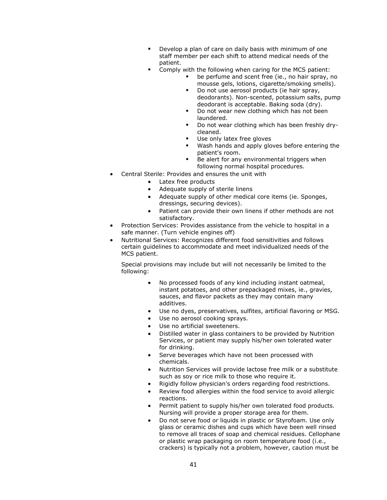- Develop a plan of care on daily basis with minimum of one staff member per each shift to attend medical needs of the patient.
	- Comply with the following when caring for the MCS patient:
		- be perfume and scent free (ie., no hair spray, no mousse gels, lotions, cigarette/smoking smells).
			- Do not use aerosol products (ie hair spray, deodorants). Non-scented, potassium salts, pump deodorant is acceptable. Baking soda (dry).
			- Do not wear new clothing which has not been laundered.
			- Do not wear clothing which has been freshly drycleaned.
			- Use only latex free gloves
			- Wash hands and apply gloves before entering the patient's room.
			- Be alert for any environmental triggers when following normal hospital procedures.
- Central Sterile: Provides and ensures the unit with
	- Latex free products
	- Adequate supply of sterile linens
	- Adequate supply of other medical core items (ie. Sponges, dressings, securing devices).
	- Patient can provide their own linens if other methods are not satisfactory.
- Protection Services: Provides assistance from the vehicle to hospital in a safe manner. (Turn vehicle engines off)
- Nutritional Services: Recognizes different food sensitivities and follows certain guidelines to accommodate and meet individualized needs of the MCS patient.

Special provisions may include but will not necessarily be limited to the following:

- No processed foods of any kind including instant oatmeal, instant potatoes, and other prepackaged mixes, ie., gravies, sauces, and flavor packets as they may contain many additives.
- Use no dyes, preservatives, sulfites, artificial flavoring or MSG.
- Use no aerosol cooking sprays.
- Use no artificial sweeteners.
- Distilled water in glass containers to be provided by Nutrition Services, or patient may supply his/her own tolerated water for drinking.
- Serve beverages which have not been processed with chemicals.
- Nutrition Services will provide lactose free milk or a substitute such as soy or rice milk to those who require it.
- Rigidly follow physician's orders regarding food restrictions.
- Review food allergies within the food service to avoid allergic reactions.
- Permit patient to supply his/her own tolerated food products. Nursing will provide a proper storage area for them.
- Do not serve food or liquids in plastic or Styrofoam. Use only glass or ceramic dishes and cups which have been well rinsed to remove all traces of soap and chemical residues. Cellophane or plastic wrap packaging on room temperature food (i.e., crackers) is typically not a problem, however, caution must be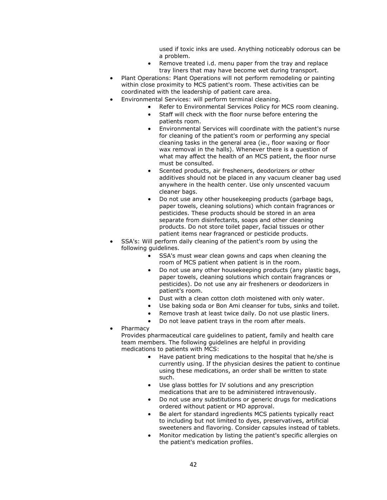used if toxic inks are used. Anything noticeably odorous can be a problem.

- Remove treated i.d. menu paper from the tray and replace tray liners that may have become wet during transport.
- Plant Operations: Plant Operations will not perform remodeling or painting within close proximity to MCS patient's room. These activities can be coordinated with the leadership of patient care area.
- Environmental Services: will perform terminal cleaning.
	- Refer to Environmental Services Policy for MCS room cleaning.
	- Staff will check with the floor nurse before entering the patients room.
	- Environmental Services will coordinate with the patient's nurse for cleaning of the patient's room or performing any special cleaning tasks in the general area (ie., floor waxing or floor wax removal in the halls). Whenever there is a question of what may affect the health of an MCS patient, the floor nurse must be consulted.
	- Scented products, air fresheners, deodorizers or other additives should not be placed in any vacuum cleaner bag used anywhere in the health center. Use only unscented vacuum cleaner bags.
	- Do not use any other housekeeping products (garbage bags, paper towels, cleaning solutions) which contain fragrances or pesticides. These products should be stored in an area separate from disinfectants, soaps and other cleaning products. Do not store toilet paper, facial tissues or other patient items near fragranced or pesticide products.
- SSA's: Will perform daily cleaning of the patient's room by using the following guidelines.
	- SSA's must wear clean gowns and caps when cleaning the room of MCS patient when patient is in the room.
	- Do not use any other housekeeping products (any plastic bags, paper towels, cleaning solutions which contain fragrances or pesticides). Do not use any air fresheners or deodorizers in patient's room.
	- Dust with a clean cotton cloth moistened with only water.
	- Use baking soda or Bon Ami cleanser for tubs, sinks and toilet.
	- Remove trash at least twice daily. Do not use plastic liners.
	- Do not leave patient trays in the room after meals.
- Pharmacy

Provides pharmaceutical care guidelines to patient, family and health care team members. The following guidelines are helpful in providing medications to patients with MCS:

- Have patient bring medications to the hospital that he/she is currently using. If the physician desires the patient to continue using these medications, an order shall be written to state such.
- Use glass bottles for IV solutions and any prescription medications that are to be administered intravenously.
- Do not use any substitutions or generic drugs for medications ordered without patient or MD approval.
- Be alert for standard ingredients MCS patients typically react to including but not limited to dyes, preservatives, artificial sweeteners and flavoring. Consider capsules instead of tablets.
- Monitor medication by listing the patient's specific allergies on the patient's medication profiles.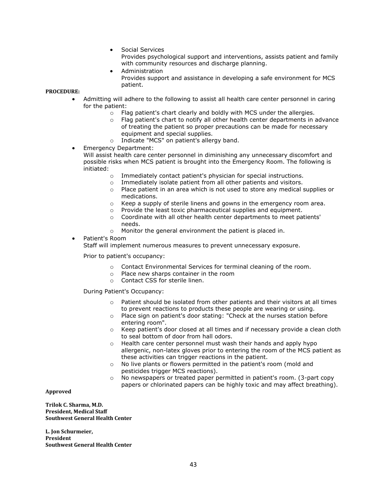• Social Services

Provides psychological support and interventions, assists patient and family with community resources and discharge planning.

• Administration

Provides support and assistance in developing a safe environment for MCS patient.

# **PROCEDURE:**

- Admitting will adhere to the following to assist all health care center personnel in caring for the patient:
	- o Flag patient's chart clearly and boldly with MCS under the allergies.
	- $\circ$  Flag patient's chart to notify all other health center departments in advance of treating the patient so proper precautions can be made for necessary equipment and special supplies.
	- o Indicate "MCS" on patient's allergy band.

• Emergency Department:

Will assist health care center personnel in diminishing any unnecessary discomfort and possible risks when MCS patient is brought into the Emergency Room. The following is initiated:

- o Immediately contact patient's physician for special instructions.
- o Immediately isolate patient from all other patients and visitors.
- $\circ$  Place patient in an area which is not used to store any medical supplies or medications.
- o Keep a supply of sterile linens and gowns in the emergency room area.
- $\circ$  Provide the least toxic pharmaceutical supplies and equipment.
- $\circ$  Coordinate with all other health center departments to meet patients' needs.
- o Monitor the general environment the patient is placed in.
- Patient's Room

Staff will implement numerous measures to prevent unnecessary exposure.

Prior to patient's occupancy:

- o Contact Environmental Services for terminal cleaning of the room.
- o Place new sharps container in the room
- o Contact CSS for sterile linen.

During Patient's Occupancy:

- $\circ$  Patient should be isolated from other patients and their visitors at all times to prevent reactions to products these people are wearing or using.
- o Place sign on patient's door stating: "Check at the nurses station before entering room".
- o Keep patient's door closed at all times and if necessary provide a clean cloth to seal bottom of door from hall odors.
- o Health care center personnel must wash their hands and apply hypo allergenic, non-latex gloves prior to entering the room of the MCS patient as these activities can trigger reactions in the patient.
- o No live plants or flowers permitted in the patient's room (mold and pesticides trigger MCS reactions).
- o No newspapers or treated paper permitted in patient's room. (3-part copy papers or chlorinated papers can be highly toxic and may affect breathing).

# **Approved**

**Trilok C. Sharma, M.D. President, Medical Staff Southwest General Health Center**

**L. Jon Schurmeier, President Southwest General Health Center**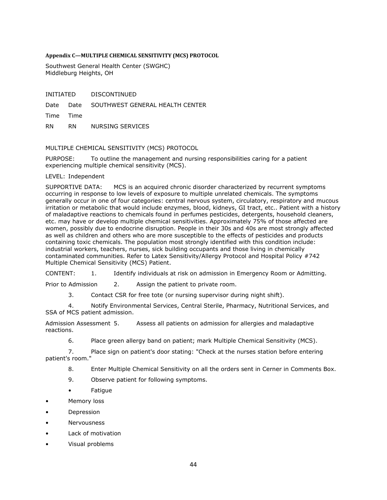# **Appendix C—MULTIPLE CHEMICAL SENSITIVITY (MCS) PROTOCOL**

Southwest General Health Center (SWGHC) Middleburg Heights, OH

INITIATED DISCONTINUED

Date Date SOUTHWEST GENERAL HEALTH CENTER

Time Time

RN RN NURSING SERVICES

# MULTIPLE CHEMICAL SENSITIVITY (MCS) PROTOCOL

PURPOSE: To outline the management and nursing responsibilities caring for a patient experiencing multiple chemical sensitivity (MCS).

LEVEL: Independent

SUPPORTIVE DATA: MCS is an acquired chronic disorder characterized by recurrent symptoms occurring in response to low levels of exposure to multiple unrelated chemicals. The symptoms generally occur in one of four categories: central nervous system, circulatory, respiratory and mucous irritation or metabolic that would include enzymes, blood, kidneys, GI tract, etc.. Patient with a history of maladaptive reactions to chemicals found in perfumes pesticides, detergents, household cleaners, etc. may have or develop multiple chemical sensitivities. Approximately 75% of those affected are women, possibly due to endocrine disruption. People in their 30s and 40s are most strongly affected as well as children and others who are more susceptible to the effects of pesticides and products containing toxic chemicals. The population most strongly identified with this condition include: industrial workers, teachers, nurses, sick building occupants and those living in chemically contaminated communities. Refer to Latex Sensitivity/Allergy Protocol and Hospital Policy #742 Multiple Chemical Sensitivity (MCS) Patient.

CONTENT: 1. Identify individuals at risk on admission in Emergency Room or Admitting.

Prior to Admission 2. Assign the patient to private room.

3. Contact CSR for free tote (or nursing supervisor during night shift).

4. Notify Environmental Services, Central Sterile, Pharmacy, Nutritional Services, and SSA of MCS patient admission.

Admission Assessment 5. Assess all patients on admission for allergies and maladaptive reactions.

6. Place green allergy band on patient; mark Multiple Chemical Sensitivity (MCS).

7. Place sign on patient's door stating: "Check at the nurses station before entering patient's room."

- 8. Enter Multiple Chemical Sensitivity on all the orders sent in Cerner in Comments Box.
- 9. Observe patient for following symptoms.
- Fatigue
- Memory loss
- Depression
- **Nervousness**
- Lack of motivation
- Visual problems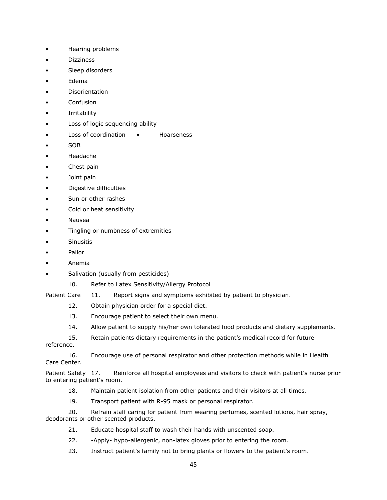- Hearing problems
- **Dizziness**
- Sleep disorders
- Edema
- Disorientation
- Confusion
- **Irritability**
- Loss of logic sequencing ability
- Loss of coordination Hoarseness
- SOB
- Headache
- Chest pain
- Joint pain
- Digestive difficulties
- Sun or other rashes
- Cold or heat sensitivity
- Nausea
- Tingling or numbness of extremities
- **Sinusitis**
- Pallor
- Anemia
- Salivation (usually from pesticides)
	- 10. Refer to Latex Sensitivity/Allergy Protocol
- Patient Care 11. Report signs and symptoms exhibited by patient to physician.
	- 12. Obtain physician order for a special diet.
	- 13. Encourage patient to select their own menu.
	- 14. Allow patient to supply his/her own tolerated food products and dietary supplements.
- 15. Retain patients dietary requirements in the patient's medical record for future reference.

16. Encourage use of personal respirator and other protection methods while in Health Care Center.

Patient Safety 17. Reinforce all hospital employees and visitors to check with patient's nurse prior to entering patient's room.

- 18. Maintain patient isolation from other patients and their visitors at all times.
- 19. Transport patient with R-95 mask or personal respirator.

20. Refrain staff caring for patient from wearing perfumes, scented lotions, hair spray, deodorants or other scented products.

- 21. Educate hospital staff to wash their hands with unscented soap.
- 22. -Apply- hypo-allergenic, non-latex gloves prior to entering the room.
- 23. Instruct patient's family not to bring plants or flowers to the patient's room.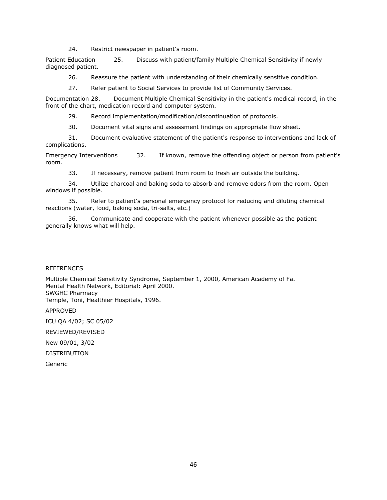24. Restrict newspaper in patient's room.

Patient Education 25. Discuss with patient/family Multiple Chemical Sensitivity if newly diagnosed patient.

26. Reassure the patient with understanding of their chemically sensitive condition.

27. Refer patient to Social Services to provide list of Community Services.

Documentation 28. Document Multiple Chemical Sensitivity in the patient's medical record, in the front of the chart, medication record and computer system.

29. Record implementation/modification/discontinuation of protocols.

30. Document vital signs and assessment findings on appropriate flow sheet.

31. Document evaluative statement of the patient's response to interventions and lack of complications.

Emergency Interventions 32. If known, remove the offending object or person from patient's room.

33. If necessary, remove patient from room to fresh air outside the building.

34. Utilize charcoal and baking soda to absorb and remove odors from the room. Open windows if possible.

35. Refer to patient's personal emergency protocol for reducing and diluting chemical reactions (water, food, baking soda, tri-salts, etc.)

36. Communicate and cooperate with the patient whenever possible as the patient generally knows what will help.

# **REFERENCES**

Multiple Chemical Sensitivity Syndrome, September 1, 2000, American Academy of Fa. Mental Health Network, Editorial: April 2000. SWGHC Pharmacy Temple, Toni, Healthier Hospitals, 1996.

APPROVED

ICU QA 4/02; SC 05/02

REVIEWED/REVISED

New 09/01, 3/02

DISTRIBUTION

Generic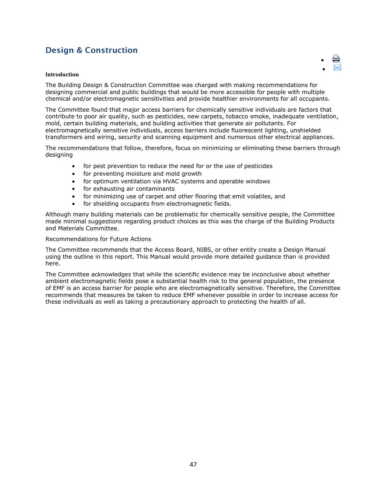# **Design & Construction**

#### **Introduction**

The Building Design & Construction Committee was charged with making recommendations for designing commercial and public buildings that would be more accessible for people with multiple chemical and/or electromagnetic sensitivities and provide healthier environments for all occupants.

• •

The Committee found that major access barriers for chemically sensitive individuals are factors that contribute to poor air quality, such as pesticides, new carpets, tobacco smoke, inadequate ventilation, mold, certain building materials, and building activities that generate air pollutants. For electromagnetically sensitive individuals, access barriers include fluorescent lighting, unshielded transformers and wiring, security and scanning equipment and numerous other electrical appliances.

The recommendations that follow, therefore, focus on minimizing or eliminating these barriers through designing

- for pest prevention to reduce the need for or the use of pesticides
- for preventing moisture and mold growth
- for optimum ventilation via HVAC systems and operable windows
- for exhausting air contaminants
- for minimizing use of carpet and other flooring that emit volatiles, and
- for shielding occupants from electromagnetic fields.

Although many building materials can be problematic for chemically sensitive people, the Committee made minimal suggestions regarding product choices as this was the charge of the Building Products and Materials Committee.

#### Recommendations for Future Actions

The Committee recommends that the Access Board, NIBS, or other entity create a Design Manual using the outline in this report. This Manual would provide more detailed guidance than is provided here.

The Committee acknowledges that while the scientific evidence may be inconclusive about whether ambient electromagnetic fields pose a substantial health risk to the general population, the presence of EMF is an access barrier for people who are electromagnetically sensitive. Therefore, the Committee recommends that measures be taken to reduce EMF whenever possible in order to increase access for these individuals as well as taking a precautionary approach to protecting the health of all.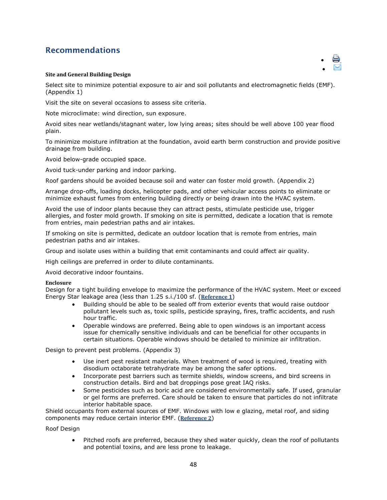# **Recommendations**



Select site to minimize potential exposure to air and soil pollutants and electromagnetic fields (EMF). (Appendix 1)

• •

Visit the site on several occasions to assess site criteria.

Note microclimate: wind direction, sun exposure.

Avoid sites near wetlands/stagnant water, low lying areas; sites should be well above 100 year flood plain.

To minimize moisture infiltration at the foundation, avoid earth berm construction and provide positive drainage from building.

Avoid below-grade occupied space.

Avoid tuck-under parking and indoor parking.

Roof gardens should be avoided because soil and water can foster mold growth. (Appendix 2)

Arrange drop-offs, loading docks, helicopter pads, and other vehicular access points to eliminate or minimize exhaust fumes from entering building directly or being drawn into the HVAC system.

Avoid the use of indoor plants because they can attract pests, stimulate pesticide use, trigger allergies, and foster mold growth. If smoking on site is permitted, dedicate a location that is remote from entries, main pedestrian paths and air intakes.

If smoking on site is permitted, dedicate an outdoor location that is remote from entries, main pedestrian paths and air intakes.

Group and isolate uses within a building that emit contaminants and could affect air quality.

High ceilings are preferred in order to dilute contaminants.

Avoid decorative indoor fountains.

# **Enclosure**

Design for a tight building envelope to maximize the performance of the HVAC system. Meet or exceed Energy Star leakage area (less than 1.25 s.i./100 sf. (**[Reference](https://web.archive.org/web/20201019053421/https:/www.access-board.gov/research/completed-research/indoor-environmental-quality/references-bibliography) 1**)

- Building should be able to be sealed off from exterior events that would raise outdoor pollutant levels such as, toxic spills, pesticide spraying, fires, traffic accidents, and rush hour traffic.
- Operable windows are preferred. Being able to open windows is an important access issue for chemically sensitive individuals and can be beneficial for other occupants in certain situations. Operable windows should be detailed to minimize air infiltration.

Design to prevent pest problems. (Appendix 3)

- Use inert pest resistant materials. When treatment of wood is required, treating with disodium octaborate tetrahydrate may be among the safer options.
- Incorporate pest barriers such as termite shields, window screens, and bird screens in construction details. Bird and bat droppings pose great IAQ risks.
- Some pesticides such as boric acid are considered environmentally safe. If used, granular or gel forms are preferred. Care should be taken to ensure that particles do not infiltrate interior habitable space.

Shield occupants from external sources of EMF. Windows with low e glazing, metal roof, and siding components may reduce certain interior EMF. (**[Reference](https://web.archive.org/web/20201019053421/https:/www.access-board.gov/research/completed-research/indoor-environmental-quality/references-bibliography) 2**)

Roof Design

• Pitched roofs are preferred, because they shed water quickly, clean the roof of pollutants and potential toxins, and are less prone to leakage.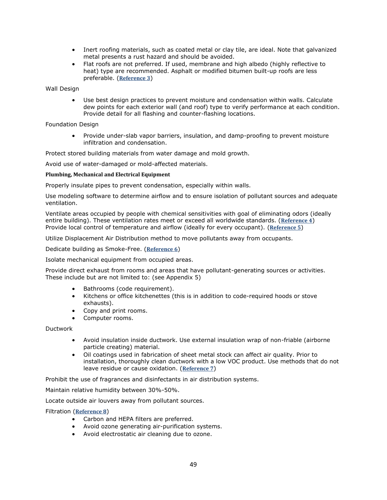- Inert roofing materials, such as coated metal or clay tile, are ideal. Note that galvanized metal presents a rust hazard and should be avoided.
- Flat roofs are not preferred. If used, membrane and high albedo (highly reflective to heat) type are recommended. Asphalt or modified bitumen built-up roofs are less preferable. (**[Reference](https://web.archive.org/web/20201019053421/https:/www.access-board.gov/research/completed-research/indoor-environmental-quality/references-bibliography) 3**)

# Wall Design

• Use best design practices to prevent moisture and condensation within walls. Calculate dew points for each exterior wall (and roof) type to verify performance at each condition. Provide detail for all flashing and counter-flashing locations.

# Foundation Design

• Provide under-slab vapor barriers, insulation, and damp-proofing to prevent moisture infiltration and condensation.

Protect stored building materials from water damage and mold growth.

Avoid use of water-damaged or mold-affected materials.

# **Plumbing, Mechanical and Electrical Equipment**

Properly insulate pipes to prevent condensation, especially within walls.

Use modeling software to determine airflow and to ensure isolation of pollutant sources and adequate ventilation.

Ventilate areas occupied by people with chemical sensitivities with goal of eliminating odors (ideally entire building). These ventilation rates meet or exceed all worldwide standards. (**[Reference](https://web.archive.org/web/20201019053421/https:/www.access-board.gov/research/completed-research/indoor-environmental-quality/references-bibliography) 4**) Provide local control of temperature and airflow (ideally for every occupant). (**[Reference](https://web.archive.org/web/20201019053421/https:/www.access-board.gov/research/completed-research/indoor-environmental-quality/references-bibliography) 5**)

Utilize Displacement Air Distribution method to move pollutants away from occupants.

Dedicate building as Smoke-Free. (**[Reference](https://web.archive.org/web/20201019053421/https:/www.access-board.gov/research/completed-research/indoor-environmental-quality/references-bibliography) 6**)

Isolate mechanical equipment from occupied areas.

Provide direct exhaust from rooms and areas that have pollutant-generating sources or activities. These include but are not limited to: (see Appendix 5)

- Bathrooms (code requirement).
- Kitchens or office kitchenettes (this is in addition to code-required hoods or stove exhausts).
- Copy and print rooms.
- Computer rooms.

# Ductwork

- Avoid insulation inside ductwork. Use external insulation wrap of non-friable (airborne particle creating) material.
- Oil coatings used in fabrication of sheet metal stock can affect air quality. Prior to installation, thoroughly clean ductwork with a low VOC product. Use methods that do not leave residue or cause oxidation. (**[Reference](https://web.archive.org/web/20201019053421/https:/www.access-board.gov/research/completed-research/indoor-environmental-quality/references-bibliography) 7**)

Prohibit the use of fragrances and disinfectants in air distribution systems.

Maintain relative humidity between 30%-50%.

Locate outside air louvers away from pollutant sources.

Filtration (**[Reference](https://web.archive.org/web/20201019053421/https:/www.access-board.gov/research/completed-research/indoor-environmental-quality/references-bibliography) 8**)

- Carbon and HEPA filters are preferred.
- Avoid ozone generating air-purification systems.
- Avoid electrostatic air cleaning due to ozone.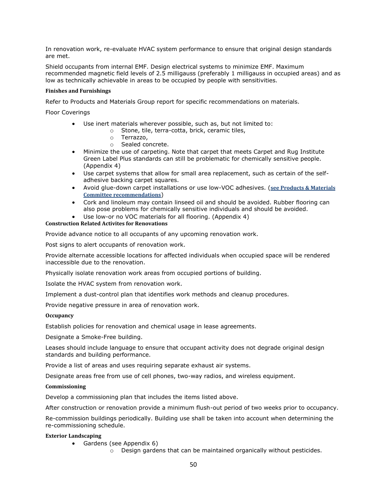In renovation work, re-evaluate HVAC system performance to ensure that original design standards are met.

Shield occupants from internal EMF. Design electrical systems to minimize EMF. Maximum recommended magnetic field levels of 2.5 milligauss (preferably 1 milligauss in occupied areas) and as low as technically achievable in areas to be occupied by people with sensitivities.

# **Finishes and Furnishings**

Refer to Products and Materials Group report for specific recommendations on materials.

Floor Coverings

- Use inert materials wherever possible, such as, but not limited to:
	- o Stone, tile, terra-cotta, brick, ceramic tiles,
	- o Terrazzo,
	- o Sealed concrete.
- Minimize the use of carpeting. Note that carpet that meets Carpet and Rug Institute Green Label Plus standards can still be problematic for chemically sensitive people. (Appendix 4)
- Use carpet systems that allow for small area replacement, such as certain of the selfadhesive backing carpet squares.
- Avoid glue-down carpet installations or use low-VOC adhesives. (**see Products & [Materials](https://web.archive.org/web/20201019053421/https:/www.access-board.gov/research/completed-research/indoor-environmental-quality/building-products-materials) Committee [recommendations](https://web.archive.org/web/20201019053421/https:/www.access-board.gov/research/completed-research/indoor-environmental-quality/building-products-materials)**)
- Cork and linoleum may contain linseed oil and should be avoided. Rubber flooring can also pose problems for chemically sensitive individuals and should be avoided.
- Use low-or no VOC materials for all flooring. (Appendix 4)

# **Construction Related Activites for Renovations**

Provide advance notice to all occupants of any upcoming renovation work.

Post signs to alert occupants of renovation work.

Provide alternate accessible locations for affected individuals when occupied space will be rendered inaccessible due to the renovation.

Physically isolate renovation work areas from occupied portions of building.

Isolate the HVAC system from renovation work.

Implement a dust-control plan that identifies work methods and cleanup procedures.

Provide negative pressure in area of renovation work.

# **Occupancy**

Establish policies for renovation and chemical usage in lease agreements.

Designate a Smoke-Free building.

Leases should include language to ensure that occupant activity does not degrade original design standards and building performance.

Provide a list of areas and uses requiring separate exhaust air systems.

Designate areas free from use of cell phones, two-way radios, and wireless equipment.

# **Commissioning**

Develop a commissioning plan that includes the items listed above.

After construction or renovation provide a minimum flush-out period of two weeks prior to occupancy.

Re-commission buildings periodically. Building use shall be taken into account when determining the re-commissioning schedule.

# **Exterior Landscaping**

- Gardens (see Appendix 6)
	- $\circ$  Design gardens that can be maintained organically without pesticides.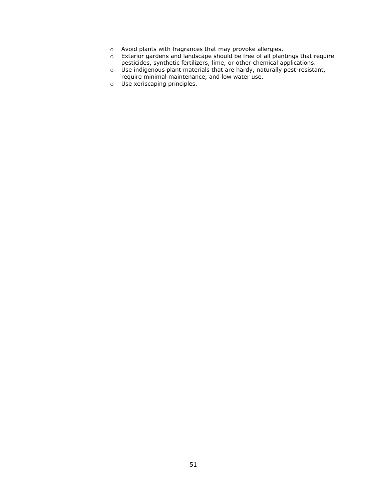- o Avoid plants with fragrances that may provoke allergies.
- o Exterior gardens and landscape should be free of all plantings that require pesticides, synthetic fertilizers, lime, or other chemical applications.
- o Use indigenous plant materials that are hardy, naturally pest-resistant, require minimal maintenance, and low water use.
- o Use xeriscaping principles.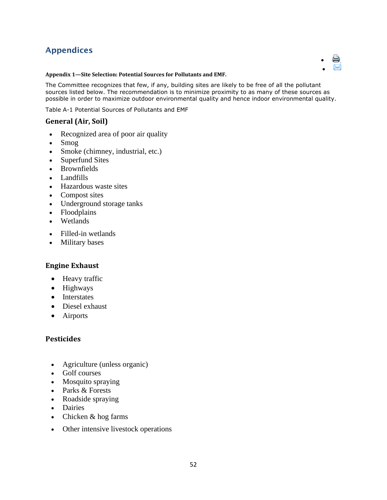# **Appendices**



# **Appendix 1—Site Selection: Potential Sources for Pollutants and EMF.**

The Committee recognizes that few, if any, building sites are likely to be free of all the pollutant sources listed below. The recommendation is to minimize proximity to as many of these sources as possible in order to maximize outdoor environmental quality and hence indoor environmental quality.

Table A-1 Potential Sources of Pollutants and EMF

# **General (Air, Soil)**

- Recognized area of poor air quality
- Smog
- Smoke (chimney, industrial, etc.)
- Superfund Sites
- Brownfields
- Landfills
- Hazardous waste sites
- Compost sites
- Underground storage tanks
- Floodplains
- Wetlands
- Filled-in wetlands
- Military bases

# **Engine Exhaust**

- Heavy traffic
- Highways
- Interstates
- Diesel exhaust
- Airports

# **Pesticides**

- Agriculture (unless organic)
- Golf courses
- Mosquito spraying
- Parks & Forests
- Roadside spraying
- Dairies
- Chicken & hog farms
- Other intensive livestock operations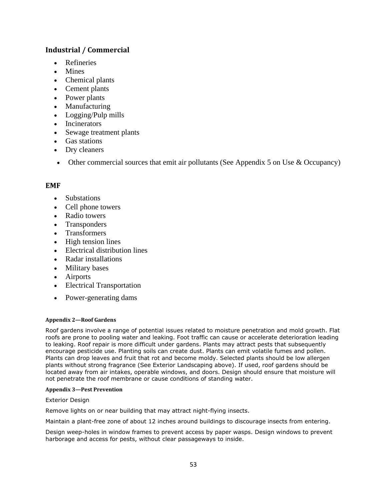# **Industrial / Commercial**

- **Refineries**
- **Mines**
- Chemical plants
- Cement plants
- Power plants
- Manufacturing
- Logging/Pulp mills
- **Incinerators**
- Sewage treatment plants
- Gas stations
- Dry cleaners
- Other commercial sources that emit air pollutants (See Appendix 5 on Use & Occupancy)

# **EMF**

- Substations
- Cell phone towers
- Radio towers
- **Transponders**
- Transformers
- High tension lines
- Electrical distribution lines
- Radar installations
- **Military** bases
- Airports
- Electrical Transportation
- Power-generating dams

# **Appendix 2—Roof Gardens**

Roof gardens involve a range of potential issues related to moisture penetration and mold growth. Flat roofs are prone to pooling water and leaking. Foot traffic can cause or accelerate deterioration leading to leaking. Roof repair is more difficult under gardens. Plants may attract pests that subsequently encourage pesticide use. Planting soils can create dust. Plants can emit volatile fumes and pollen. Plants can drop leaves and fruit that rot and become moldy. Selected plants should be low allergen plants without strong fragrance (See Exterior Landscaping above). If used, roof gardens should be located away from air intakes, operable windows, and doors. Design should ensure that moisture will not penetrate the roof membrane or cause conditions of standing water.

# **Appendix 3—Pest Prevention**

Exterior Design

Remove lights on or near building that may attract night-flying insects.

Maintain a plant-free zone of about 12 inches around buildings to discourage insects from entering.

Design weep-holes in window frames to prevent access by paper wasps. Design windows to prevent harborage and access for pests, without clear passageways to inside.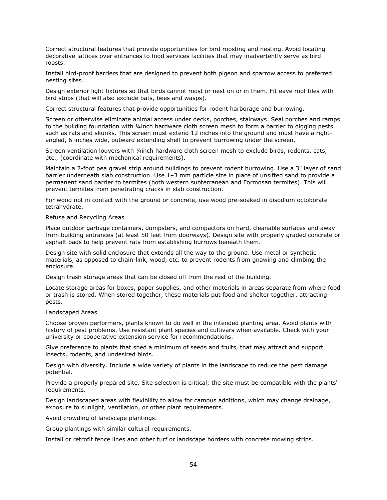Correct structural features that provide opportunities for bird roosting and nesting. Avoid locating decorative lattices over entrances to food services facilities that may inadvertently serve as bird roosts.

Install bird-proof barriers that are designed to prevent both pigeon and sparrow access to preferred nesting sites.

Design exterior light fixtures so that birds cannot roost or nest on or in them. Fit eave roof tiles with bird stops (that will also exclude bats, bees and wasps).

Correct structural features that provide opportunities for rodent harborage and burrowing.

Screen or otherwise eliminate animal access under decks, porches, stairways. Seal porches and ramps to the building foundation with ¼inch hardware cloth screen mesh to form a barrier to digging pests such as rats and skunks. This screen must extend 12 inches into the ground and must have a rightangled, 6 inches wide, outward extending shelf to prevent burrowing under the screen.

Screen ventilation louvers with ¼inch hardware cloth screen mesh to exclude birds, rodents, cats, etc., (coordinate with mechanical requirements).

Maintain a 2-foot pea gravel strip around buildings to prevent rodent burrowing. Use a 3" layer of sand barrier underneath slab construction. Use 1–3 mm particle size in place of unsifted sand to provide a permanent sand barrier to termites (both western subterranean and Formosan termites). This will prevent termites from penetrating cracks in slab construction.

For wood not in contact with the ground or concrete, use wood pre-soaked in disodium octoborate tetrahydrate.

#### Refuse and Recycling Areas

Place outdoor garbage containers, dumpsters, and compactors on hard, cleanable surfaces and away from building entrances (at least 50 feet from doorways). Design site with properly graded concrete or asphalt pads to help prevent rats from establishing burrows beneath them.

Design site with solid enclosure that extends all the way to the ground. Use metal or synthetic materials, as opposed to chain-link, wood, etc. to prevent rodents from gnawing and climbing the enclosure.

Design trash storage areas that can be closed off from the rest of the building.

Locate storage areas for boxes, paper supplies, and other materials in areas separate from where food or trash is stored. When stored together, these materials put food and shelter together, attracting pests.

#### Landscaped Areas

Choose proven performers, plants known to do well in the intended planting area. Avoid plants with history of pest problems. Use resistant plant species and cultivars when available. Check with your university or cooperative extension service for recommendations.

Give preference to plants that shed a minimum of seeds and fruits, that may attract and support insects, rodents, and undesired birds.

Design with diversity. Include a wide variety of plants in the landscape to reduce the pest damage potential.

Provide a properly prepared site. Site selection is critical; the site must be compatible with the plants' requirements.

Design landscaped areas with flexibility to allow for campus additions, which may change drainage, exposure to sunlight, ventilation, or other plant requirements.

Avoid crowding of landscape plantings.

Group plantings with similar cultural requirements.

Install or retrofit fence lines and other turf or landscape borders with concrete mowing strips.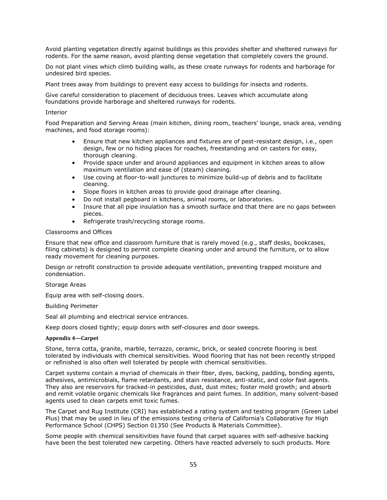Avoid planting vegetation directly against buildings as this provides shelter and sheltered runways for rodents. For the same reason, avoid planting dense vegetation that completely covers the ground.

Do not plant vines which climb building walls, as these create runways for rodents and harborage for undesired bird species.

Plant trees away from buildings to prevent easy access to buildings for insects and rodents.

Give careful consideration to placement of deciduous trees. Leaves which accumulate along foundations provide harborage and sheltered runways for rodents.

# Interior

Food Preparation and Serving Areas (main kitchen, dining room, teachers' lounge, snack area, vending machines, and food storage rooms):

- Ensure that new kitchen appliances and fixtures are of pest-resistant design, i.e., open design, few or no hiding places for roaches, freestanding and on casters for easy, thorough cleaning.
- Provide space under and around appliances and equipment in kitchen areas to allow maximum ventilation and ease of (steam) cleaning.
- Use coving at floor-to-wall junctures to minimize build-up of debris and to facilitate cleaning.
- Slope floors in kitchen areas to provide good drainage after cleaning.
- Do not install pegboard in kitchens, animal rooms, or laboratories.
- Insure that all pipe insulation has a smooth surface and that there are no gaps between pieces.
- Refrigerate trash/recycling storage rooms.

# Classrooms and Offices

Ensure that new office and classroom furniture that is rarely moved (e.g., staff desks, bookcases, filing cabinets) is designed to permit complete cleaning under and around the furniture, or to allow ready movement for cleaning purposes.

Design or retrofit construction to provide adequate ventilation, preventing trapped moisture and condensation.

Storage Areas

Equip area with self-closing doors.

Building Perimeter

Seal all plumbing and electrical service entrances.

Keep doors closed tightly; equip doors with self-closures and door sweeps.

#### **Appendix 4—Carpet**

Stone, terra cotta, granite, marble, terrazzo, ceramic, brick, or sealed concrete flooring is best tolerated by individuals with chemical sensitivities. Wood flooring that has not been recently stripped or refinished is also often well tolerated by people with chemical sensitivities.

Carpet systems contain a myriad of chemicals in their fiber, dyes, backing, padding, bonding agents, adhesives, antimicrobials, flame retardants, and stain resistance, anti-static, and color fast agents. They also are reservoirs for tracked-in pesticides, dust, dust mites; foster mold growth; and absorb and remit volatile organic chemicals like fragrances and paint fumes. In addition, many solvent-based agents used to clean carpets emit toxic fumes.

The Carpet and Rug Institute (CRI) has established a rating system and testing program (Green Label Plus) that may be used in lieu of the emissions testing criteria of California's Collaborative for High Performance School (CHPS) Section 01350 (See Products & Materials Committee).

Some people with chemical sensitivities have found that carpet squares with self-adhesive backing have been the best tolerated new carpeting. Others have reacted adversely to such products. More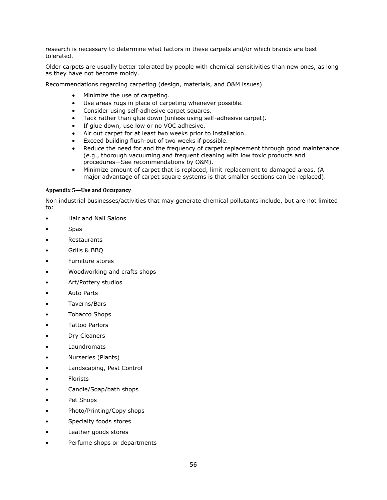research is necessary to determine what factors in these carpets and/or which brands are best tolerated.

Older carpets are usually better tolerated by people with chemical sensitivities than new ones, as long as they have not become moldy.

Recommendations regarding carpeting (design, materials, and O&M issues)

- Minimize the use of carpeting.
- Use areas rugs in place of carpeting whenever possible.
- Consider using self-adhesive carpet squares.
- Tack rather than glue down (unless using self-adhesive carpet).
- If glue down, use low or no VOC adhesive.
- Air out carpet for at least two weeks prior to installation.
- Exceed building flush-out of two weeks if possible.
- Reduce the need for and the frequency of carpet replacement through good maintenance (e.g., thorough vacuuming and frequent cleaning with low toxic products and procedures—See recommendations by O&M).
- Minimize amount of carpet that is replaced, limit replacement to damaged areas. (A major advantage of carpet square systems is that smaller sections can be replaced).

# **Appendix 5—Use and Occupancy**

Non industrial businesses/activities that may generate chemical pollutants include, but are not limited to:

- Hair and Nail Salons
- Spas
- Restaurants
- Grills & BBQ
- Furniture stores
- Woodworking and crafts shops
- Art/Pottery studios
- Auto Parts
- Taverns/Bars
- Tobacco Shops
- Tattoo Parlors
- Dry Cleaners
- Laundromats
- Nurseries (Plants)
- Landscaping, Pest Control
- **Florists**
- Candle/Soap/bath shops
- Pet Shops
- Photo/Printing/Copy shops
- Specialty foods stores
- Leather goods stores
- Perfume shops or departments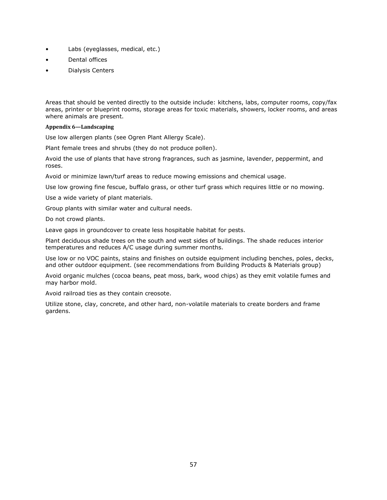- Labs (eyeglasses, medical, etc.)
- Dental offices
- Dialysis Centers

Areas that should be vented directly to the outside include: kitchens, labs, computer rooms, copy/fax areas, printer or blueprint rooms, storage areas for toxic materials, showers, locker rooms, and areas where animals are present.

# **Appendix 6—Landscaping**

Use low allergen plants (see Ogren Plant Allergy Scale).

Plant female trees and shrubs (they do not produce pollen).

Avoid the use of plants that have strong fragrances, such as jasmine, lavender, peppermint, and roses.

Avoid or minimize lawn/turf areas to reduce mowing emissions and chemical usage.

Use low growing fine fescue, buffalo grass, or other turf grass which requires little or no mowing.

Use a wide variety of plant materials.

Group plants with similar water and cultural needs.

Do not crowd plants.

Leave gaps in groundcover to create less hospitable habitat for pests.

Plant deciduous shade trees on the south and west sides of buildings. The shade reduces interior temperatures and reduces A/C usage during summer months.

Use low or no VOC paints, stains and finishes on outside equipment including benches, poles, decks, and other outdoor equipment. (see recommendations from Building Products & Materials group)

Avoid organic mulches (cocoa beans, peat moss, bark, wood chips) as they emit volatile fumes and may harbor mold.

Avoid railroad ties as they contain creosote.

Utilize stone, clay, concrete, and other hard, non-volatile materials to create borders and frame gardens.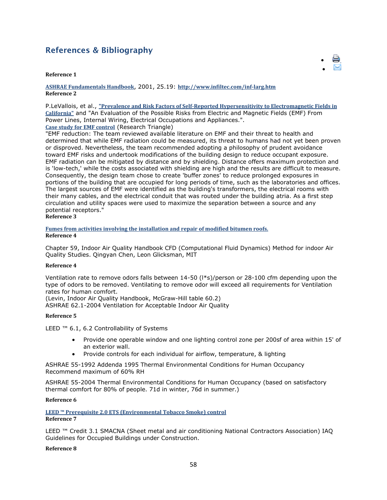# **References & Bibliography**

#### **Reference 1**



**ASHRAE [Fundamentals](https://web.archive.org/web/20201018110924/http:/www.argonair.com/pdf/Myth%20About%20Bldg%20Env.pdf) Handbook**, 2001, 25.19: **[http://www.infiltec.com/inf-larg.htm](https://web.archive.org/web/20201018110924/http:/www.infiltec.com/inf-larg.htm) Reference 2**

P.LeVallois, et al., **"Prevalence and Risk Factors of Self-Reported [Hypersensitivity](https://web.archive.org/web/20201018110924/http:/www.dhs.ca.gov/ps/deodc/ehib/emf/RiskEvaluation/Appendix3.pdf) to Electromagnetic Fields in [California"](https://web.archive.org/web/20201018110924/http:/www.dhs.ca.gov/ps/deodc/ehib/emf/RiskEvaluation/Appendix3.pdf)** and "An Evaluation of the Possible Risks from Electric and Magnetic Fields (EMF) From Power Lines, Internal Wiring, Electrical Occupations and Appliances.".

# **Case study for EMF [control](https://web.archive.org/web/20201018110924/http:/www.ncgreenbuilding.org/site/ncg/public/show_project.cfm?project_id=120)** (Research Triangle)

"EMF reduction: The team reviewed available literature on EMF and their threat to health and determined that while EMF radiation could be measured, its threat to humans had not yet been proven or disproved. Nevertheless, the team recommended adopting a philosophy of prudent avoidance toward EMF risks and undertook modifications of the building design to reduce occupant exposure. EMF radiation can be mitigated by distance and by shielding. Distance offers maximum protection and is 'low-tech,' while the costs associated with shielding are high and the results are difficult to measure. Consequently, the design team chose to create 'buffer zones' to reduce prolonged exposures in portions of the building that are occupied for long periods of time, such as the laboratories and offices. The largest sources of EMF were identified as the building's transformers, the electrical rooms with their many cables, and the electrical conduit that was routed under the building atria. As a first step circulation and utility spaces were used to maximize the separation between a source and any potential receptors." **Reference 3**

**Fumes from activities involving the [installation](https://web.archive.org/web/20201018110924/http:/environmentalchemistry.com/yogi/chemicals/cn/Asphalt%A0fumes.html) and repair of modified bitumen roofs. Reference 4**

Chapter 59, Indoor Air Quality Handbook CFD (Computational Fluid Dynamics) Method for indoor Air Quality Studies. Qingyan Chen, Leon Glicksman, MIT

# **Reference 4**

Ventilation rate to remove odors falls between 14-50 (l\*s)/person or 28-100 cfm depending upon the type of odors to be removed. Ventilating to remove odor will exceed all requirements for Ventilation rates for human comfort.

(Levin, Indoor Air Quality Handbook, McGraw-Hill table 60.2)

ASHRAE 62.1-2004 Ventilation for Acceptable Indoor Air Quality

# **Reference 5**

LEED<sup>™</sup> 6.1, 6.2 Controllability of Systems

- Provide one operable window and one lighting control zone per 200sf of area within 15' of an exterior wall.
- Provide controls for each individual for airflow, temperature, & lighting

ASHRAE 55-1992 Addenda 1995 Thermal Environmental Conditions for Human Occupancy Recommend maximum of 60% RH

ASHRAE 55-2004 Thermal Environmental Conditions for Human Occupancy (based on satisfactory thermal comfort for 80% of people. 71d in winter, 76d in summer.)

# **Reference 6**

**LEED ™ Prerequisite 2.0 ETS [\(Environmental](https://web.archive.org/web/20201018110924/http:/www.epa.gov/iaq/pubs/etsbro.html) Tobacco Smoke) control Reference 7**

LEED ™ Credit 3.1 SMACNA (Sheet metal and air conditioning National Contractors Association) IAQ Guidelines for Occupied Buildings under Construction.

# **Reference 8**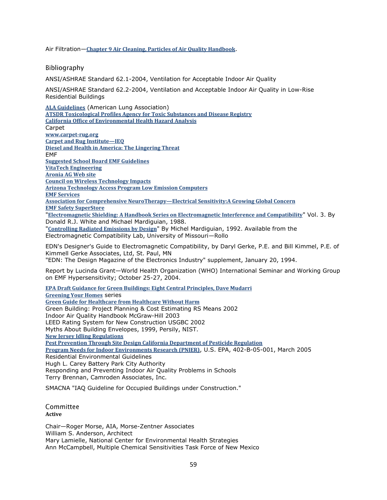Air Filtration—**Chapter 9 Air Cleaning, Particles of Air Quality [Handbook](https://web.archive.org/web/20201018110924/http:/www.epa.gov/etv/centers/center10.html)**.

Bibliography

ANSI/ASHRAE Standard 62.1-2004, Ventilation for Acceptable Indoor Air Quality

ANSI/ASHRAE Standard 62.2-2004, Ventilation and Acceptable Indoor Air Quality in Low-Rise Residential Buildings

**ALA [Guidelines](https://web.archive.org/web/20201018110924/http:/www.healthhouse.org/build/Guidelines.asp)** (American Lung Association) **ATSDR [Toxicological](https://web.archive.org/web/20201018110924/http:/www.atsdr.cdc.gov/) Profiles Agency for Toxic Substances and Disease Registry California Office of [Environmental](https://web.archive.org/web/20201018110924/http:/www.oehha.ca.gov/air/chronic_rels/index.html) Health Hazard Analysis Carpet [www.carpet-rug.org](https://web.archive.org/web/20201018110924/http:/www.carpet-rug.org/index.cfm) Carpet and Rug [Institute](https://web.archive.org/web/20201018110924/http:/www.carpet-rug.org/drill_down_2.cfm?page=8&sub=3&requesttimeout=350)—IEQ Diesel and Health in America: The [Lingering](https://web.archive.org/web/20201018110924/https:/www.access-board.gov/research/ieq/design/www.catf.us/goto/dieselhealth) Threat** EMF **Suggested School Board EMF [Guidelines](https://web.archive.org/web/20201018110924/http:/www.cep.ca/reg_ontario/files/health_safety/emf_school_guidelines.pdf) VitaTech [Engineering](https://web.archive.org/web/20201018110924/http:/vitatech.net/q_a.html) [Aronia](https://web.archive.org/web/20201018110924/http:/www.emf-meter.com/emf-exposure-limits.htm) AG Web site Council on Wireless [Technology](https://web.archive.org/web/20201018110924/http:/www.energyfields.org/) Impacts Arizona [Technology](https://web.archive.org/web/20201018110924/http:/www.asilo.com/aztap1) Access Program Low Emission Computers EMF [Services](https://web.archive.org/web/20201018110924/http:/www.emfservices.com/index.htm) Association for [Comprehensive](https://web.archive.org/web/20201018110924/http:/www.latitudes.org/articles/electrical_sensitivity_articles.html) NeuroTherapy—Electrical Sensitivity:A Growing Global Concern EMF Safety [SuperStore](https://web.archive.org/web/20201018110924/http:/www.lessemf.com/)** "**[Electromagnetic](https://web.archive.org/web/20201018110924/http:/www.amazon.com/exec/obidos/tg/detail/-/0944916031/ref=pd_ecc_rvi_1/002-9659512-8208838?%5Fencoding=UTF8&v=glance) Shielding: A Handbook Series on Electromagnetic Interference and Compatibility**" Vol. 3. By Donald R.J. White and Michael Mardiguian, 1988.

"**[Controlling](https://web.archive.org/web/20201018110924/http:/www.emclab.umr.edu/emcbooks.html) Radiated Emissions by Design**" By Michel Mardiguian, 1992. Available from the Electromagnetic Compatibility Lab, University of Missouri—Rollo

EDN's Designer's Guide to Electromagnetic Compatibility, by Daryl Gerke, P.E. and Bill Kimmel, P.E. of Kimmell Gerke Associates, Ltd, St. Paul, MN

"EDN: The Design Magazine of the Electronics Industry" supplement, January 20, 1994.

Report by Lucinda Grant—World Health Organization (WHO) International Seminar and Working Group on EMF Hypersensitivity; October 25-27, 2004.

**EPA Draft Guidance for Green Buildings: Eight Central [Principles,](https://web.archive.org/web/20201018110924/http:/www.housingzone.com/news2.asp?topicId=14531&docId=l:25891088) Dave Mudarri [Greening](https://web.archive.org/web/20201018110924/http:/www.clevelandgbc.org/) Your Homes** series **Green Guide for [Healthcare](https://web.archive.org/web/20201018110924/http:/www.gghc.org/) from Healthcare Without Harm** Green Building: Project Planning & Cost Estimating RS Means 2002 Indoor Air Quality Handbook McGraw-Hill 2003 LEED Rating System for New Construction USGBC 2002 Myths About Building Envelopes, 1999, Persily, NIST. **New Jersey Idling [Regulations](https://web.archive.org/web/20201018110924/http:/www.state.nj.us/dep/aqm/sub14v2001-10-01.htm) Pest Prevention Through Site Design California [Department](https://web.archive.org/web/20201018110924/http:/www.cdpr.ca.gov/cfdocs/apps/schoolipm/managing_pests/71_pest_prevention) of Pesticide Regulation Program Needs for Indoor [Environments](https://web.archive.org/web/20201018110924/http:/www.epa.gov/iaq/pubs/pnier.pdf) Research (PNIER)**, U.S. EPA, 402-B-05-001, March 2005 Residential Environmental Guidelines Hugh L. Carey Battery Park City Authority Responding and Preventing Indoor Air Quality Problems in Schools Terry Brennan, Camroden Associates, Inc.

SMACNA "IAQ Guideline for Occupied Buildings under Construction."

# Committee **Active**

Chair—Roger Morse, AIA, Morse-Zentner Associates William S. Anderson, Architect Mary Lamielle, National Center for Environmental Health Strategies Ann McCampbell, Multiple Chemical Sensitivities Task Force of New Mexico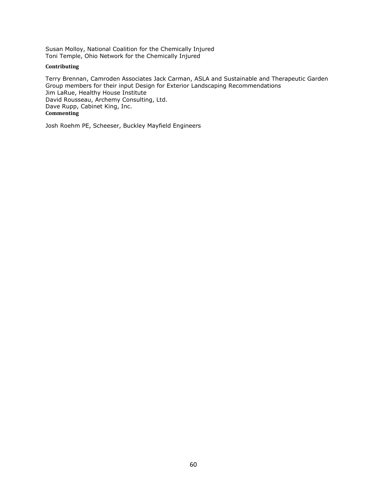Susan Molloy, National Coalition for the Chemically Injured Toni Temple, Ohio Network for the Chemically Injured

# **Contributing**

Terry Brennan, Camroden Associates Jack Carman, ASLA and Sustainable and Therapeutic Garden Group members for their input Design for Exterior Landscaping Recommendations Jim LaRue, Healthy House Institute David Rousseau, Archemy Consulting, Ltd. Dave Rupp, Cabinet King, Inc. **Commenting**

Josh Roehm PE, Scheeser, Buckley Mayfield Engineers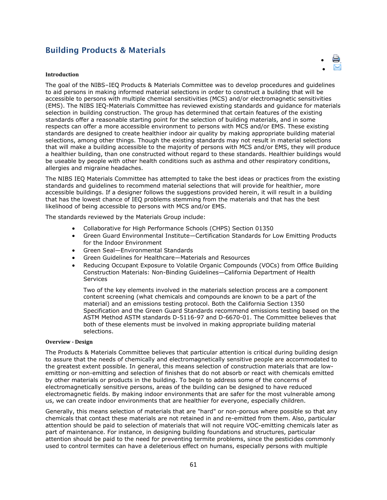# **Building Products & Materials**

#### **Introduction**

The goal of the NIBS–IEQ Products & Materials Committee was to develop procedures and guidelines to aid persons in making informed material selections in order to construct a building that will be accessible to persons with multiple chemical sensitivities (MCS) and/or electromagnetic sensitivities (EMS). The NIBS IEQ-Materials Committee has reviewed existing standards and guidance for materials selection in building construction. The group has determined that certain features of the existing standards offer a reasonable starting point for the selection of building materials, and in some respects can offer a more accessible environment to persons with MCS and/or EMS. These existing standards are designed to create healthier indoor air quality by making appropriate building material selections, among other things. Though the existing standards may not result in material selections that will make a building accessible to the majority of persons with MCS and/or EMS, they will produce a healthier building, than one constructed without regard to these standards. Healthier buildings would be useable by people with other health conditions such as asthma and other respiratory conditions, allergies and migraine headaches.

• •

The NIBS IEQ Materials Committee has attempted to take the best ideas or practices from the existing standards and guidelines to recommend material selections that will provide for healthier, more accessible buildings. If a designer follows the suggestions provided herein, it will result in a building that has the lowest chance of IEQ problems stemming from the materials and that has the best likelihood of being accessible to persons with MCS and/or EMS.

The standards reviewed by the Materials Group include:

- Collaborative for High Performance Schools (CHPS) Section 01350
- Green Guard Environmental Institute—Certification Standards for Low Emitting Products for the Indoor Environment
- Green Seal—Environmental Standards
- Green Guidelines for Healthcare—Materials and Resources
- Reducing Occupant Exposure to Volatile Organic Compounds (VOCs) from Office Building Construction Materials: Non-Binding Guidelines—California Department of Health **Services**

Two of the key elements involved in the materials selection process are a component content screening (what chemicals and compounds are known to be a part of the material) and an emissions testing protocol. Both the California Section 1350 Specification and the Green Guard Standards recommend emissions testing based on the ASTM Method ASTM standards D-5116-97 and D-6670-01. The Committee believes that both of these elements must be involved in making appropriate building material selections.

#### **Overview - Design**

The Products & Materials Committee believes that particular attention is critical during building design to assure that the needs of chemically and electromagnetically sensitive people are accommodated to the greatest extent possible. In general, this means selection of construction materials that are lowemitting or non-emitting and selection of finishes that do not absorb or react with chemicals emitted by other materials or products in the building. To begin to address some of the concerns of electromagnetically sensitive persons, areas of the building can be designed to have reduced electromagnetic fields. By making indoor environments that are safer for the most vulnerable among us, we can create indoor environments that are healthier for everyone, especially children.

Generally, this means selection of materials that are "hard" or non-porous where possible so that any chemicals that contact these materials are not retained in and re-emitted from them. Also, particular attention should be paid to selection of materials that will not require VOC-emitting chemicals later as part of maintenance. For instance, in designing building foundations and structures, particular attention should be paid to the need for preventing termite problems, since the pesticides commonly used to control termites can have a deleterious effect on humans, especially persons with multiple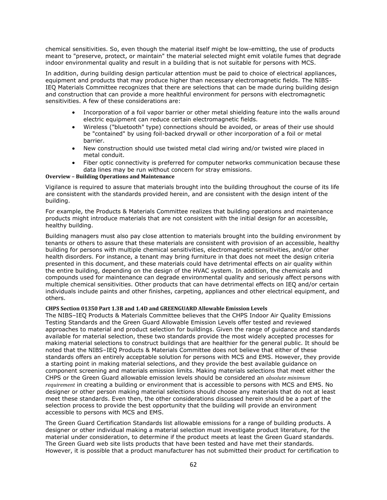chemical sensitivities. So, even though the material itself might be low-emitting, the use of products meant to "preserve, protect, or maintain" the material selected might emit volatile fumes that degrade indoor environmental quality and result in a building that is not suitable for persons with MCS.

In addition, during building design particular attention must be paid to choice of electrical appliances, equipment and products that may produce higher than necessary electromagnetic fields. The NIBS-IEQ Materials Committee recognizes that there are selections that can be made during building design and construction that can provide a more healthful environment for persons with electromagnetic sensitivities. A few of these considerations are:

- Incorporation of a foil vapor barrier or other metal shielding feature into the walls around electric equipment can reduce certain electromagnetic fields.
- Wireless ("bluetooth" type) connections should be avoided, or areas of their use should be "contained" by using foil-backed drywall or other incorporation of a foil or metal barrier.
- New construction should use twisted metal clad wiring and/or twisted wire placed in metal conduit.
- Fiber optic connectivity is preferred for computer networks communication because these data lines may be run without concern for stray emissions.

# **Overview – Building Operations and Maintenance**

Vigilance is required to assure that materials brought into the building throughout the course of its life are consistent with the standards provided herein, and are consistent with the design intent of the building.

For example, the Products & Materials Committee realizes that building operations and maintenance products might introduce materials that are not consistent with the initial design for an accessible, healthy building.

Building managers must also pay close attention to materials brought into the building environment by tenants or others to assure that these materials are consistent with provision of an accessible, healthy building for persons with multiple chemical sensitivities, electromagnetic sensitivities, and/or other health disorders. For instance, a tenant may bring furniture in that does not meet the design criteria presented in this document, and these materials could have detrimental effects on air quality within the entire building, depending on the design of the HVAC system. In addition, the chemicals and compounds used for maintenance can degrade environmental quality and seriously affect persons with multiple chemical sensitivities. Other products that can have detrimental effects on IEQ and/or certain individuals include paints and other finishes, carpeting, appliances and other electrical equipment, and others.

# **CHPS Section 01350 Part 1.3B and 1.4D and GREENGUARD Allowable Emission Levels**

The NIBS–IEQ Products & Materials Committee believes that the CHPS Indoor Air Quality Emissions Testing Standards and the Green Guard Allowable Emission Levels offer tested and reviewed approaches to material and product selection for buildings. Given the range of guidance and standards available for material selection, these two standards provide the most widely accepted processes for making material selections to construct buildings that are healthier for the general public. It should be noted that the NIBS–IEQ Products & Materials Committee does not believe that either of these standards offers an entirely acceptable solution for persons with MCS and EMS. However, they provide a starting point in making material selections, and they provide the best available guidance on component screening and materials emission limits. Making materials selections that meet either the CHPS or the Green Guard allowable emission levels should be considered an *absolute minimum requirement* in creating a building or environment that is accessible to persons with MCS and EMS. No designer or other person making material selections should choose any materials that do not at least meet these standards. Even then, the other considerations discussed herein should be a part of the selection process to provide the best opportunity that the building will provide an environment accessible to persons with MCS and EMS.

The Green Guard Certification Standards list allowable emissions for a range of building products. A designer or other individual making a material selection must investigate product literature, for the material under consideration, to determine if the product meets at least the Green Guard standards. The Green Guard web site lists products that have been tested and have met their standards. However, it is possible that a product manufacturer has not submitted their product for certification to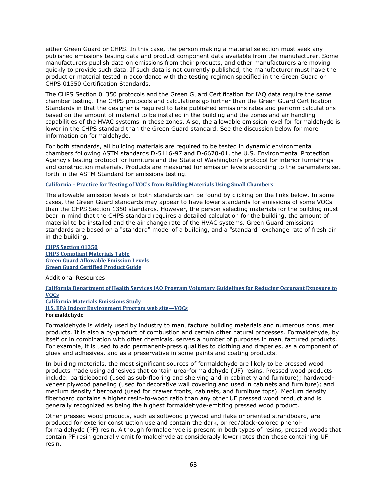either Green Guard or CHPS. In this case, the person making a material selection must seek any published emissions testing data and product component data available from the manufacturer. Some manufacturers publish data on emissions from their products, and other manufacturers are moving quickly to provide such data. If such data is not currently published, the manufacturer must have the product or material tested in accordance with the testing regimen specified in the Green Guard or CHPS 01350 Certification Standards.

The CHPS Section 01350 protocols and the Green Guard Certification for IAQ data require the same chamber testing. The CHPS protocols and calculations go further than the Green Guard Certification Standards in that the designer is required to take published emissions rates and perform calculations based on the amount of material to be installed in the building and the zones and air handling capabilities of the HVAC systems in those zones. Also, the allowable emission level for formaldehyde is lower in the CHPS standard than the Green Guard standard. See the discussion below for more information on formaldehyde.

For both standards, all building materials are required to be tested in dynamic environmental chambers following ASTM standards D-5116-97 and D-6670-01, the U.S. Environmental Protection Agency's testing protocol for furniture and the State of Washington's protocol for interior furnishings and construction materials. Products are measured for emission levels according to the parameters set forth in the ASTM Standard for emissions testing.

# **California – Practice for Testing of VOC's from Building Materials Using Small [Chambers](https://web.archive.org/web/20201018165502/http:/www.dhs.ca.gov/ps/deodc/ehlb/iaq/VOCS/Practice.htm)**

The allowable emission levels of both standards can be found by clicking on the links below. In some cases, the Green Guard standards may appear to have lower standards for emissions of some VOCs than the CHPS Section 1350 standards. However, the person selecting materials for the building must bear in mind that the CHPS standard requires a detailed calculation for the building, the amount of material to be installed and the air change rate of the HVAC systems. Green Guard emissions standards are based on a "standard" model of a building, and a "standard" exchange rate of fresh air in the building.

**CHPS [Section](https://web.archive.org/web/20201018165502/http:/www.chps.net/manual/documents/Sec_01350.doc) 01350 CHPS [Compliant](https://web.archive.org/web/20201018165502/http:/www.chps.net/manual/lem_table.htm) Materials Table Green Guard [Allowable](https://web.archive.org/web/20201018165502/http:/www.greenguard.org/DesktopDefault.aspx?tabindex=3&tabid=16) Emission Levels Green Guard [Certified](https://web.archive.org/web/20201018165502/http:/www.greenguard.org/DesktopDefault.aspx?tabindex=1&tabid=12) Product Guide**

# Additional Resources

**California [Department](https://web.archive.org/web/20201018165502/http:/www.dhs.ca.gov/iaq/VOCS/VOC_guidelines_1996.html) of Health Services IAQ Program Voluntary Guidelines for Reducing Occupant Exposure to [VOCs](https://web.archive.org/web/20201018165502/http:/www.dhs.ca.gov/iaq/VOCS/VOC_guidelines_1996.html) California Materials [Emissions](https://web.archive.org/web/20201018165502/http:/www.ciwmb.ca.gov/Publications/default.asp?pubid=1027) Study U.S. EPA Indoor [Environment](https://web.archive.org/web/20201018165502/http:/www.epa.gov/iaq/voc.html) Program web site—VOCs**

#### **Formaldehyde**

Formaldehyde is widely used by industry to manufacture building materials and numerous consumer products. It is also a by-product of combustion and certain other natural processes. Formaldehyde, by itself or in combination with other chemicals, serves a number of purposes in manufactured products. For example, it is used to add permanent-press qualities to clothing and draperies, as a component of glues and adhesives, and as a preservative in some paints and coating products.

In building materials, the most significant sources of formaldehyde are likely to be pressed wood products made using adhesives that contain urea-formaldehyde (UF) resins. Pressed wood products include: particleboard (used as sub-flooring and shelving and in cabinetry and furniture); hardwoodveneer plywood paneling (used for decorative wall covering and used in cabinets and furniture); and medium density fiberboard (used for drawer fronts, cabinets, and furniture tops). Medium density fiberboard contains a higher resin-to-wood ratio than any other UF pressed wood product and is generally recognized as being the highest formaldehyde-emitting pressed wood product.

Other pressed wood products, such as softwood plywood and flake or oriented strandboard, are produced for exterior construction use and contain the dark, or red/black-colored phenolformaldehyde (PF) resin. Although formaldehyde is present in both types of resins, pressed woods that contain PF resin generally emit formaldehyde at considerably lower rates than those containing UF resin.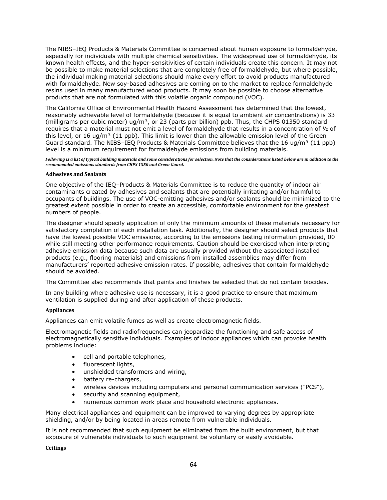The NIBS–IEQ Products & Materials Committee is concerned about human exposure to formaldehyde, especially for individuals with multiple chemical sensitivities. The widespread use of formaldehyde, its known health effects, and the hyper-sensitivities of certain individuals create this concern. It may not be possible to make material selections that are completely free of formaldehyde, but where possible, the individual making material selections should make every effort to avoid products manufactured with formaldehyde. New soy-based adhesives are coming on to the market to replace formaldehyde resins used in many manufactured wood products. It may soon be possible to choose alternative products that are not formulated with this volatile organic compound (VOC).

The California Office of Environmental Health Hazard Assessment has determined that the lowest, reasonably achievable level of formaldehyde (because it is equal to ambient air concentrations) is 33 (milligrams per cubic meter) ug/m<sup>3</sup>, or 23 (parts per billion) ppb. Thus, the CHPS 01350 standard requires that a material must not emit a level of formaldehyde that results in a concentration of ½ of this level, or 16 ug/m $3$  (11 ppb). This limit is lower than the allowable emission level of the Green Guard standard. The NIBS-IEQ Products & Materials Committee believes that the 16 ug/m<sup>3</sup> (11 ppb) level is a minimum requirement for formaldehyde emissions from building materials.

*Following is a list of typical building materials and some considerations for selection. Note that the considerations listed below are in addition to the recommended emissions standards from CHPS 1350 and Green Guard.*

# **Adhesives and Sealants**

One objective of the IEQ–Products & Materials Committee is to reduce the quantity of indoor air contaminants created by adhesives and sealants that are potentially irritating and/or harmful to occupants of buildings. The use of VOC-emitting adhesives and/or sealants should be minimized to the greatest extent possible in order to create an accessible, comfortable environment for the greatest numbers of people.

The designer should specify application of only the minimum amounts of these materials necessary for satisfactory completion of each installation task. Additionally, the designer should select products that have the lowest possible VOC emissions, according to the emissions testing information provided, 00 while still meeting other performance requirements. Caution should be exercised when interpreting adhesive emission data because such data are usually provided without the associated installed products (e.g., flooring materials) and emissions from installed assemblies may differ from manufacturers' reported adhesive emission rates. If possible, adhesives that contain formaldehyde should be avoided.

The Committee also recommends that paints and finishes be selected that do not contain biocides.

In any building where adhesive use is necessary, it is a good practice to ensure that maximum ventilation is supplied during and after application of these products.

# **Appliances**

Appliances can emit volatile fumes as well as create electromagnetic fields.

Electromagnetic fields and radiofrequencies can jeopardize the functioning and safe access of electromagnetically sensitive individuals. Examples of indoor appliances which can provoke health problems include:

- cell and portable telephones,
- fluorescent lights,
- unshielded transformers and wiring,
- battery re-chargers,
- wireless devices including computers and personal communication services ("PCS"),
- security and scanning equipment,
- numerous common work place and household electronic appliances.

Many electrical appliances and equipment can be improved to varying degrees by appropriate shielding, and/or by being located in areas remote from vulnerable individuals.

It is not recommended that such equipment be eliminated from the built environment, but that exposure of vulnerable individuals to such equipment be voluntary or easily avoidable.

**Ceilings**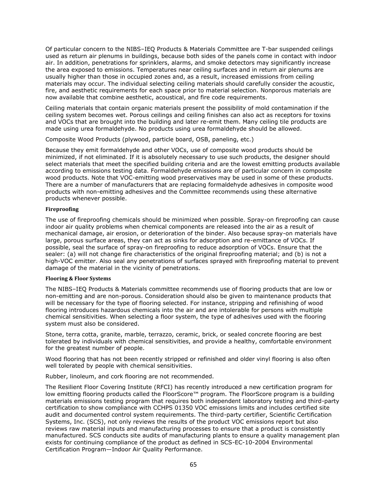Of particular concern to the NIBS–IEQ Products & Materials Committee are T-bar suspended ceilings used as return air plenums in buildings, because both sides of the panels come in contact with indoor air. In addition, penetrations for sprinklers, alarms, and smoke detectors may significantly increase the area exposed to emissions. Temperatures near ceiling surfaces and in return air plenums are usually higher than those in occupied zones and, as a result, increased emissions from ceiling materials may occur. The individual selecting ceiling materials should carefully consider the acoustic, fire, and aesthetic requirements for each space prior to material selection. Nonporous materials are now available that combine aesthetic, acoustical, and fire code requirements.

Ceiling materials that contain organic materials present the possibility of mold contamination if the ceiling system becomes wet. Porous ceilings and ceiling finishes can also act as receptors for toxins and VOCs that are brought into the building and later re-emit them. Many ceiling tile products are made using urea formaldehyde. No products using urea formaldehyde should be allowed.

Composite Wood Products (plywood, particle board, OSB, paneling, etc.)

Because they emit formaldehyde and other VOCs, use of composite wood products should be minimized, if not eliminated. If it is absolutely necessary to use such products, the designer should select materials that meet the specified building criteria and are the lowest emitting products available according to emissions testing data. Formaldehyde emissions are of particular concern in composite wood products. Note that VOC-emitting wood preservatives may be used in some of these products. There are a number of manufacturers that are replacing formaldehyde adhesives in composite wood products with non-emitting adhesives and the Committee recommends using these alternative products whenever possible.

# **Fireproofing**

The use of fireproofing chemicals should be minimized when possible. Spray-on fireproofing can cause indoor air quality problems when chemical components are released into the air as a result of mechanical damage, air erosion, or deterioration of the binder. Also because spray-on materials have large, porous surface areas, they can act as sinks for adsorption and re-emittance of VOCs. If possible, seal the surface of spray-on fireproofing to reduce adsorption of VOCs. Ensure that the sealer: (a) will not change fire characteristics of the original fireproofing material; and (b) is not a high-VOC emitter. Also seal any penetrations of surfaces sprayed with fireproofing material to prevent damage of the material in the vicinity of penetrations.

# **Flooring & Floor Systems**

The NIBS–IEQ Products & Materials committee recommends use of flooring products that are low or non-emitting and are non-porous. Consideration should also be given to maintenance products that will be necessary for the type of flooring selected. For instance, stripping and refinishing of wood flooring introduces hazardous chemicals into the air and are intolerable for persons with multiple chemical sensitivities. When selecting a floor system, the type of adhesives used with the flooring system must also be considered.

Stone, terra cotta, granite, marble, terrazzo, ceramic, brick, or sealed concrete flooring are best tolerated by individuals with chemical sensitivities, and provide a healthy, comfortable environment for the greatest number of people.

Wood flooring that has not been recently stripped or refinished and older vinyl flooring is also often well tolerated by people with chemical sensitivities.

Rubber, linoleum, and cork flooring are not recommended.

The Resilient Floor Covering Institute (RFCI) has recently introduced a new certification program for low emitting flooring products called the FloorScore™ program. The FloorScore program is a building materials emissions testing program that requires both independent laboratory testing and third-party certification to show compliance with CCHPS 01350 VOC emissions limits and includes certified site audit and documented control system requirements. The third-party certifier, Scientific Certification Systems, Inc. (SCS), not only reviews the results of the product VOC emissions report but also reviews raw material inputs and manufacturing processes to ensure that a product is consistently manufactured. SCS conducts site audits of manufacturing plants to ensure a quality management plan exists for continuing compliance of the product as defined in SCS-EC-10-2004 Environmental Certification Program—Indoor Air Quality Performance.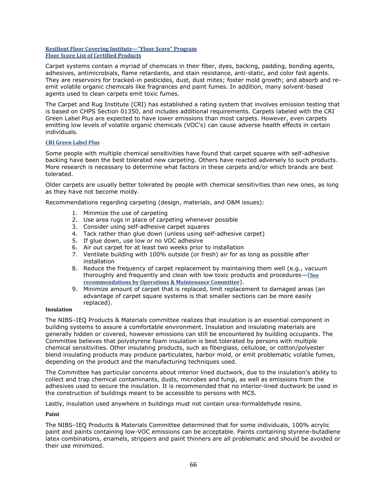# **Resilient Floor [Covering](https://web.archive.org/web/20201018165502/http:/www.rfci.com/int_FloorScore.htm) Institute—"Floor Score" Program Floor Score List of Certified [Products](https://web.archive.org/web/20201018165502/http:/www.rfci.com/int_FS-ProdCert.htm)**

Carpet systems contain a myriad of chemicals in their fiber, dyes, backing, padding, bonding agents, adhesives, antimicrobials, flame retardants, and stain resistance, anti-static, and color fast agents. They are reservoirs for tracked-in pesticides, dust, dust mites; foster mold growth; and absorb and reemit volatile organic chemicals like fragrances and paint fumes. In addition, many solvent-based agents used to clean carpets emit toxic fumes.

The Carpet and Rug Institute (CRI) has established a rating system that involves emission testing that is based on CHPS Section 01350, and includes additional requirements. Carpets labeled with the CRI Green Label Plus are expected to have lower emissions than most carpets. However, even carpets emitting low levels of volatile organic chemicals (VOC's) can cause adverse health effects in certain individuals.

# **CRI [Green](https://web.archive.org/web/20201018165502/http:/www.carpet-rug.org/drill_down_2.cfm?page=8&sub=3&requesttimeout=350) Label Plus**

Some people with multiple chemical sensitivities have found that carpet squares with self-adhesive backing have been the best tolerated new carpeting. Others have reacted adversely to such products. More research is necessary to determine what factors in these carpets and/or which brands are best tolerated.

Older carpets are usually better tolerated by people with chemical sensitivities than new ones, as long as they have not become moldy.

Recommendations regarding carpeting (design, materials, and O&M issues):

- 1. Minimize the use of carpeting
- 2. Use area rugs in place of carpeting whenever possible
- 3. Consider using self-adhesive carpet squares
- 4. Tack rather than glue down (unless using self-adhesive carpet)
- 5. If glue down, use low or no VOC adhesive
- 6. Air out carpet for at least two weeks prior to installation
- 7. Ventilate building with 100% outside (or fresh) air for as long as possible after installation
- 8. Reduce the frequency of carpet replacement by maintaining them well (e.g., vacuum thoroughly and frequently and clean with low toxic products and procedures—(**[See](https://web.archive.org/web/20201018165502/https:/www.access-board.gov/research/ieq/om/gr_program.cfm) [recommendations](https://web.archive.org/web/20201018165502/https:/www.access-board.gov/research/ieq/om/gr_program.cfm) by Operations & Maintenance Committee**).
- 9. Minimize amount of carpet that is replaced, limit replacement to damaged areas (an advantage of carpet square systems is that smaller sections can be more easily replaced).

# **Insulation**

The NIBS–IEQ Products & Materials committee realizes that insulation is an essential component in building systems to assure a comfortable environment. Insulation and insulating materials are generally hidden or covered, however emissions can still be encountered by building occupants. The Committee believes that polystyrene foam insulation is best tolerated by persons with multiple chemical sensitivities. Other insulating products, such as fiberglass, cellulose, or cotton/polyester blend insulating products may produce particulates, harbor mold, or emit problematic volatile fumes, depending on the product and the manufacturing techniques used.

The Committee has particular concerns about interior lined ductwork, due to the insulation's ability to collect and trap chemical contaminants, dusts, microbes and fungi, as well as emissions from the adhesives used to secure the insulation. It is recommended that no interior-lined ductwork be used in the construction of buildings meant to be accessible to persons with MCS.

Lastly, insulation used anywhere in buildings must not contain urea-formaldehyde resins.

# **Paint**

The NIBS–IEQ Products & Materials Committee determined that for some individuals, 100% acrylic paint and paints containing low-VOC emissions can be acceptable. Paints containing styrene-butadiene latex combinations, enamels, strippers and paint thinners are all problematic and should be avoided or their use minimized.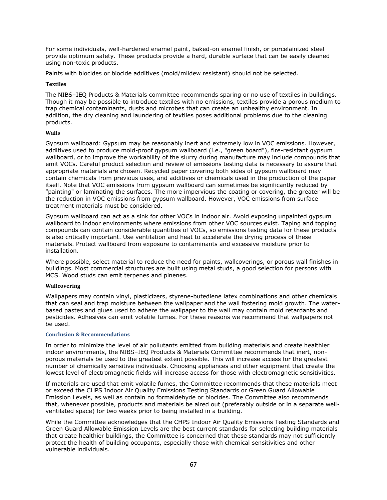For some individuals, well-hardened enamel paint, baked-on enamel finish, or porcelainized steel provide optimum safety. These products provide a hard, durable surface that can be easily cleaned using non-toxic products.

Paints with biocides or biocide additives (mold/mildew resistant) should not be selected.

# **Textiles**

The NIBS–IEQ Products & Materials committee recommends sparing or no use of textiles in buildings. Though it may be possible to introduce textiles with no emissions, textiles provide a porous medium to trap chemical contaminants, dusts and microbes that can create an unhealthy environment. In addition, the dry cleaning and laundering of textiles poses additional problems due to the cleaning products.

# **Walls**

Gypsum wallboard: Gypsum may be reasonably inert and extremely low in VOC emissions. However, additives used to produce mold-proof gypsum wallboard (i.e., "green board"), fire-resistant gypsum wallboard, or to improve the workability of the slurry during manufacture may include compounds that emit VOCs. Careful product selection and review of emissions testing data is necessary to assure that appropriate materials are chosen. Recycled paper covering both sides of gypsum wallboard may contain chemicals from previous uses, and additives or chemicals used in the production of the paper itself. Note that VOC emissions from gypsum wallboard can sometimes be significantly reduced by "painting" or laminating the surfaces. The more impervious the coating or covering, the greater will be the reduction in VOC emissions from gypsum wallboard. However, VOC emissions from surface treatment materials must be considered.

Gypsum wallboard can act as a sink for other VOCs in indoor air. Avoid exposing unpainted gypsum wallboard to indoor environments where emissions from other VOC sources exist. Taping and topping compounds can contain considerable quantities of VOCs, so emissions testing data for these products is also critically important. Use ventilation and heat to accelerate the drying process of these materials. Protect wallboard from exposure to contaminants and excessive moisture prior to installation.

Where possible, select material to reduce the need for paints, wallcoverings, or porous wall finishes in buildings. Most commercial structures are built using metal studs, a good selection for persons with MCS. Wood studs can emit terpenes and pinenes.

# **Wallcovering**

Wallpapers may contain vinyl, plasticizers, styrene-butediene latex combinations and other chemicals that can seal and trap moisture between the wallpaper and the wall fostering mold growth. The waterbased pastes and glues used to adhere the wallpaper to the wall may contain mold retardants and pesticides. Adhesives can emit volatile fumes. For these reasons we recommend that wallpapers not be used.

# **Conclusion & Recommendations**

In order to minimize the level of air pollutants emitted from building materials and create healthier indoor environments, the NIBS–IEQ Products & Materials Committee recommends that inert, nonporous materials be used to the greatest extent possible. This will increase access for the greatest number of chemically sensitive individuals. Choosing appliances and other equipment that create the lowest level of electromagnetic fields will increase access for those with electromagnetic sensitivities.

If materials are used that emit volatile fumes, the Committee recommends that these materials meet or exceed the CHPS Indoor Air Quality Emissions Testing Standards or Green Guard Allowable Emission Levels, as well as contain no formaldehyde or biocides. The Committee also recommends that, whenever possible, products and materials be aired out (preferably outside or in a separate wellventilated space) for two weeks prior to being installed in a building.

While the Committee acknowledges that the CHPS Indoor Air Quality Emissions Testing Standards and Green Guard Allowable Emission Levels are the best current standards for selecting building materials that create healthier buildings, the Committee is concerned that these standards may not sufficiently protect the health of building occupants, especially those with chemical sensitivities and other vulnerable individuals.